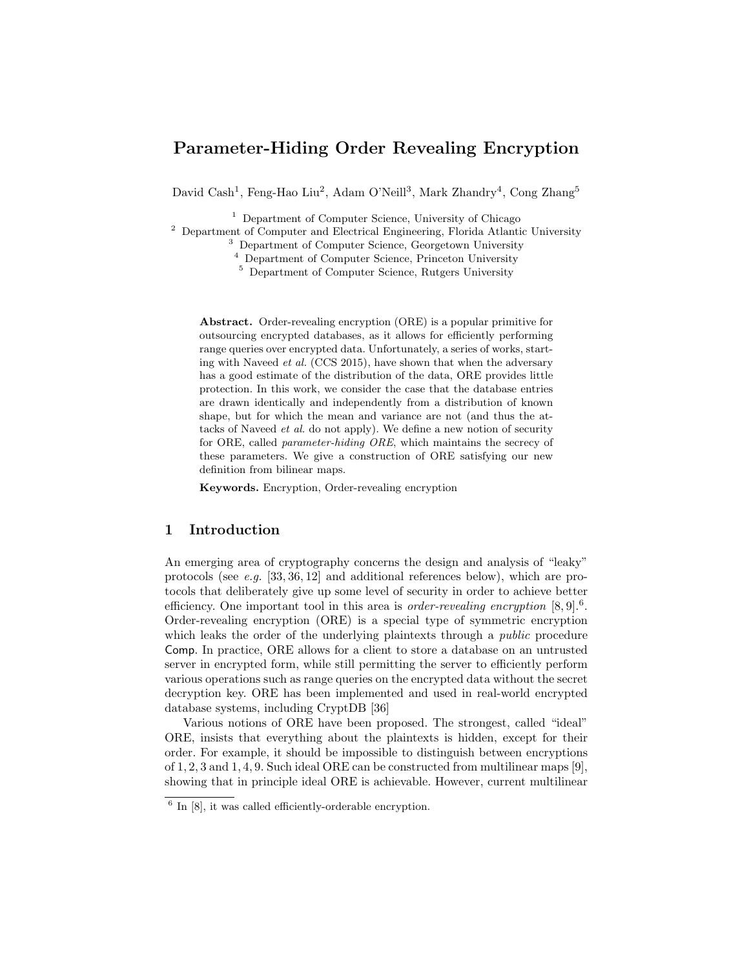# Parameter-Hiding Order Revealing Encryption

David Cash<sup>1</sup>, Feng-Hao Liu<sup>2</sup>, Adam O'Neill<sup>3</sup>, Mark Zhandry<sup>4</sup>, Cong Zhang<sup>5</sup>

<sup>1</sup> Department of Computer Science, University of Chicago

<sup>2</sup> Department of Computer and Electrical Engineering, Florida Atlantic University

<sup>3</sup> Department of Computer Science, Georgetown University

<sup>4</sup> Department of Computer Science, Princeton University

<sup>5</sup> Department of Computer Science, Rutgers University

Abstract. Order-revealing encryption (ORE) is a popular primitive for outsourcing encrypted databases, as it allows for efficiently performing range queries over encrypted data. Unfortunately, a series of works, starting with Naveed et al. (CCS 2015), have shown that when the adversary has a good estimate of the distribution of the data, ORE provides little protection. In this work, we consider the case that the database entries are drawn identically and independently from a distribution of known shape, but for which the mean and variance are not (and thus the attacks of Naveed et al. do not apply). We define a new notion of security for ORE, called parameter-hiding ORE, which maintains the secrecy of these parameters. We give a construction of ORE satisfying our new definition from bilinear maps.

Keywords. Encryption, Order-revealing encryption

## 1 Introduction

An emerging area of cryptography concerns the design and analysis of "leaky" protocols (see e.g. [33, 36, 12] and additional references below), which are protocols that deliberately give up some level of security in order to achieve better efficiency. One important tool in this area is *order-revealing encryption*  $[8, 9]$ .<sup>6</sup>. Order-revealing encryption (ORE) is a special type of symmetric encryption which leaks the order of the underlying plaintexts through a *public* procedure Comp. In practice, ORE allows for a client to store a database on an untrusted server in encrypted form, while still permitting the server to efficiently perform various operations such as range queries on the encrypted data without the secret decryption key. ORE has been implemented and used in real-world encrypted database systems, including CryptDB [36]

Various notions of ORE have been proposed. The strongest, called "ideal" ORE, insists that everything about the plaintexts is hidden, except for their order. For example, it should be impossible to distinguish between encryptions of 1, 2, 3 and 1, 4, 9. Such ideal ORE can be constructed from multilinear maps [9], showing that in principle ideal ORE is achievable. However, current multilinear

<sup>6</sup> In [8], it was called efficiently-orderable encryption.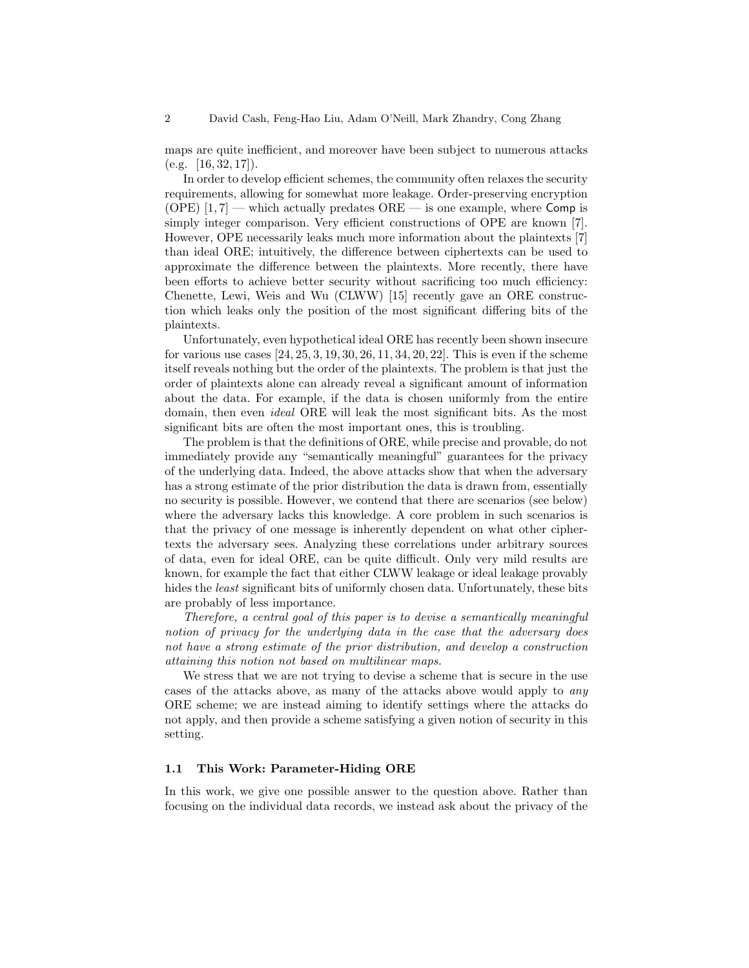maps are quite inefficient, and moreover have been subject to numerous attacks  $(e.g. [16, 32, 17]).$ 

In order to develop efficient schemes, the community often relaxes the security requirements, allowing for somewhat more leakage. Order-preserving encryption (OPE)  $[1, 7]$  — which actually predates ORE — is one example, where Comp is simply integer comparison. Very efficient constructions of OPE are known [7]. However, OPE necessarily leaks much more information about the plaintexts [7] than ideal ORE; intuitively, the difference between ciphertexts can be used to approximate the difference between the plaintexts. More recently, there have been efforts to achieve better security without sacrificing too much efficiency: Chenette, Lewi, Weis and Wu (CLWW) [15] recently gave an ORE construction which leaks only the position of the most significant differing bits of the plaintexts.

Unfortunately, even hypothetical ideal ORE has recently been shown insecure for various use cases [24, 25, 3, 19, 30, 26, 11, 34, 20, 22]. This is even if the scheme itself reveals nothing but the order of the plaintexts. The problem is that just the order of plaintexts alone can already reveal a significant amount of information about the data. For example, if the data is chosen uniformly from the entire domain, then even ideal ORE will leak the most significant bits. As the most significant bits are often the most important ones, this is troubling.

The problem is that the definitions of ORE, while precise and provable, do not immediately provide any "semantically meaningful" guarantees for the privacy of the underlying data. Indeed, the above attacks show that when the adversary has a strong estimate of the prior distribution the data is drawn from, essentially no security is possible. However, we contend that there are scenarios (see below) where the adversary lacks this knowledge. A core problem in such scenarios is that the privacy of one message is inherently dependent on what other ciphertexts the adversary sees. Analyzing these correlations under arbitrary sources of data, even for ideal ORE, can be quite difficult. Only very mild results are known, for example the fact that either CLWW leakage or ideal leakage provably hides the *least* significant bits of uniformly chosen data. Unfortunately, these bits are probably of less importance.

Therefore, a central goal of this paper is to devise a semantically meaningful notion of privacy for the underlying data in the case that the adversary does not have a strong estimate of the prior distribution, and develop a construction attaining this notion not based on multilinear maps.

We stress that we are not trying to devise a scheme that is secure in the use cases of the attacks above, as many of the attacks above would apply to any ORE scheme; we are instead aiming to identify settings where the attacks do not apply, and then provide a scheme satisfying a given notion of security in this setting.

#### 1.1 This Work: Parameter-Hiding ORE

In this work, we give one possible answer to the question above. Rather than focusing on the individual data records, we instead ask about the privacy of the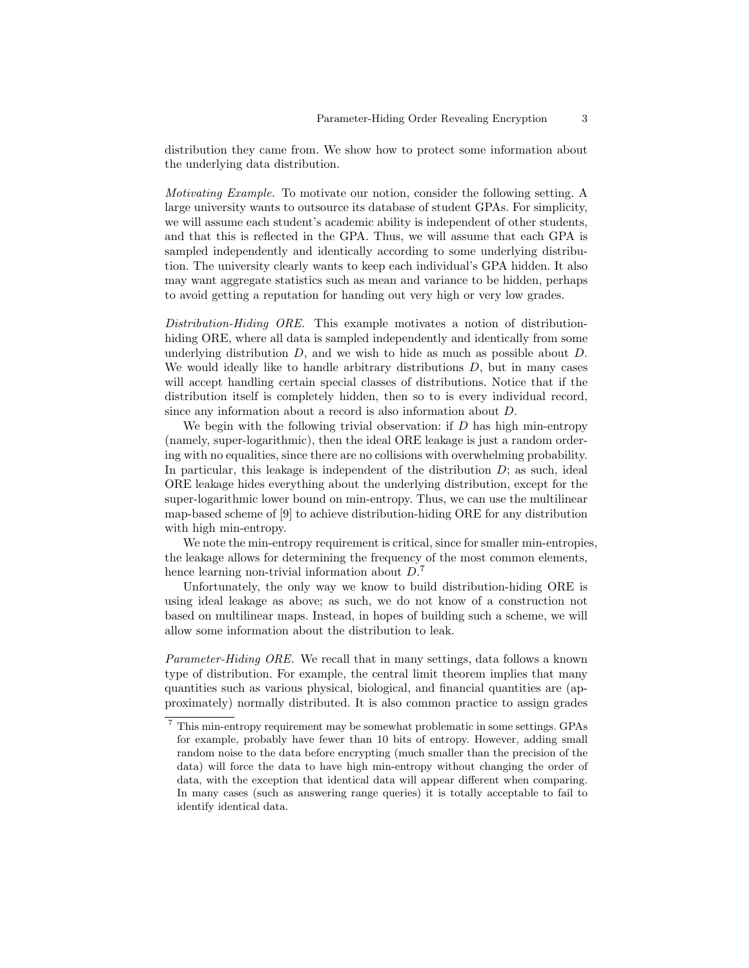distribution they came from. We show how to protect some information about the underlying data distribution.

Motivating Example. To motivate our notion, consider the following setting. A large university wants to outsource its database of student GPAs. For simplicity, we will assume each student's academic ability is independent of other students, and that this is reflected in the GPA. Thus, we will assume that each GPA is sampled independently and identically according to some underlying distribution. The university clearly wants to keep each individual's GPA hidden. It also may want aggregate statistics such as mean and variance to be hidden, perhaps to avoid getting a reputation for handing out very high or very low grades.

Distribution-Hiding ORE. This example motivates a notion of distributionhiding ORE, where all data is sampled independently and identically from some underlying distribution  $D$ , and we wish to hide as much as possible about  $D$ . We would ideally like to handle arbitrary distributions  $D$ , but in many cases will accept handling certain special classes of distributions. Notice that if the distribution itself is completely hidden, then so to is every individual record, since any information about a record is also information about D.

We begin with the following trivial observation: if  $D$  has high min-entropy (namely, super-logarithmic), then the ideal ORE leakage is just a random ordering with no equalities, since there are no collisions with overwhelming probability. In particular, this leakage is independent of the distribution  $D$ ; as such, ideal ORE leakage hides everything about the underlying distribution, except for the super-logarithmic lower bound on min-entropy. Thus, we can use the multilinear map-based scheme of [9] to achieve distribution-hiding ORE for any distribution with high min-entropy.

We note the min-entropy requirement is critical, since for smaller min-entropies, the leakage allows for determining the frequency of the most common elements, hence learning non-trivial information about  $D$ .<sup>7</sup>

Unfortunately, the only way we know to build distribution-hiding ORE is using ideal leakage as above; as such, we do not know of a construction not based on multilinear maps. Instead, in hopes of building such a scheme, we will allow some information about the distribution to leak.

Parameter-Hiding ORE. We recall that in many settings, data follows a known type of distribution. For example, the central limit theorem implies that many quantities such as various physical, biological, and financial quantities are (approximately) normally distributed. It is also common practice to assign grades

<sup>7</sup> This min-entropy requirement may be somewhat problematic in some settings. GPAs for example, probably have fewer than 10 bits of entropy. However, adding small random noise to the data before encrypting (much smaller than the precision of the data) will force the data to have high min-entropy without changing the order of data, with the exception that identical data will appear different when comparing. In many cases (such as answering range queries) it is totally acceptable to fail to identify identical data.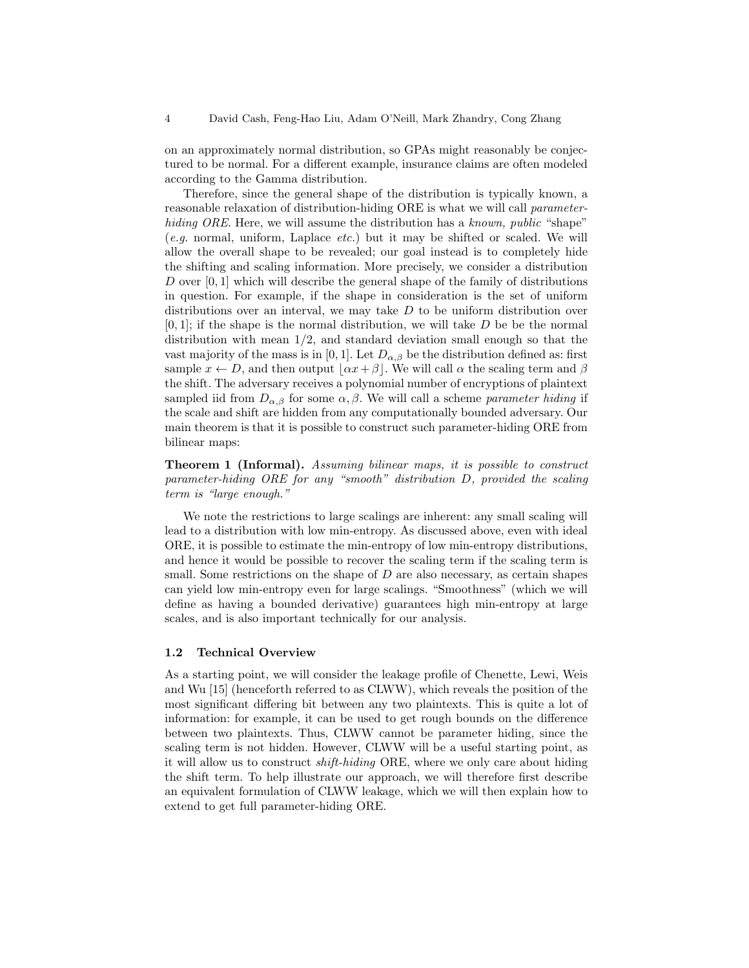on an approximately normal distribution, so GPAs might reasonably be conjectured to be normal. For a different example, insurance claims are often modeled according to the Gamma distribution.

Therefore, since the general shape of the distribution is typically known, a reasonable relaxation of distribution-hiding ORE is what we will call parameterhiding ORE. Here, we will assume the distribution has a known, public "shape" (e.g. normal, uniform, Laplace etc.) but it may be shifted or scaled. We will allow the overall shape to be revealed; our goal instead is to completely hide the shifting and scaling information. More precisely, we consider a distribution  $D$  over  $[0, 1]$  which will describe the general shape of the family of distributions in question. For example, if the shape in consideration is the set of uniform distributions over an interval, we may take  $D$  to be uniform distribution over  $[0, 1]$ ; if the shape is the normal distribution, we will take D be the normal distribution with mean  $1/2$ , and standard deviation small enough so that the vast majority of the mass is in [0, 1]. Let  $D_{\alpha,\beta}$  be the distribution defined as: first sample  $x \leftarrow D$ , and then output  $\lfloor \alpha x + \beta \rfloor$ . We will call  $\alpha$  the scaling term and  $\beta$ the shift. The adversary receives a polynomial number of encryptions of plaintext sampled iid from  $D_{\alpha,\beta}$  for some  $\alpha,\beta$ . We will call a scheme parameter hiding if the scale and shift are hidden from any computationally bounded adversary. Our main theorem is that it is possible to construct such parameter-hiding ORE from bilinear maps:

Theorem 1 (Informal). Assuming bilinear maps, it is possible to construct parameter-hiding ORE for any "smooth" distribution D, provided the scaling term is "large enough."

We note the restrictions to large scalings are inherent: any small scaling will lead to a distribution with low min-entropy. As discussed above, even with ideal ORE, it is possible to estimate the min-entropy of low min-entropy distributions, and hence it would be possible to recover the scaling term if the scaling term is small. Some restrictions on the shape of  $D$  are also necessary, as certain shapes can yield low min-entropy even for large scalings. "Smoothness" (which we will define as having a bounded derivative) guarantees high min-entropy at large scales, and is also important technically for our analysis.

#### 1.2 Technical Overview

As a starting point, we will consider the leakage profile of Chenette, Lewi, Weis and Wu [15] (henceforth referred to as CLWW), which reveals the position of the most significant differing bit between any two plaintexts. This is quite a lot of information: for example, it can be used to get rough bounds on the difference between two plaintexts. Thus, CLWW cannot be parameter hiding, since the scaling term is not hidden. However, CLWW will be a useful starting point, as it will allow us to construct shift-hiding ORE, where we only care about hiding the shift term. To help illustrate our approach, we will therefore first describe an equivalent formulation of CLWW leakage, which we will then explain how to extend to get full parameter-hiding ORE.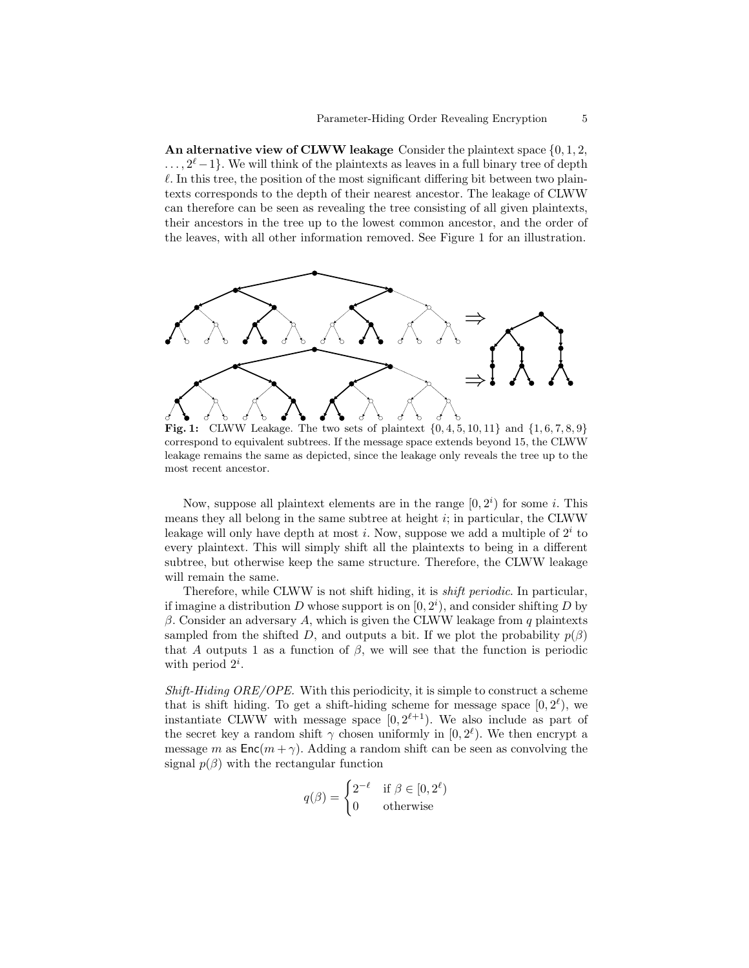An alternative view of CLWW leakage Consider the plaintext space  $\{0, 1, 2, \ldots\}$  $\ldots$ ,  $2^{\ell}-1$ . We will think of the plaintexts as leaves in a full binary tree of depth  $\ell$ . In this tree, the position of the most significant differing bit between two plaintexts corresponds to the depth of their nearest ancestor. The leakage of CLWW can therefore can be seen as revealing the tree consisting of all given plaintexts, their ancestors in the tree up to the lowest common ancestor, and the order of the leaves, with all other information removed. See Figure 1 for an illustration.



**Fig. 1:** CLWW Leakage. The two sets of plaintext  $\{0, 4, 5, 10, 11\}$  and  $\{1, 6, 7, 8, 9\}$ correspond to equivalent subtrees. If the message space extends beyond 15, the CLWW leakage remains the same as depicted, since the leakage only reveals the tree up to the most recent ancestor.

Now, suppose all plaintext elements are in the range  $[0, 2<sup>i</sup>)$  for some *i*. This means they all belong in the same subtree at height  $i$ ; in particular, the CLWW leakage will only have depth at most i. Now, suppose we add a multiple of  $2^i$  to every plaintext. This will simply shift all the plaintexts to being in a different subtree, but otherwise keep the same structure. Therefore, the CLWW leakage will remain the same.

Therefore, while CLWW is not shift hiding, it is shift periodic. In particular, if imagine a distribution D whose support is on  $[0, 2<sup>i</sup>)$ , and consider shifting D by  $β$ . Consider an adversary A, which is given the CLWW leakage from q plaintexts sampled from the shifted D, and outputs a bit. If we plot the probability  $p(\beta)$ that A outputs 1 as a function of  $\beta$ , we will see that the function is periodic with period  $2^i$ .

 $Shift\text{-}Hiding ORE/OPE.$  With this periodicity, it is simple to construct a scheme that is shift hiding. To get a shift-hiding scheme for message space  $[0, 2^{\ell})$ , we instantiate CLWW with message space  $[0, 2^{\ell+1})$ . We also include as part of the secret key a random shift  $\gamma$  chosen uniformly in  $[0, 2^{\ell})$ . We then encrypt a message m as  $Enc(m + \gamma)$ . Adding a random shift can be seen as convolving the signal  $p(\beta)$  with the rectangular function

$$
q(\beta) = \begin{cases} 2^{-\ell} & \text{if } \beta \in [0, 2^{\ell}) \\ 0 & \text{otherwise} \end{cases}
$$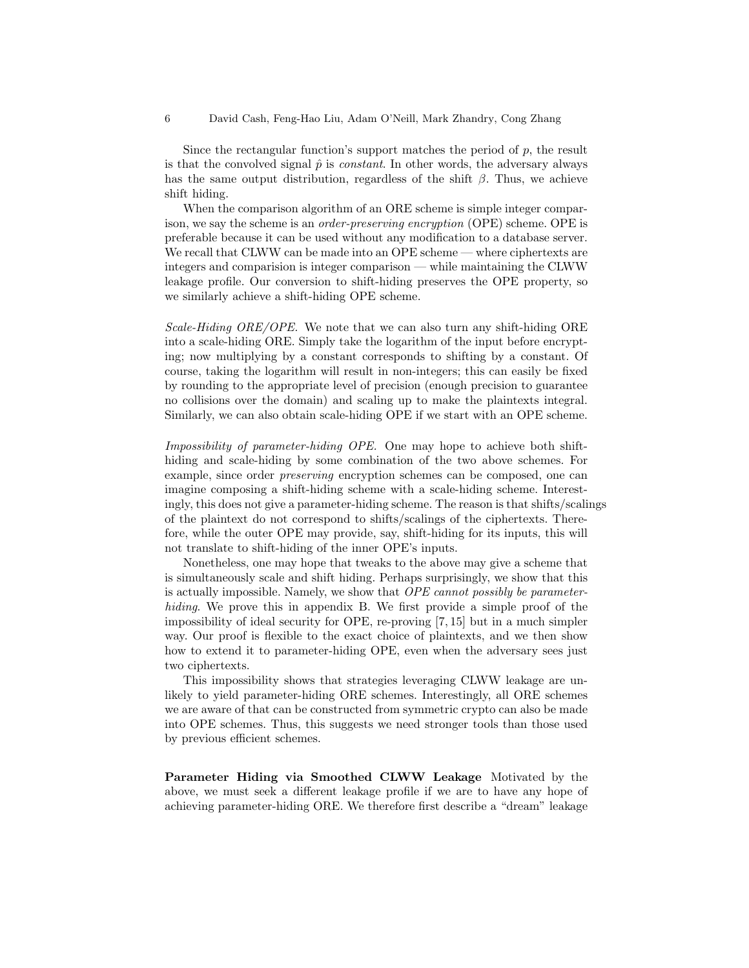Since the rectangular function's support matches the period of  $p$ , the result is that the convolved signal  $\hat{p}$  is *constant*. In other words, the adversary always has the same output distribution, regardless of the shift  $\beta$ . Thus, we achieve shift hiding.

When the comparison algorithm of an ORE scheme is simple integer comparison, we say the scheme is an order-preserving encryption (OPE) scheme. OPE is preferable because it can be used without any modification to a database server. We recall that CLWW can be made into an OPE scheme — where ciphertexts are integers and comparision is integer comparison — while maintaining the CLWW leakage profile. Our conversion to shift-hiding preserves the OPE property, so we similarly achieve a shift-hiding OPE scheme.

Scale-Hiding ORE/OPE. We note that we can also turn any shift-hiding ORE into a scale-hiding ORE. Simply take the logarithm of the input before encrypting; now multiplying by a constant corresponds to shifting by a constant. Of course, taking the logarithm will result in non-integers; this can easily be fixed by rounding to the appropriate level of precision (enough precision to guarantee no collisions over the domain) and scaling up to make the plaintexts integral. Similarly, we can also obtain scale-hiding OPE if we start with an OPE scheme.

Impossibility of parameter-hiding OPE. One may hope to achieve both shifthiding and scale-hiding by some combination of the two above schemes. For example, since order preserving encryption schemes can be composed, one can imagine composing a shift-hiding scheme with a scale-hiding scheme. Interestingly, this does not give a parameter-hiding scheme. The reason is that shifts/scalings of the plaintext do not correspond to shifts/scalings of the ciphertexts. Therefore, while the outer OPE may provide, say, shift-hiding for its inputs, this will not translate to shift-hiding of the inner OPE's inputs.

Nonetheless, one may hope that tweaks to the above may give a scheme that is simultaneously scale and shift hiding. Perhaps surprisingly, we show that this is actually impossible. Namely, we show that OPE cannot possibly be parameterhiding. We prove this in appendix B. We first provide a simple proof of the impossibility of ideal security for OPE, re-proving [7, 15] but in a much simpler way. Our proof is flexible to the exact choice of plaintexts, and we then show how to extend it to parameter-hiding OPE, even when the adversary sees just two ciphertexts.

This impossibility shows that strategies leveraging CLWW leakage are unlikely to yield parameter-hiding ORE schemes. Interestingly, all ORE schemes we are aware of that can be constructed from symmetric crypto can also be made into OPE schemes. Thus, this suggests we need stronger tools than those used by previous efficient schemes.

Parameter Hiding via Smoothed CLWW Leakage Motivated by the above, we must seek a different leakage profile if we are to have any hope of achieving parameter-hiding ORE. We therefore first describe a "dream" leakage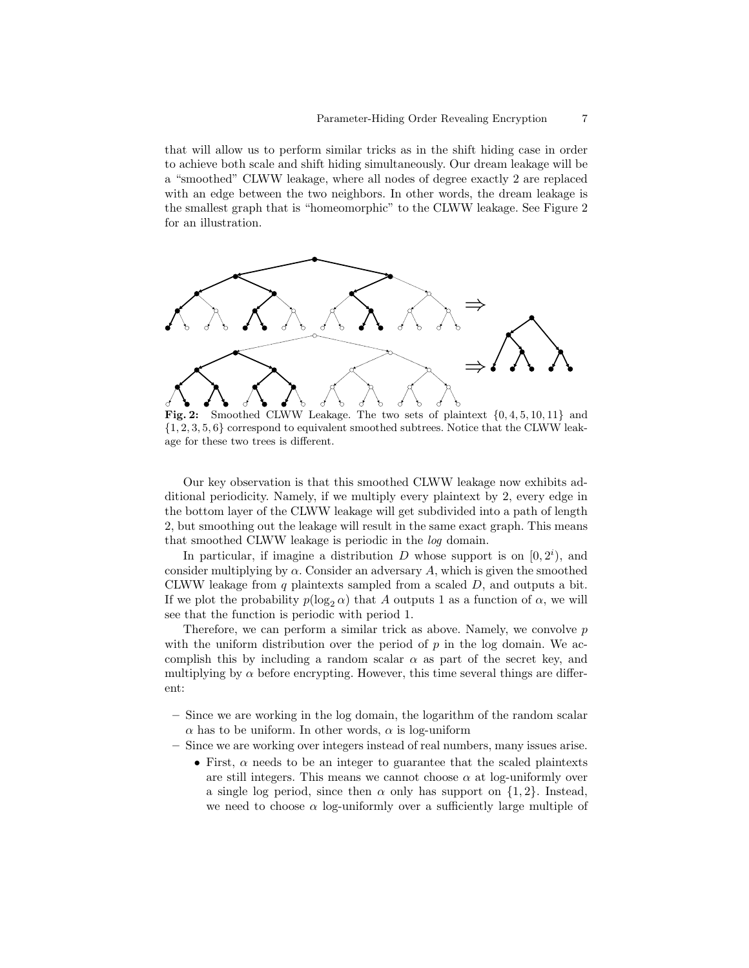that will allow us to perform similar tricks as in the shift hiding case in order to achieve both scale and shift hiding simultaneously. Our dream leakage will be a "smoothed" CLWW leakage, where all nodes of degree exactly 2 are replaced with an edge between the two neighbors. In other words, the dream leakage is the smallest graph that is "homeomorphic" to the CLWW leakage. See Figure 2 for an illustration.



Fig. 2: Smoothed CLWW Leakage. The two sets of plaintext  $\{0, 4, 5, 10, 11\}$  and  $\{1, 2, 3, 5, 6\}$  correspond to equivalent smoothed subtrees. Notice that the CLWW leakage for these two trees is different.

Our key observation is that this smoothed CLWW leakage now exhibits additional periodicity. Namely, if we multiply every plaintext by 2, every edge in the bottom layer of the CLWW leakage will get subdivided into a path of length 2, but smoothing out the leakage will result in the same exact graph. This means that smoothed CLWW leakage is periodic in the log domain.

In particular, if imagine a distribution  $D$  whose support is on  $[0, 2<sup>i</sup>)$ , and consider multiplying by  $\alpha$ . Consider an adversary A, which is given the smoothed CLWW leakage from  $q$  plaintexts sampled from a scaled  $D$ , and outputs a bit. If we plot the probability  $p(\log_2 \alpha)$  that A outputs 1 as a function of  $\alpha$ , we will see that the function is periodic with period 1.

Therefore, we can perform a similar trick as above. Namely, we convolve  $p$ with the uniform distribution over the period of  $p$  in the log domain. We accomplish this by including a random scalar  $\alpha$  as part of the secret key, and multiplying by  $\alpha$  before encrypting. However, this time several things are different:

- Since we are working in the log domain, the logarithm of the random scalar  $\alpha$  has to be uniform. In other words,  $\alpha$  is log-uniform
- Since we are working over integers instead of real numbers, many issues arise.
	- First,  $\alpha$  needs to be an integer to guarantee that the scaled plaintexts are still integers. This means we cannot choose  $\alpha$  at log-uniformly over a single log period, since then  $\alpha$  only has support on  $\{1, 2\}$ . Instead, we need to choose  $\alpha$  log-uniformly over a sufficiently large multiple of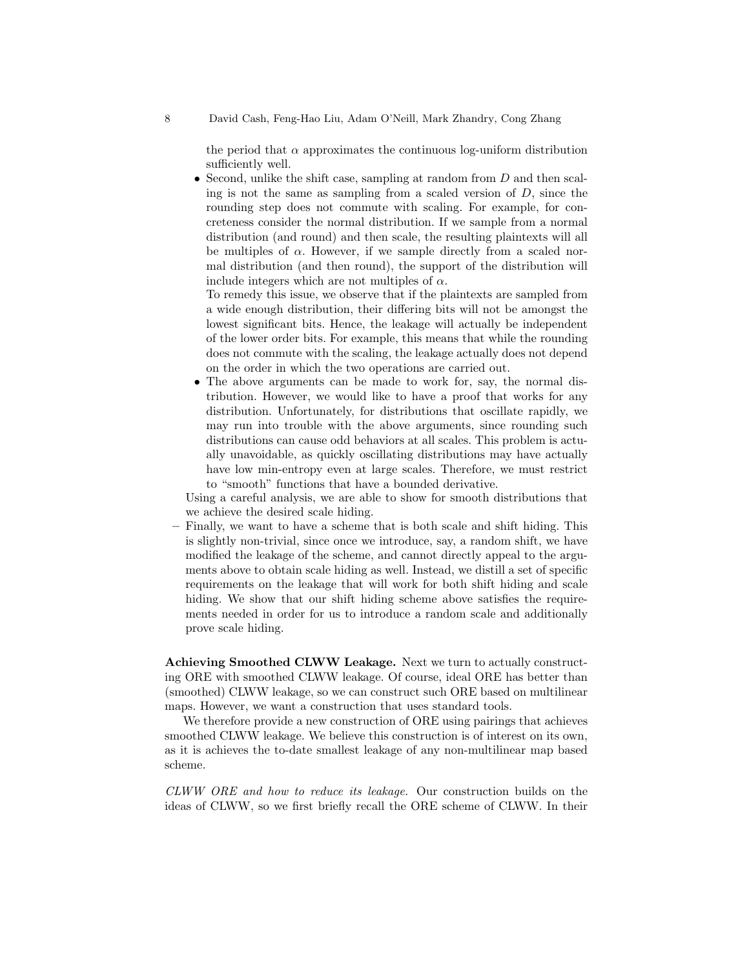the period that  $\alpha$  approximates the continuous log-uniform distribution sufficiently well.

• Second, unlike the shift case, sampling at random from  $D$  and then scaling is not the same as sampling from a scaled version of  $D$ , since the rounding step does not commute with scaling. For example, for concreteness consider the normal distribution. If we sample from a normal distribution (and round) and then scale, the resulting plaintexts will all be multiples of  $\alpha$ . However, if we sample directly from a scaled normal distribution (and then round), the support of the distribution will include integers which are not multiples of  $\alpha$ .

To remedy this issue, we observe that if the plaintexts are sampled from a wide enough distribution, their differing bits will not be amongst the lowest significant bits. Hence, the leakage will actually be independent of the lower order bits. For example, this means that while the rounding does not commute with the scaling, the leakage actually does not depend on the order in which the two operations are carried out.

• The above arguments can be made to work for, say, the normal distribution. However, we would like to have a proof that works for any distribution. Unfortunately, for distributions that oscillate rapidly, we may run into trouble with the above arguments, since rounding such distributions can cause odd behaviors at all scales. This problem is actually unavoidable, as quickly oscillating distributions may have actually have low min-entropy even at large scales. Therefore, we must restrict to "smooth" functions that have a bounded derivative.

Using a careful analysis, we are able to show for smooth distributions that we achieve the desired scale hiding.

– Finally, we want to have a scheme that is both scale and shift hiding. This is slightly non-trivial, since once we introduce, say, a random shift, we have modified the leakage of the scheme, and cannot directly appeal to the arguments above to obtain scale hiding as well. Instead, we distill a set of specific requirements on the leakage that will work for both shift hiding and scale hiding. We show that our shift hiding scheme above satisfies the requirements needed in order for us to introduce a random scale and additionally prove scale hiding.

Achieving Smoothed CLWW Leakage. Next we turn to actually constructing ORE with smoothed CLWW leakage. Of course, ideal ORE has better than (smoothed) CLWW leakage, so we can construct such ORE based on multilinear maps. However, we want a construction that uses standard tools.

We therefore provide a new construction of ORE using pairings that achieves smoothed CLWW leakage. We believe this construction is of interest on its own, as it is achieves the to-date smallest leakage of any non-multilinear map based scheme.

CLWW ORE and how to reduce its leakage. Our construction builds on the ideas of CLWW, so we first briefly recall the ORE scheme of CLWW. In their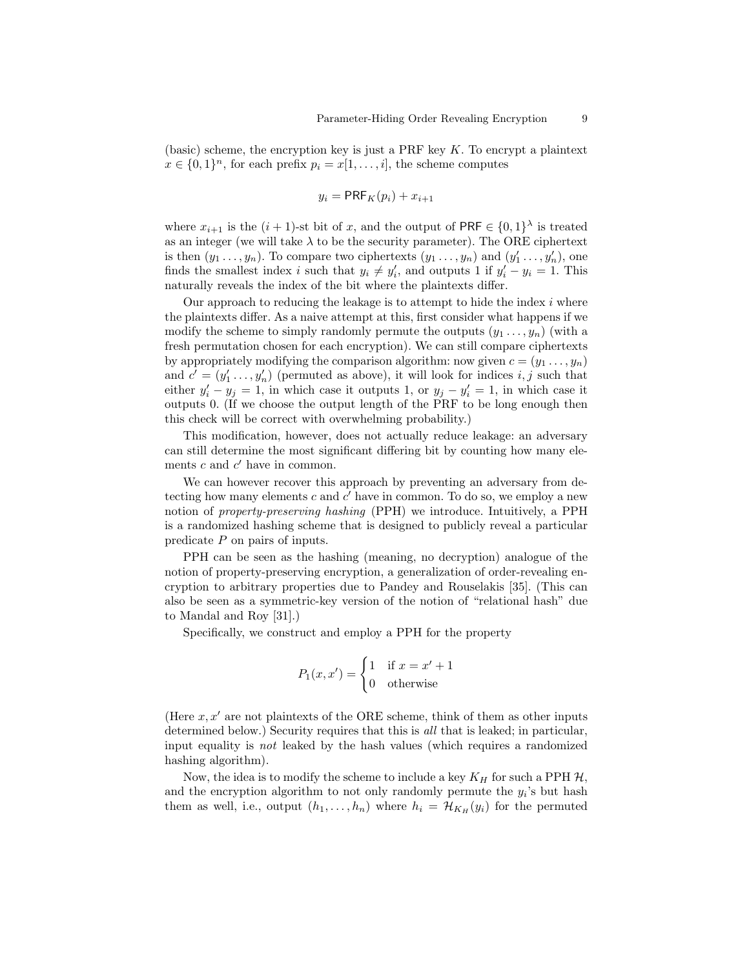(basic) scheme, the encryption key is just a PRF key  $K$ . To encrypt a plaintext  $x \in \{0,1\}^n$ , for each prefix  $p_i = x[1,\ldots,i]$ , the scheme computes

$$
y_i = \mathsf{PRF}_K(p_i) + x_{i+1}
$$

where  $x_{i+1}$  is the  $(i + 1)$ -st bit of x, and the output of PRF  $\in \{0,1\}^{\lambda}$  is treated as an integer (we will take  $\lambda$  to be the security parameter). The ORE ciphertext is then  $(y_1 \ldots, y_n)$ . To compare two ciphertexts  $(y_1 \ldots, y_n)$  and  $(y'_1 \ldots, y'_n)$ , one finds the smallest index *i* such that  $y_i \neq y'_i$ , and outputs 1 if  $y'_i - y_i = 1$ . This naturally reveals the index of the bit where the plaintexts differ.

Our approach to reducing the leakage is to attempt to hide the index  $i$  where the plaintexts differ. As a naive attempt at this, first consider what happens if we modify the scheme to simply randomly permute the outputs  $(y_1 \ldots, y_n)$  (with a fresh permutation chosen for each encryption). We can still compare ciphertexts by appropriately modifying the comparison algorithm: now given  $c = (y_1 \ldots, y_n)$ and  $c' = (y'_1, \ldots, y'_n)$  (permuted as above), it will look for indices  $i, j$  such that either  $y_i' - y_j = 1$ , in which case it outputs 1, or  $y_j - y_i' = 1$ , in which case it outputs 0. (If we choose the output length of the PRF to be long enough then this check will be correct with overwhelming probability.)

This modification, however, does not actually reduce leakage: an adversary can still determine the most significant differing bit by counting how many elements  $c$  and  $c'$  have in common.

We can however recover this approach by preventing an adversary from detecting how many elements  $c$  and  $c'$  have in common. To do so, we employ a new notion of property-preserving hashing (PPH) we introduce. Intuitively, a PPH is a randomized hashing scheme that is designed to publicly reveal a particular predicate P on pairs of inputs.

PPH can be seen as the hashing (meaning, no decryption) analogue of the notion of property-preserving encryption, a generalization of order-revealing encryption to arbitrary properties due to Pandey and Rouselakis [35]. (This can also be seen as a symmetric-key version of the notion of "relational hash" due to Mandal and Roy [31].)

Specifically, we construct and employ a PPH for the property

$$
P_1(x, x') = \begin{cases} 1 & \text{if } x = x' + 1 \\ 0 & \text{otherwise} \end{cases}
$$

(Here  $x, x'$  are not plaintexts of the ORE scheme, think of them as other inputs determined below.) Security requires that this is *all* that is leaked; in particular, input equality is not leaked by the hash values (which requires a randomized hashing algorithm).

Now, the idea is to modify the scheme to include a key  $K_H$  for such a PPH  $H$ , and the encryption algorithm to not only randomly permute the  $y_i$ 's but hash them as well, i.e., output  $(h_1, \ldots, h_n)$  where  $h_i = \mathcal{H}_{K_H}(y_i)$  for the permuted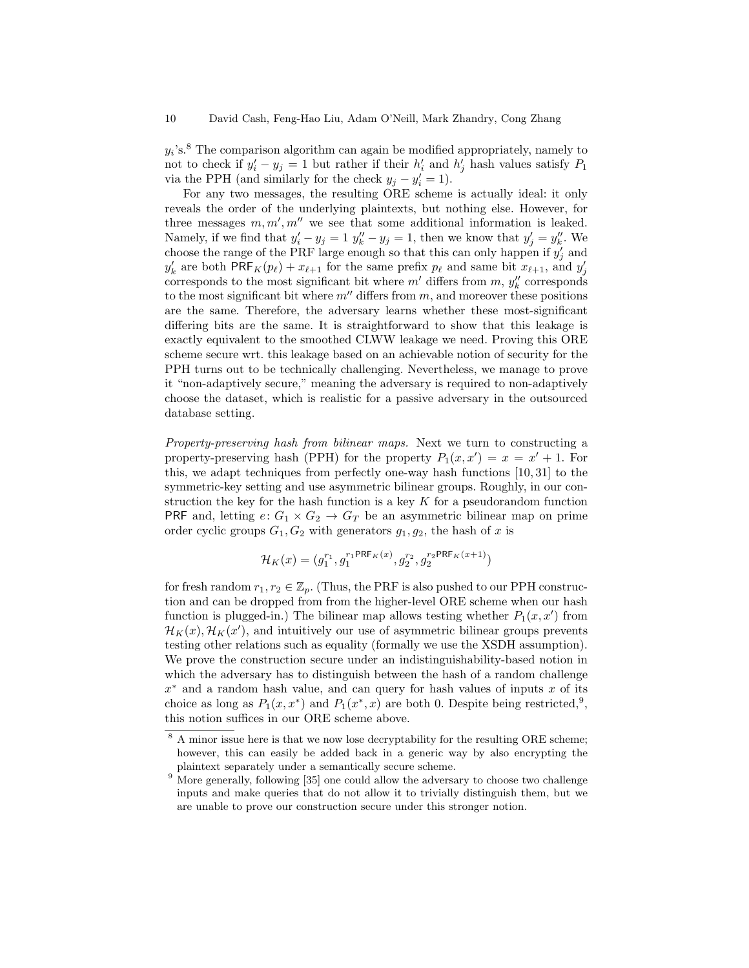$y_i$ 's.<sup>8</sup> The comparison algorithm can again be modified appropriately, namely to not to check if  $y'_i - y_j = 1$  but rather if their  $h'_i$  and  $h'_j$  hash values satisfy  $P_1$ via the PPH (and similarly for the check  $y_j - y'_i = 1$ ).

For any two messages, the resulting ORE scheme is actually ideal: it only reveals the order of the underlying plaintexts, but nothing else. However, for three messages  $m, m', m''$  we see that some additional information is leaked. Namely, if we find that  $y'_i - y_j = 1$   $y''_k - y_j = 1$ , then we know that  $y'_j = y''_k$ . We choose the range of the PRF large enough so that this can only happen if  $y'_j$  and  $y'_k$  are both PRF<sub>K</sub> $(p_\ell) + x_{\ell+1}$  for the same prefix  $p_\ell$  and same bit  $x_{\ell+1}$ , and  $y'_j$ corresponds to the most significant bit where  $m'$  differs from  $m$ ,  $y''_k$  corresponds to the most significant bit where  $m''$  differs from  $m$ , and moreover these positions are the same. Therefore, the adversary learns whether these most-significant differing bits are the same. It is straightforward to show that this leakage is exactly equivalent to the smoothed CLWW leakage we need. Proving this ORE scheme secure wrt. this leakage based on an achievable notion of security for the PPH turns out to be technically challenging. Nevertheless, we manage to prove it "non-adaptively secure," meaning the adversary is required to non-adaptively choose the dataset, which is realistic for a passive adversary in the outsourced database setting.

Property-preserving hash from bilinear maps. Next we turn to constructing a property-preserving hash (PPH) for the property  $P_1(x, x') = x = x' + 1$ . For this, we adapt techniques from perfectly one-way hash functions [10, 31] to the symmetric-key setting and use asymmetric bilinear groups. Roughly, in our construction the key for the hash function is a key  $K$  for a pseudorandom function PRF and, letting  $e: G_1 \times G_2 \to G_T$  be an asymmetric bilinear map on prime order cyclic groups  $G_1, G_2$  with generators  $g_1, g_2$ , the hash of x is

$$
\mathcal{H}_K(x)=(g_1^{r_1},g_1^{r_1\mathsf{PRF}_K(x)},g_2^{r_2},g_2^{r_2\mathsf{PRF}_K(x+1)})
$$

for fresh random  $r_1, r_2 \in \mathbb{Z}_p$ . (Thus, the PRF is also pushed to our PPH construction and can be dropped from from the higher-level ORE scheme when our hash function is plugged-in.) The bilinear map allows testing whether  $P_1(x, x')$  from  $\mathcal{H}_K(x), \mathcal{H}_K(x')$ , and intuitively our use of asymmetric bilinear groups prevents testing other relations such as equality (formally we use the XSDH assumption). We prove the construction secure under an indistinguishability-based notion in which the adversary has to distinguish between the hash of a random challenge  $x^*$  and a random hash value, and can query for hash values of inputs x of its choice as long as  $P_1(x, x^*)$  and  $P_1(x^*, x)$  are both 0. Despite being restricted,<sup>9</sup>, this notion suffices in our ORE scheme above.

<sup>&</sup>lt;sup>8</sup> A minor issue here is that we now lose decryptability for the resulting ORE scheme; however, this can easily be added back in a generic way by also encrypting the plaintext separately under a semantically secure scheme.

<sup>&</sup>lt;sup>9</sup> More generally, following [35] one could allow the adversary to choose two challenge inputs and make queries that do not allow it to trivially distinguish them, but we are unable to prove our construction secure under this stronger notion.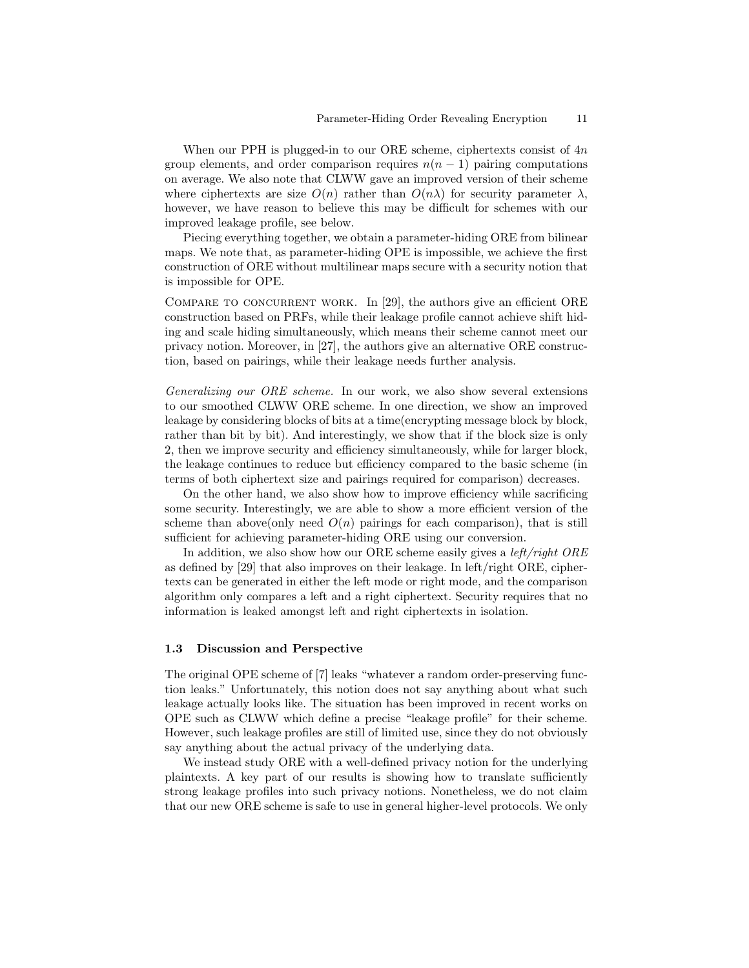When our PPH is plugged-in to our ORE scheme, ciphertexts consist of  $4n$ group elements, and order comparison requires  $n(n - 1)$  pairing computations on average. We also note that CLWW gave an improved version of their scheme where ciphertexts are size  $O(n)$  rather than  $O(n\lambda)$  for security parameter  $\lambda$ , however, we have reason to believe this may be difficult for schemes with our improved leakage profile, see below.

Piecing everything together, we obtain a parameter-hiding ORE from bilinear maps. We note that, as parameter-hiding OPE is impossible, we achieve the first construction of ORE without multilinear maps secure with a security notion that is impossible for OPE.

COMPARE TO CONCURRENT WORK. In  $[29]$ , the authors give an efficient ORE construction based on PRFs, while their leakage profile cannot achieve shift hiding and scale hiding simultaneously, which means their scheme cannot meet our privacy notion. Moreover, in [27], the authors give an alternative ORE construction, based on pairings, while their leakage needs further analysis.

Generalizing our ORE scheme. In our work, we also show several extensions to our smoothed CLWW ORE scheme. In one direction, we show an improved leakage by considering blocks of bits at a time(encrypting message block by block, rather than bit by bit). And interestingly, we show that if the block size is only 2, then we improve security and efficiency simultaneously, while for larger block, the leakage continues to reduce but efficiency compared to the basic scheme (in terms of both ciphertext size and pairings required for comparison) decreases.

On the other hand, we also show how to improve efficiency while sacrificing some security. Interestingly, we are able to show a more efficient version of the scheme than above(only need  $O(n)$  pairings for each comparison), that is still sufficient for achieving parameter-hiding ORE using our conversion.

In addition, we also show how our ORE scheme easily gives a *left/right ORE* as defined by [29] that also improves on their leakage. In left/right ORE, ciphertexts can be generated in either the left mode or right mode, and the comparison algorithm only compares a left and a right ciphertext. Security requires that no information is leaked amongst left and right ciphertexts in isolation.

#### 1.3 Discussion and Perspective

The original OPE scheme of [7] leaks "whatever a random order-preserving function leaks." Unfortunately, this notion does not say anything about what such leakage actually looks like. The situation has been improved in recent works on OPE such as CLWW which define a precise "leakage profile" for their scheme. However, such leakage profiles are still of limited use, since they do not obviously say anything about the actual privacy of the underlying data.

We instead study ORE with a well-defined privacy notion for the underlying plaintexts. A key part of our results is showing how to translate sufficiently strong leakage profiles into such privacy notions. Nonetheless, we do not claim that our new ORE scheme is safe to use in general higher-level protocols. We only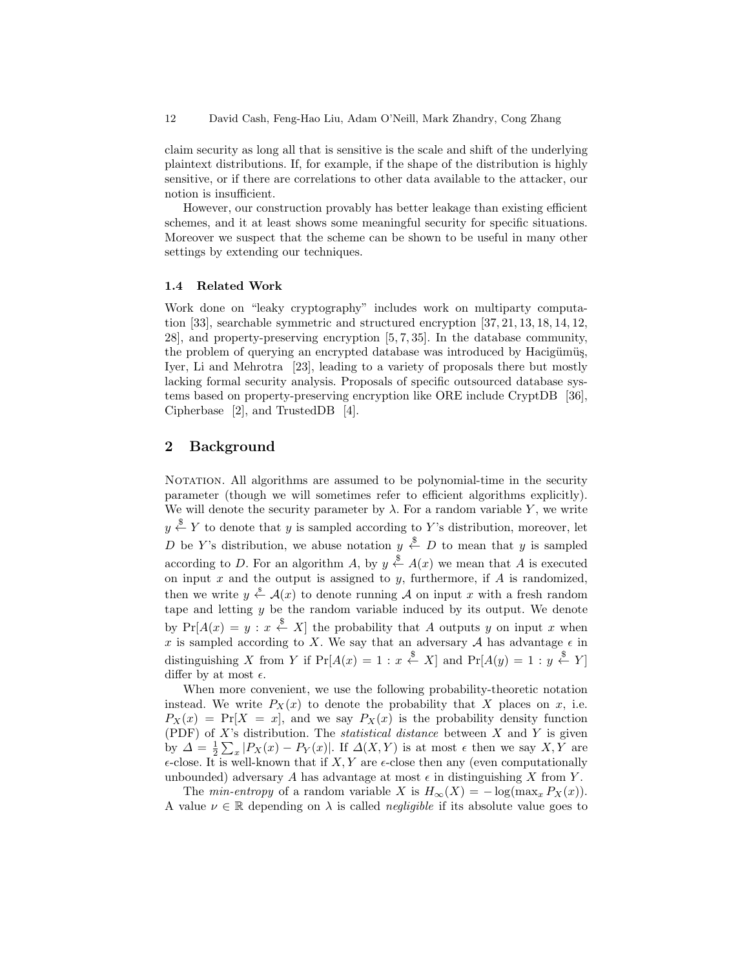claim security as long all that is sensitive is the scale and shift of the underlying plaintext distributions. If, for example, if the shape of the distribution is highly sensitive, or if there are correlations to other data available to the attacker, our notion is insufficient.

However, our construction provably has better leakage than existing efficient schemes, and it at least shows some meaningful security for specific situations. Moreover we suspect that the scheme can be shown to be useful in many other settings by extending our techniques.

### 1.4 Related Work

Work done on "leaky cryptography" includes work on multiparty computation [33], searchable symmetric and structured encryption [37, 21, 13, 18, 14, 12, 28], and property-preserving encryption [5, 7, 35]. In the database community, the problem of querying an encrypted database was introduced by Hacigümüş, Iyer, Li and Mehrotra [23], leading to a variety of proposals there but mostly lacking formal security analysis. Proposals of specific outsourced database systems based on property-preserving encryption like ORE include CryptDB [36], Cipherbase [2], and TrustedDB [4].

## 2 Background

NOTATION. All algorithms are assumed to be polynomial-time in the security parameter (though we will sometimes refer to efficient algorithms explicitly). We will denote the security parameter by  $\lambda$ . For a random variable Y, we write  $y \stackrel{\$}{\leftarrow} Y$  to denote that y is sampled according to Y's distribution, moreover, let D be Y's distribution, we abuse notation  $y \stackrel{\$}{\leftarrow} D$  to mean that y is sampled according to D. For an algorithm A, by  $y \stackrel{\$}{\leftarrow} A(x)$  we mean that A is executed on input  $x$  and the output is assigned to  $y$ , furthermore, if  $A$  is randomized, then we write  $y \stackrel{s}{\leftarrow} \mathcal{A}(x)$  to denote running  $\mathcal A$  on input x with a fresh random tape and letting  $y$  be the random variable induced by its output. We denote by  $Pr[A(x) = y : x \stackrel{\$}{\leftarrow} X]$  the probability that A outputs y on input x when x is sampled according to X. We say that an adversary A has advantage  $\epsilon$  in distinguishing X from Y if  $Pr[A(x) = 1 : x \stackrel{\$}{\leftarrow} X]$  and  $Pr[A(y) = 1 : y \stackrel{\$}{\leftarrow} Y]$ differ by at most  $\epsilon$ .

When more convenient, we use the following probability-theoretic notation instead. We write  $P_X(x)$  to denote the probability that X places on x, i.e.  $P_X(x) = Pr[X = x]$ , and we say  $P_X(x)$  is the probability density function (PDF) of  $X$ 's distribution. The *statistical distance* between  $X$  and  $Y$  is given by  $\Delta = \frac{1}{2} \sum_x |P_X(x) - P_Y(x)|$ . If  $\Delta(X, Y)$  is at most  $\epsilon$  then we say  $X, Y$  are  $\epsilon$ -close. It is well-known that if X, Y are  $\epsilon$ -close then any (even computationally unbounded) adversary A has advantage at most  $\epsilon$  in distinguishing X from Y.

The min-entropy of a random variable X is  $H_{\infty}(X) = -\log(\max_{x} P_X(x)).$ A value  $\nu \in \mathbb{R}$  depending on  $\lambda$  is called *negligible* if its absolute value goes to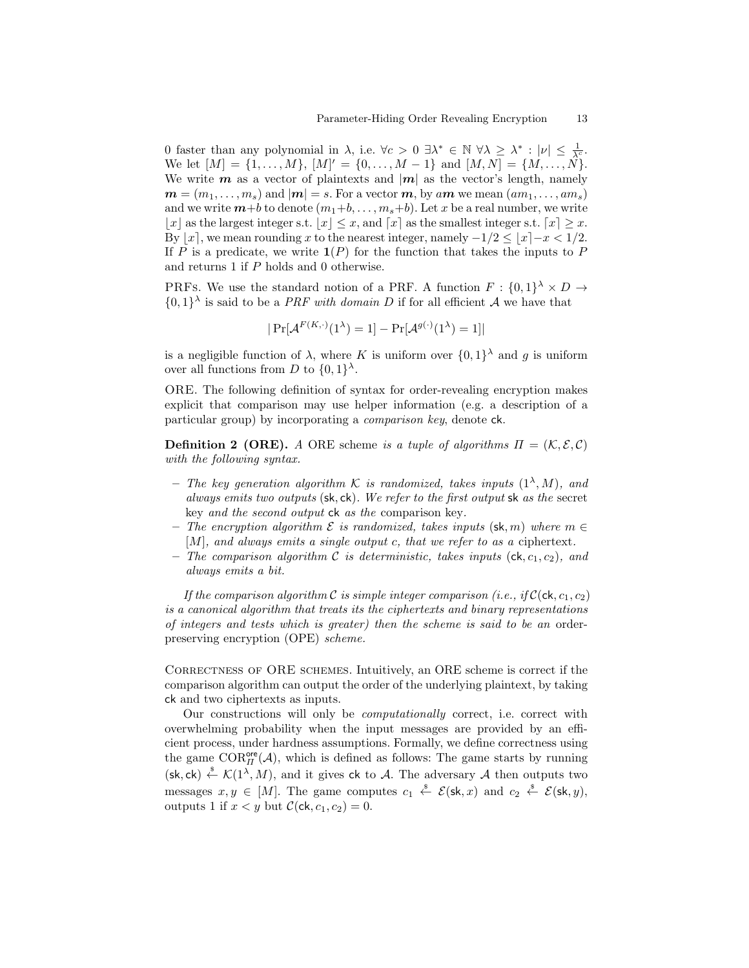0 faster than any polynomial in  $\lambda$ , i.e.  $\forall c > 0 \ \exists \lambda^* \in \mathbb{N} \ \forall \lambda \geq \lambda^* : |\nu| \leq \frac{1}{\lambda^c}$ . We let  $[M] = \{1, \ldots, M\}, [M]' = \{0, \ldots, M - 1\}$  and  $[M, N] = \{M, \ldots, N\}.$ We write  $m$  as a vector of plaintexts and  $|m|$  as the vector's length, namely  $m = (m_1, \ldots, m_s)$  and  $|m| = s$ . For a vector m, by am we mean  $(am_1, \ldots, am_s)$ and we write  $m+b$  to denote  $(m_1+b,\ldots,m_s+b)$ . Let x be a real number, we write |x| as the largest integer s.t.  $|x| \leq x$ , and  $\lceil x \rceil$  as the smallest integer s.t.  $\lceil x \rceil \geq x$ . By  $\lfloor x \rfloor$ , we mean rounding x to the nearest integer, namely  $-1/2 \leq \lfloor x \rfloor - x \leq 1/2$ . If P is a predicate, we write  $\mathbf{1}(P)$  for the function that takes the inputs to P and returns 1 if P holds and 0 otherwise.

PRFs. We use the standard notion of a PRF. A function  $F: \{0,1\}^{\lambda} \times D \rightarrow$  $\{0,1\}^{\lambda}$  is said to be a *PRF with domain D* if for all efficient *A* we have that

$$
|\Pr[\mathcal{A}^{F(K,\cdot)}(1^{\lambda})=1]-\Pr[\mathcal{A}^{g(\cdot)}(1^{\lambda})=1]|
$$

is a negligible function of  $\lambda$ , where K is uniform over  $\{0,1\}^{\lambda}$  and g is uniform over all functions from D to  $\{0,1\}^{\lambda}$ .

ORE. The following definition of syntax for order-revealing encryption makes explicit that comparison may use helper information (e.g. a description of a particular group) by incorporating a comparison key, denote ck.

**Definition 2 (ORE).** A ORE scheme is a tuple of algorithms  $\Pi = (\mathcal{K}, \mathcal{E}, \mathcal{C})$ with the following syntax.

- The key generation algorithm K is randomized, takes inputs  $(1^{\lambda}, M)$ , and always emits two outputs (sk, ck). We refer to the first output sk as the secret key and the second output ck as the comparison key.
- The encryption algorithm  $\mathcal E$  is randomized, takes inputs (sk, m) where m ∈ [M], and always emits a single output c, that we refer to as a ciphertext.
- The comparison algorithm C is deterministic, takes inputs  $(ck, c_1, c_2)$ , and always emits a bit.

If the comparison algorithm C is simple integer comparison (i.e., if  $C(\mathsf{ck}, c_1, c_2)$ ) is a canonical algorithm that treats its the ciphertexts and binary representations of integers and tests which is greater) then the scheme is said to be an orderpreserving encryption (OPE) scheme.

CORRECTNESS OF ORE SCHEMES. Intuitively, an ORE scheme is correct if the comparison algorithm can output the order of the underlying plaintext, by taking ck and two ciphertexts as inputs.

Our constructions will only be computationally correct, i.e. correct with overwhelming probability when the input messages are provided by an efficient process, under hardness assumptions. Formally, we define correctness using the game  $COR_{\Pi}^{\text{ore}}(\mathcal{A})$ , which is defined as follows: The game starts by running  $({\sf sk}, {\sf ck}) \stackrel{\hspace{0.1em}\mathsf{\scriptscriptstyle\$}}{\leftarrow} \mathcal{K}(1^{\lambda}, M)$ , and it gives  ${\sf ck}$  to A. The adversary A then outputs two messages  $x, y \in [M]$ . The game computes  $c_1 \stackrel{\hspace{0.1em}\mathsf{\scriptscriptstyle\$}}{\leftarrow} \mathcal{E}(\mathsf{sk}, x)$  and  $c_2 \stackrel{\hspace{0.1em}\mathsf{\scriptscriptstyle\$}}{\leftarrow} \mathcal{E}(\mathsf{sk}, y)$ , outputs 1 if  $x < y$  but  $\mathcal{C}(\mathsf{ck}, c_1, c_2) = 0$ .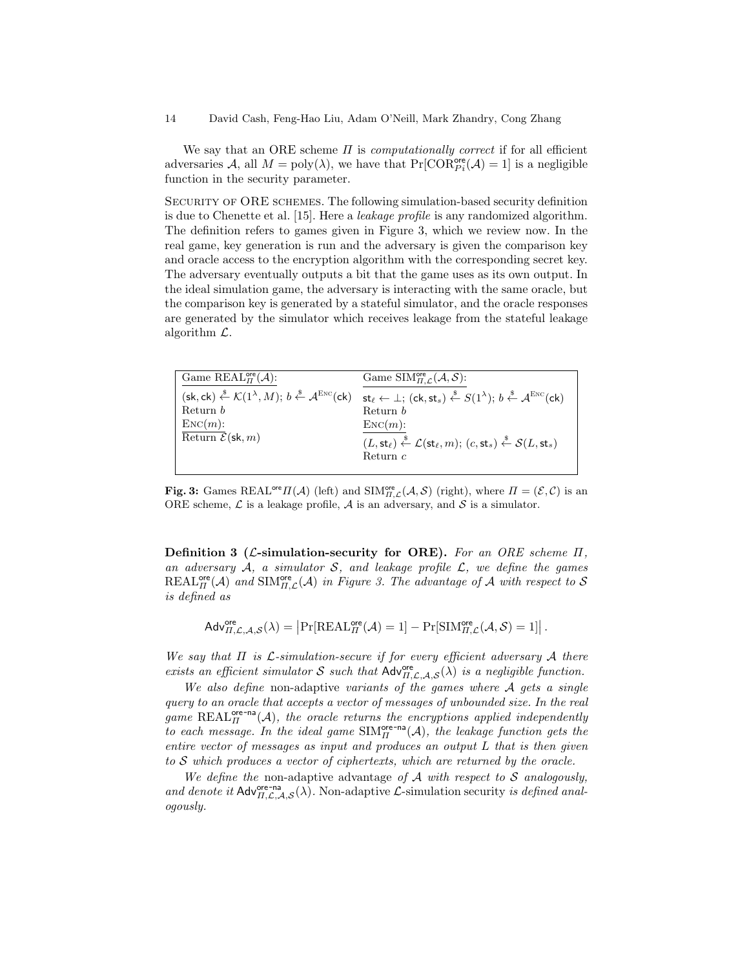We say that an ORE scheme  $\Pi$  is *computationally correct* if for all efficient adversaries A, all  $M = \text{poly}(\lambda)$ , we have that  $\Pr[\text{COR}_{P_i}^{\text{ore}}(\mathcal{A}) = 1]$  is a negligible function in the security parameter.

Security of ORE schemes. The following simulation-based security definition is due to Chenette et al. [15]. Here a leakage profile is any randomized algorithm. The definition refers to games given in Figure 3, which we review now. In the real game, key generation is run and the adversary is given the comparison key and oracle access to the encryption algorithm with the corresponding secret key. The adversary eventually outputs a bit that the game uses as its own output. In the ideal simulation game, the adversary is interacting with the same oracle, but the comparison key is generated by a stateful simulator, and the oracle responses are generated by the simulator which receives leakage from the stateful leakage algorithm  $\mathcal{L}$ .

| Game REAL <sup>ore</sup> $(\mathcal{A})$ :                                                                                                          | Game $\text{SIM}_{H}^{\text{ore}}(A, S)$ :                                                                                                                                    |
|-----------------------------------------------------------------------------------------------------------------------------------------------------|-------------------------------------------------------------------------------------------------------------------------------------------------------------------------------|
| $(\mathsf{sk}, \mathsf{ck}) \overset{\$}{\leftarrow} \mathcal{K}(1^{\lambda}, M); b \overset{\$}{\leftarrow} \mathcal{A}^{\text{Enc}}(\mathsf{ck})$ | $\mathsf{st}_{\ell} \leftarrow \bot; (\mathsf{ck},\mathsf{st}_{s}) \stackrel{\$} \leftarrow S(1^{\lambda}); b \stackrel{\$} \leftarrow \mathcal{A}^{\text{Enc}}(\mathsf{ck})$ |
| Return b                                                                                                                                            | Return b                                                                                                                                                                      |
| $\text{Enc}(m)$ :                                                                                                                                   | $\text{Enc}(m)$ :                                                                                                                                                             |
| Return $\mathcal{E}(\mathsf{sk}, m)$                                                                                                                | $(L, \mathsf{st}_{\ell}) \overset{\$}{\leftarrow} \mathcal{L}(\mathsf{st}_{\ell}, m); (c, \mathsf{st}_{s}) \overset{\$}{\leftarrow} \mathcal{S}(L, \mathsf{st}_{s})$          |
|                                                                                                                                                     | Return c                                                                                                                                                                      |
|                                                                                                                                                     |                                                                                                                                                                               |

**Fig. 3:** Games REAL<sup>ore</sup>  $\Pi(A)$  (left) and  $\text{SIM}_{\Pi,\mathcal{L}}^{\text{ore}}(\mathcal{A},\mathcal{S})$  (right), where  $\Pi = (\mathcal{E},\mathcal{C})$  is an ORE scheme,  $\mathcal L$  is a leakage profile,  $\mathcal A$  is an adversary, and  $\mathcal S$  is a simulator.

Definition 3 ( $\mathcal{L}$ -simulation-security for ORE). For an ORE scheme  $\Pi$ , an adversary  $A$ , a simulator  $S$ , and leakage profile  $\mathcal{L}$ , we define the games  $\text{REAL}_{\Pi}^{\text{ore}}(\mathcal{A})$  and  $\text{SIM}_{\Pi,\mathcal{L}}^{\text{ore}}(\mathcal{A})$  in Figure 3. The advantage of  $\mathcal{A}$  with respect to  $\mathcal S$ is defined as

$$
\mathsf{Adv}_{\Pi,\mathcal{L},\mathcal{A},\mathcal{S}}^{\mathrm{ore}}(\lambda) = \left| \Pr[\mathrm{REAL}^{\mathrm{ore}}_{\Pi}(\mathcal{A}) = 1] - \Pr[\mathrm{SIM}_{\Pi,\mathcal{L}}^{\mathrm{ore}}(\mathcal{A},\mathcal{S}) = 1] \right|.
$$

We say that  $\Pi$  is  $\mathcal L$ -simulation-secure if for every efficient adversary  $\mathcal A$  there exists an efficient simulator S such that  $\mathsf{Adv}_{\Pi,\mathcal{L},\mathcal{A},\mathcal{S}}^{\mathsf{ore}}(\lambda)$  is a negligible function.

We also define non-adaptive variants of the games where  $A$  gets a single query to an oracle that accepts a vector of messages of unbounded size. In the real game  $REAL_{\Pi}^{\text{ore-na}}(A)$ , the oracle returns the encryptions applied independently to each message. In the ideal game  $\text{SIM}_{\Pi}^{\text{ore-na}}(\mathcal{A})$ , the leakage function gets the entire vector of messages as input and produces an output L that is then given to S which produces a vector of ciphertexts, which are returned by the oracle.

We define the non-adaptive advantage of A with respect to S analogously, and denote it  $\text{Adv}_{\Pi,\mathcal{L},\mathcal{A},\mathcal{S}}^{\text{one-na}}(\lambda)$ . Non-adaptive  $\mathcal{L}$ -simulation security is defined analogously.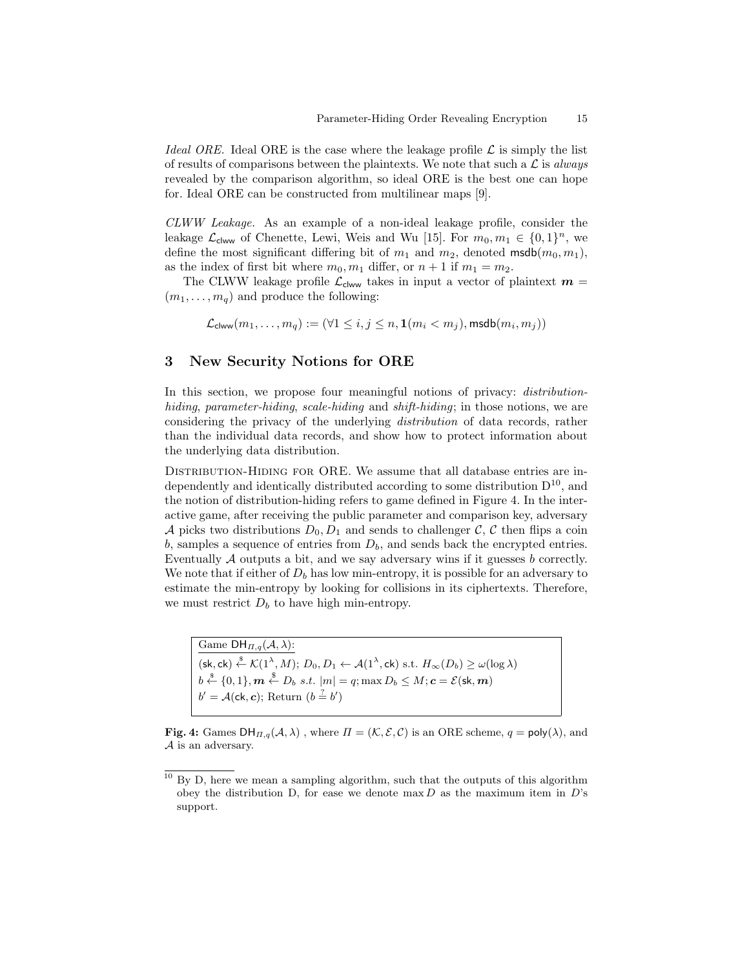*Ideal ORE.* Ideal ORE is the case where the leakage profile  $\mathcal{L}$  is simply the list of results of comparisons between the plaintexts. We note that such a  $\mathcal L$  is always revealed by the comparison algorithm, so ideal ORE is the best one can hope for. Ideal ORE can be constructed from multilinear maps [9].

CLWW Leakage. As an example of a non-ideal leakage profile, consider the leakage  $\mathcal{L}_{\text{clww}}$  of Chenette, Lewi, Weis and Wu [15]. For  $m_0, m_1 \in \{0, 1\}^n$ , we define the most significant differing bit of  $m_1$  and  $m_2$ , denoted msdb $(m_0, m_1)$ , as the index of first bit where  $m_0, m_1$  differ, or  $n + 1$  if  $m_1 = m_2$ .

The CLWW leakage profile  $\mathcal{L}_{\text{clww}}$  takes in input a vector of plaintext  $m =$  $(m_1, \ldots, m_q)$  and produce the following:

$$
\mathcal{L}_{\text{clww}}(m_1, \ldots, m_q) := (\forall 1 \le i, j \le n, \mathbf{1}(m_i < m_j), \text{msdb}(m_i, m_j))
$$

## 3 New Security Notions for ORE

In this section, we propose four meaningful notions of privacy: distributionhiding, parameter-hiding, scale-hiding and shift-hiding; in those notions, we are considering the privacy of the underlying distribution of data records, rather than the individual data records, and show how to protect information about the underlying data distribution.

DISTRIBUTION-HIDING FOR ORE. We assume that all database entries are independently and identically distributed according to some distribution  $D^{10}$ , and the notion of distribution-hiding refers to game defined in Figure 4. In the interactive game, after receiving the public parameter and comparison key, adversary A picks two distributions  $D_0, D_1$  and sends to challenger C, C then flips a coin b, samples a sequence of entries from  $D<sub>b</sub>$ , and sends back the encrypted entries. Eventually  $A$  outputs a bit, and we say adversary wins if it guesses  $b$  correctly. We note that if either of  $D<sub>b</sub>$  has low min-entropy, it is possible for an adversary to estimate the min-entropy by looking for collisions in its ciphertexts. Therefore, we must restrict  $D_b$  to have high min-entropy.

Game  $DH_{\Pi,q}(\mathcal{A},\lambda)$ :  $(\mathsf{sk}, \mathsf{ck}) \overset{\$}{\leftarrow} \mathcal{K}(1^\lambda, M); D_0, D_1 \leftarrow \mathcal{A}(1^\lambda, \mathsf{ck}) \text{ s.t. } H_\infty(D_b) \geq \omega(\log \lambda)$  $b \overset{\$} \leftarrow \{0,1\}, \bm{m} \overset{\$} \leftarrow D_b \,\, s.t. \,\, |m| = q; \max D_b \leq M; \bm{c} = \mathcal{E}(\mathsf{sk}, \bm{m})$  $b' = A(\mathsf{ck}, c)$ ; Return  $(b = b')$ 

Fig. 4: Games  $DH_{\Pi,q}(\mathcal{A},\lambda)$ , where  $\Pi=(\mathcal{K},\mathcal{E},\mathcal{C})$  is an ORE scheme,  $q = \text{poly}(\lambda)$ , and  $A$  is an adversary.

 $10$  By D, here we mean a sampling algorithm, such that the outputs of this algorithm obey the distribution D, for ease we denote  $\max D$  as the maximum item in  $D$ 's support.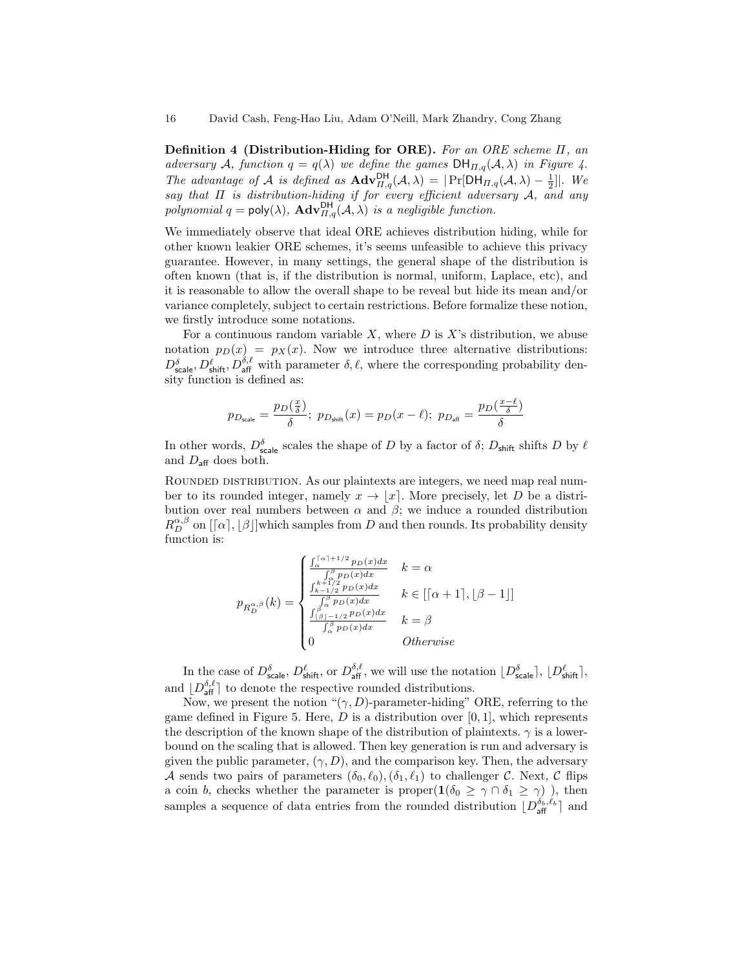Definition 4 (Distribution-Hiding for ORE). For an ORE scheme Π, an adversary A, function  $q = q(\lambda)$  we define the games  $DH_{\Pi,q}(\mathcal{A},\lambda)$  in Figure 4. The advantage of A is defined as  $\mathbf{Adv}_{\Pi,q}^{\mathsf{DH}}(\mathcal{A},\lambda) = |\Pr[\mathsf{DH}_{\Pi,q}(\mathcal{A},\lambda) - \frac{1}{2}]|$ . We say that  $\Pi$  is distribution-hiding if for every efficient adversary  $A$ , and any polynomial  $q = \text{poly}(\lambda)$ ,  $\text{Adv}_{\Pi,q}^{\text{DH}}(\mathcal{A}, \lambda)$  is a negligible function.

We immediately observe that ideal ORE achieves distribution hiding, while for other known leakier ORE schemes, it's seems unfeasible to achieve this privacy guarantee. However, in many settings, the general shape of the distribution is often known (that is, if the distribution is normal, uniform, Laplace, etc), and it is reasonable to allow the overall shape to be reveal but hide its mean and/or variance completely, subject to certain restrictions. Before formalize these notion, we firstly introduce some notations.

For a continuous random variable  $X$ , where  $D$  is  $X$ 's distribution, we abuse notation  $p_D(x) = p_X(x)$ . Now we introduce three alternative distributions:  $D_{\text{scale}}^{\delta}, D_{\text{shift}}^{\ell}, D_{\text{aff}}^{\delta,\ell}$  with parameter  $\delta, \ell$ , where the corresponding probability density function is defined as:

$$
p_{D_{\text{scale}}} = \frac{p_D(\frac{x}{\delta})}{\delta}; \ p_{D_{\text{shift}}}(x) = p_D(x-\ell); \ p_{D_{\text{aff}}} = \frac{p_D(\frac{x-\ell}{\delta})}{\delta}
$$

In other words,  $D_{\text{scale}}^{\delta}$  scales the shape of D by a factor of  $\delta$ ;  $D_{\text{shift}}$  shifts D by  $\ell$ and  $D_{\text{aff}}$  does both.

ROUNDED DISTRIBUTION. As our plaintexts are integers, we need map real number to its rounded integer, namely  $x \to |x|$ . More precisely, let D be a distribution over real numbers between  $\alpha$  and  $\beta$ ; we induce a rounded distribution  $R_{D}^{\alpha,\beta}$  on  $[[\alpha],[\beta]]$  which samples from  $D$  and then rounds. Its probability density function is:

$$
p_{R_D^{\alpha,\beta}}(k) = \begin{cases} \frac{\int_{\alpha}^{\lceil \alpha \rceil + 1/2} p_D(x) dx}{\int_{k-1/2}^{\beta} p_D(x) dx} & k = \alpha \\ \frac{\int_{k-1/2}^{k+1/2} p_D(x) dx}{\int_{\alpha}^{\beta} p_D(x) dx} & k \in \lbrack \lceil \alpha + 1 \rceil, \lfloor \beta - 1 \rfloor \rbrack \\ \frac{\int_{\lfloor \beta \rfloor - 1/2}^{\beta} p_D(x) dx}{\int_{\alpha}^{\beta} p_D(x) dx} & k = \beta \\ 0 & Otherwise \end{cases}
$$

In the case of  $D_{\text{scale}}^{\delta}$ ,  $D_{\text{shift}}^{\ell}$ , or  $D_{\text{aff}}^{\delta,\ell}$ , we will use the notation  $[D_{\text{scale}}^{\delta}], [D_{\text{shift}}^{\ell}],$ and  $[D_{\text{aff}}^{\delta,\ell}]$  to denote the respective rounded distributions.

Now, we present the notion " $(\gamma, D)$ -parameter-hiding" ORE, referring to the game defined in Figure 5. Here,  $D$  is a distribution over  $[0, 1]$ , which represents the description of the known shape of the distribution of plaintexts.  $\gamma$  is a lowerbound on the scaling that is allowed. Then key generation is run and adversary is given the public parameter,  $(\gamma, D)$ , and the comparison key. Then, the adversary A sends two pairs of parameters  $(\delta_0, \ell_0), (\delta_1, \ell_1)$  to challenger C. Next, C flips a coin b, checks whether the parameter is  $proper(1(\delta_0 \geq \gamma \cap \delta_1 \geq \gamma))$ , then samples a sequence of data entries from the rounded distribution  $[D_{\mathsf{aff}}^{\delta_b,\ell_b}]$  and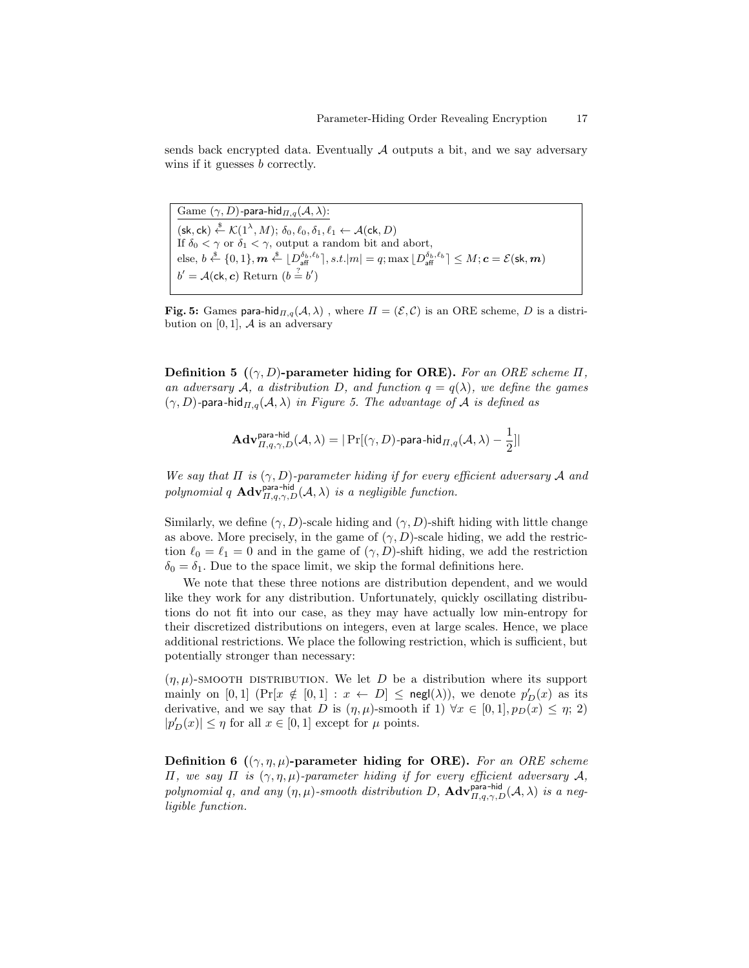sends back encrypted data. Eventually  $A$  outputs a bit, and we say adversary wins if it guesses b correctly.

Game  $(\gamma, D)$ -para-hid $_{\Pi,q}(\mathcal{A}, \lambda)$ :  $(\mathsf{sk}, \mathsf{ck}) \overset{\$}{\leftarrow} \mathcal{K}(1^\lambda, M); \, \delta_0, \ell_0, \delta_1, \ell_1 \leftarrow \mathcal{A}(\mathsf{ck}, D)$ If  $\delta_0 < \gamma$  or  $\delta_1 < \gamma$ , output a random bit and abort,  $\text{else, } b \overset{\$}{\leftarrow} \{0,1\}, \bm{m} \overset{\$}{\leftarrow} \lfloor D_{\mathsf{aff}}^{\delta_b,\ell_b} \rceil, s.t. |m| = q; \max \lfloor D_{\mathsf{aff}}^{\delta_b,\ell_b} \rceil \leq M; \bm{c} = \mathcal{E}(\mathsf{sk}, \bm{m})$  $b' = A(\mathsf{ck}, c)$  Return  $(b = b')$ 

Fig. 5: Games para-hid $_{\Pi,q}(\mathcal{A},\lambda)$ , where  $\Pi=(\mathcal{E},\mathcal{C})$  is an ORE scheme, D is a distribution on  $[0, 1]$ , A is an adversary

Definition 5 ( $(\gamma, D)$ -parameter hiding for ORE). For an ORE scheme  $\Pi$ , an adversary A, a distribution D, and function  $q = q(\lambda)$ , we define the games  $(\gamma, D)$ -para-hid<sub> $\Pi, q(\mathcal{A}, \lambda)$  in Figure 5. The advantage of A is defined as</sub>

$$
\mathbf{Adv}_{\varPi,q,\gamma,D}^{\mathsf{para-hid}}(\mathcal{A},\lambda)=|\Pr[(\gamma,D)\text{-para-hid}_{\varPi,q}(\mathcal{A},\lambda)-\frac{1}{2}]|
$$

We say that  $\Pi$  is  $(\gamma, D)$ -parameter hiding if for every efficient adversary A and polynomial q  $\mathbf{Adv}_{H,q,\gamma,D}^{\mathsf{para-hid}}(\mathcal{A},\lambda)$  is a negligible function.

Similarly, we define  $(\gamma, D)$ -scale hiding and  $(\gamma, D)$ -shift hiding with little change as above. More precisely, in the game of  $(\gamma, D)$ -scale hiding, we add the restriction  $\ell_0 = \ell_1 = 0$  and in the game of  $(\gamma, D)$ -shift hiding, we add the restriction  $\delta_0 = \delta_1$ . Due to the space limit, we skip the formal definitions here.

We note that these three notions are distribution dependent, and we would like they work for any distribution. Unfortunately, quickly oscillating distributions do not fit into our case, as they may have actually low min-entropy for their discretized distributions on integers, even at large scales. Hence, we place additional restrictions. We place the following restriction, which is sufficient, but potentially stronger than necessary:

 $(\eta, \mu)$ -SMOOTH DISTRIBUTION. We let D be a distribution where its support mainly on  $[0,1]$   $(\Pr[x \notin [0,1] : x \leftarrow D] \leq \mathsf{negl}(\lambda))$ , we denote  $p'_D(x)$  as its derivative, and we say that D is  $(\eta, \mu)$ -smooth if 1)  $\forall x \in [0, 1], p_D(x) \leq \eta$ ; 2)  $|p'_D(x)| \leq \eta$  for all  $x \in [0,1]$  except for  $\mu$  points.

Definition 6 ( $(\gamma, \eta, \mu)$ -parameter hiding for ORE). For an ORE scheme Π, we say Π is  $(γ, η, μ)$ -parameter hiding if for every efficient adversary  $A$ , polynomial q, and any  $(\eta, \mu)$ -smooth distribution D,  $\text{Adv}_{H,q,\gamma,D}^{\text{para-hid}}(\mathcal{A}, \lambda)$  is a negligible function.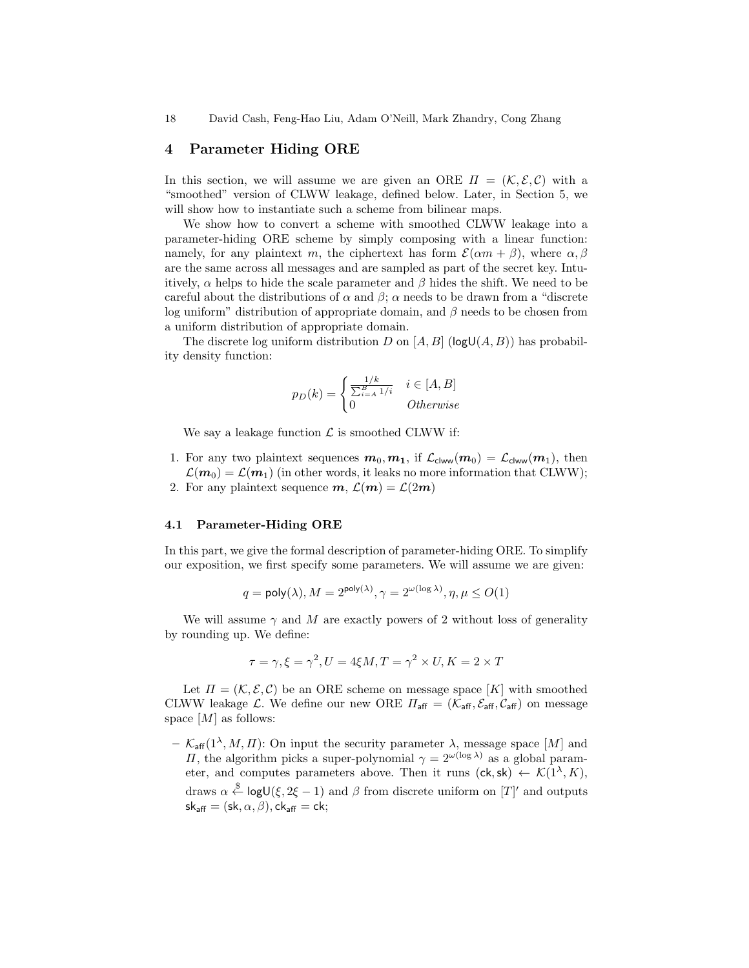18 David Cash, Feng-Hao Liu, Adam O'Neill, Mark Zhandry, Cong Zhang

## 4 Parameter Hiding ORE

In this section, we will assume we are given an ORE  $\Pi = (\mathcal{K}, \mathcal{E}, \mathcal{C})$  with a "smoothed" version of CLWW leakage, defined below. Later, in Section 5, we will show how to instantiate such a scheme from bilinear maps.

We show how to convert a scheme with smoothed CLWW leakage into a parameter-hiding ORE scheme by simply composing with a linear function: namely, for any plaintext m, the ciphertext has form  $\mathcal{E}(\alpha m + \beta)$ , where  $\alpha, \beta$ are the same across all messages and are sampled as part of the secret key. Intuitively,  $\alpha$  helps to hide the scale parameter and  $\beta$  hides the shift. We need to be careful about the distributions of  $\alpha$  and  $\beta$ ;  $\alpha$  needs to be drawn from a "discrete" log uniform" distribution of appropriate domain, and  $\beta$  needs to be chosen from a uniform distribution of appropriate domain.

The discrete log uniform distribution D on  $[A, B]$  (logU $(A, B)$ ) has probability density function:

$$
p_D(k) = \begin{cases} \frac{1/k}{\sum_{i=A}^B 1/i} & i \in [A, B] \\ 0 & Otherwise \end{cases}
$$

We say a leakage function  $\mathcal L$  is smoothed CLWW if:

- 1. For any two plaintext sequences  $m_0, m_1$ , if  $\mathcal{L}_{\text{clww}}(m_0) = \mathcal{L}_{\text{clww}}(m_1)$ , then  $\mathcal{L}(m_0) = \mathcal{L}(m_1)$  (in other words, it leaks no more information that CLWW);
- 2. For any plaintext sequence  $m, \mathcal{L}(m) = \mathcal{L}(2m)$

#### 4.1 Parameter-Hiding ORE

In this part, we give the formal description of parameter-hiding ORE. To simplify our exposition, we first specify some parameters. We will assume we are given:

$$
q = \text{poly}(\lambda), M = 2^{\text{poly}(\lambda)}, \gamma = 2^{\omega(\log \lambda)}, \eta, \mu \leq O(1)
$$

We will assume  $\gamma$  and M are exactly powers of 2 without loss of generality by rounding up. We define:

$$
\tau = \gamma, \xi = \gamma^2, U = 4\xi M, T = \gamma^2 \times U, K = 2 \times T
$$

Let  $\Pi = (\mathcal{K}, \mathcal{E}, \mathcal{C})$  be an ORE scheme on message space [K] with smoothed CLWW leakage L. We define our new ORE  $\Pi_{\text{aff}} = (\mathcal{K}_{\text{aff}}, \mathcal{E}_{\text{aff}}, \mathcal{C}_{\text{aff}})$  on message space  $[M]$  as follows:

 $\mathcal{K}_{\text{aff}}(1^{\lambda}, M, \Pi)$ : On input the security parameter  $\lambda$ , message space [M] and  $\Pi$ , the algorithm picks a super-polynomial  $\gamma = 2^{\omega(\log \lambda)}$  as a global parameter, and computes parameters above. Then it runs  $(\mathsf{ck}, \mathsf{sk}) \leftarrow \mathcal{K}(1^{\lambda}, K)$ , draws  $\alpha \stackrel{\$}{\leftarrow} \log U(\xi, 2\xi - 1)$  and  $\beta$  from discrete uniform on  $[T]'$  and outputs  $sk_{\text{aff}} = (sk, \alpha, \beta), ck_{\text{aff}} = ck;$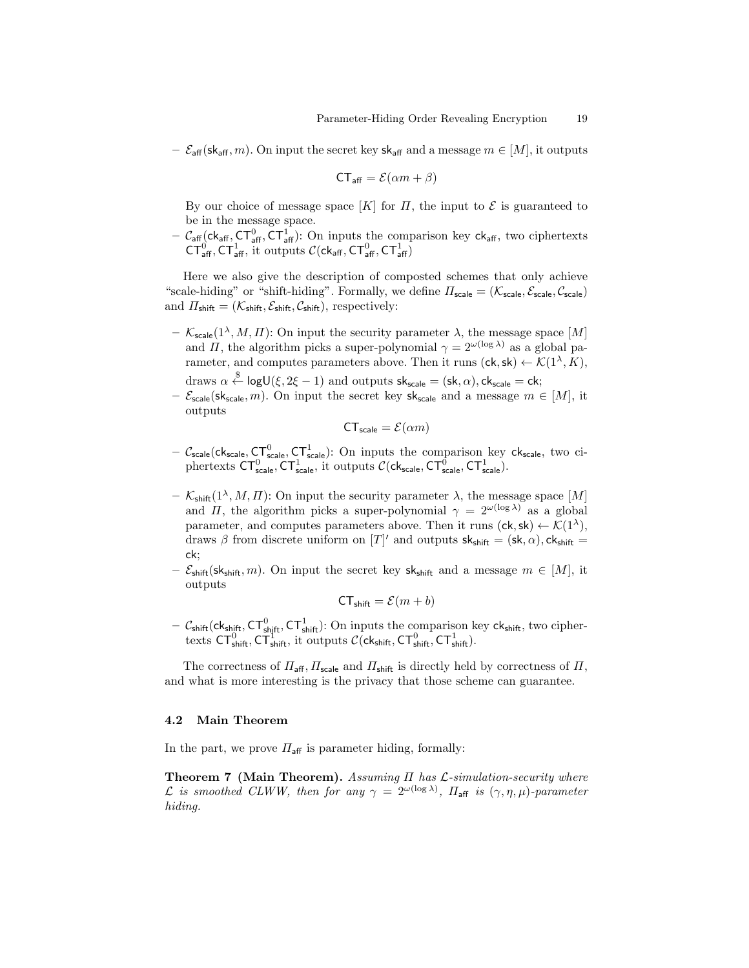$\mathcal{E}_{\text{aff}}(\text{sk}_{\text{aff}}, m)$ . On input the secret key sk<sub>aff</sub> and a message  $m \in [M]$ , it outputs

$$
CT_{\text{aff}} = \mathcal{E}(\alpha m + \beta)
$$

By our choice of message space [K] for  $\Pi$ , the input to  $\mathcal E$  is guaranteed to be in the message space.

 $C_{\text{aff}}(ck_{\text{aff}},\text{CT}_{\text{aff}}^0,C\text{T}_{\text{aff}}^1)$ : On inputs the comparison key  $ck_{\text{aff}},$  two ciphertexts  $CT_{\text{aff}}^0$ ,  $CT_{\text{aff}}^1$ , it outputs  $\mathcal{C}(\text{ck}_{\text{aff}}, \text{CT}_{\text{aff}}^0, \text{CT}_{\text{aff}}^1)$ 

Here we also give the description of composted schemes that only achieve "scale-hiding" or "shift-hiding". Formally, we define  $\Pi_{\text{scale}} = (\mathcal{K}_{\text{scale}}, \mathcal{E}_{\text{scale}}, \mathcal{C}_{\text{scale}})$ and  $\Pi_{\text{shift}} = (\mathcal{K}_{\text{shift}}, \mathcal{E}_{\text{shift}}, \mathcal{C}_{\text{shift}})$ , respectively:

 $-$  K<sub>scale</sub> (1<sup> $\lambda$ </sup>, *M*, *II*): On input the security parameter  $\lambda$ , the message space [*M*] and  $\Pi$ , the algorithm picks a super-polynomial  $\gamma = 2^{\omega(\log \lambda)}$  as a global parameter, and computes parameters above. Then it runs  $(\mathsf{ck}, \mathsf{sk}) \leftarrow \mathcal{K}(1^{\lambda}, K)$ ,

draws  $\alpha \stackrel{\$}{\leftarrow} \mathsf{logU}(\xi, 2\xi - 1)$  and outputs  $\mathsf{sk}_\mathsf{scale} = (\mathsf{sk}, \alpha), \mathsf{ck}_\mathsf{scale} = \mathsf{ck};$ 

–  $\mathcal{E}_{scale}(sk_{scale}, m)$ . On input the secret key sk<sub>scale</sub> and a message  $m \in [M]$ , it outputs

$$
\mathsf{CT}_{\mathsf{scale}} = \mathcal{E}(\alpha m)
$$

- $C_{scale}(ck_{scale}, \text{CT}_{scale}^0):$  On inputs the comparison key  $ck_{scale}$ , two ciphertexts  $CT_{scale}^0$ ,  $CT_{scale}^1$ , it outputs  $\mathcal{C}(\mathsf{ck}_{scale}, \mathsf{CT}_{scale}^0, \mathsf{CT}_{scale}^1)$ .
- $-$  K<sub>shift</sub>(1<sup> $\lambda$ </sup>, *M*, *II*): On input the security parameter  $\lambda$ , the message space [*M*] and  $\Pi$ , the algorithm picks a super-polynomial  $\gamma = 2^{\omega(\log \lambda)}$  as a global parameter, and computes parameters above. Then it runs  $(ck, sk) \leftarrow \mathcal{K}(1^{\lambda}),$ draws  $\beta$  from discrete uniform on  $[T]'$  and outputs  $sk_{shift} = (sk, \alpha)$ ,  $ck_{shift} =$ ck;
- $\mathcal{E}_{\text{shift}}(\text{sk}_{\text{shift}}, m)$ . On input the secret key  $\text{sk}_{\text{shift}}$  and a message  $m \in [M]$ , it outputs

$$
CT_{\text{shift}} = \mathcal{E}(m+b)
$$

-  $\mathcal{C}_{\mathsf{shift}}(\mathsf{ck}_{\mathsf{shift}},\mathsf{CT}_{\mathsf{shift}}^0)$ : On inputs the comparison key  $\mathsf{ck}_{\mathsf{shift}},$  two ciphertexts  $\mathsf{CT}_{\mathsf{shift}}^0$ ,  $\mathsf{CT}_{\mathsf{shift}}^1$ , it outputs  $\mathcal{C}(\mathsf{ck}_{\mathsf{shift}}, \mathsf{CT}_{\mathsf{shift}}^0, \mathsf{CT}_{\mathsf{shift}}^1)$ .

The correctness of  $\Pi_{\text{aff}}$ ,  $\Pi_{\text{scale}}$  and  $\Pi_{\text{shift}}$  is directly held by correctness of  $\Pi$ , and what is more interesting is the privacy that those scheme can guarantee.

#### 4.2 Main Theorem

In the part, we prove  $\Pi_{\mathsf{aff}}$  is parameter hiding, formally:

**Theorem 7 (Main Theorem).** Assuming  $\Pi$  has  $\mathcal{L}$ -simulation-security where L is smoothed CLWW, then for any  $\gamma = 2^{\omega(\log \lambda)}$ ,  $\Pi_{\text{aff}}$  is  $(\gamma, \eta, \mu)$ -parameter hiding.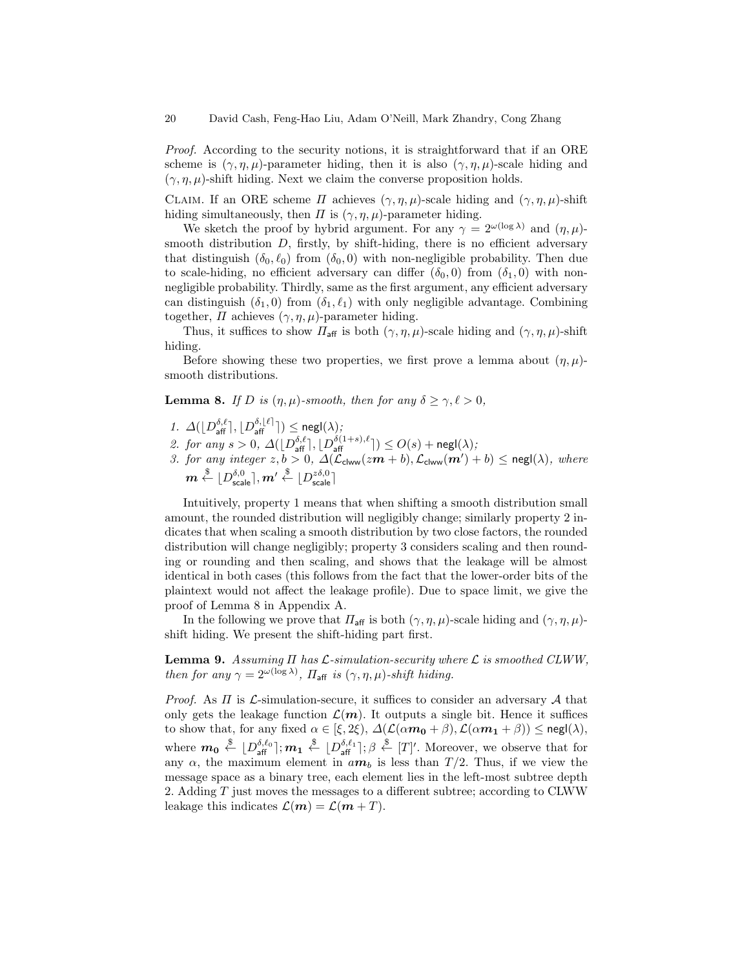Proof. According to the security notions, it is straightforward that if an ORE scheme is  $(\gamma, \eta, \mu)$ -parameter hiding, then it is also  $(\gamma, \eta, \mu)$ -scale hiding and  $(\gamma, \eta, \mu)$ -shift hiding. Next we claim the converse proposition holds.

CLAIM. If an ORE scheme  $\Pi$  achieves  $(\gamma, \eta, \mu)$ -scale hiding and  $(\gamma, \eta, \mu)$ -shift hiding simultaneously, then  $\Pi$  is  $(\gamma, \eta, \mu)$ -parameter hiding.

We sketch the proof by hybrid argument. For any  $\gamma = 2^{\omega(\log \lambda)}$  and  $(\eta, \mu)$ smooth distribution  $D$ , firstly, by shift-hiding, there is no efficient adversary that distinguish  $(\delta_0, \ell_0)$  from  $(\delta_0, 0)$  with non-negligible probability. Then due to scale-hiding, no efficient adversary can differ  $(\delta_0, 0)$  from  $(\delta_1, 0)$  with nonnegligible probability. Thirdly, same as the first argument, any efficient adversary can distinguish  $(\delta_1, 0)$  from  $(\delta_1, \ell_1)$  with only negligible advantage. Combining together,  $\Pi$  achieves  $(\gamma, \eta, \mu)$ -parameter hiding.

Thus, it suffices to show  $\Pi_{\text{aff}}$  is both  $(\gamma, \eta, \mu)$ -scale hiding and  $(\gamma, \eta, \mu)$ -shift hiding.

Before showing these two properties, we first prove a lemma about  $(\eta, \mu)$ smooth distributions.

**Lemma 8.** If D is  $(\eta, \mu)$ -smooth, then for any  $\delta \geq \gamma, \ell > 0$ ,

- 1.  $\Delta( \lfloor D_{\mathsf{aff}}^{\delta,\ell} \rceil, \lfloor D_{\mathsf{aff}}^{\delta,\lfloor \ell \rfloor} \rceil ) \leq \mathsf{negl}(\lambda);$
- 2. for any  $s > 0$ ,  $\Delta( \lfloor D_{\text{aff}}^{\delta,\ell} \rceil, \lfloor D_{\text{aff}}^{\delta(1+s),\ell} \rceil) \leq O(s) + \text{negl}(\lambda);$
- 3. for any integer  $z, b > 0$ ,  $\Delta(\mathcal{L}_{\text{clww}}(zm + b), \mathcal{L}_{\text{clww}}(m') + b) \leq \text{negl}(\lambda)$ , where  $\boldsymbol{m} \overset{\$}{\leftarrow} \lfloor D_{\sf scale}^{\delta,0} \rceil, \boldsymbol{m}' \overset{\$}{\leftarrow} \lfloor D_{\sf scale}^{z\delta,0} \rceil$

Intuitively, property 1 means that when shifting a smooth distribution small amount, the rounded distribution will negligibly change; similarly property 2 indicates that when scaling a smooth distribution by two close factors, the rounded distribution will change negligibly; property 3 considers scaling and then rounding or rounding and then scaling, and shows that the leakage will be almost identical in both cases (this follows from the fact that the lower-order bits of the plaintext would not affect the leakage profile). Due to space limit, we give the proof of Lemma 8 in Appendix A.

In the following we prove that  $\Pi_{\text{aff}}$  is both  $(\gamma, \eta, \mu)$ -scale hiding and  $(\gamma, \eta, \mu)$ shift hiding. We present the shift-hiding part first.

**Lemma 9.** Assuming  $\Pi$  has  $\mathcal{L}$ -simulation-security where  $\mathcal{L}$  is smoothed CLWW, then for any  $\gamma = 2^{\omega(\log \lambda)}$ ,  $\Pi_{\text{aff}}$  is  $(\gamma, \eta, \mu)$ -shift hiding.

*Proof.* As  $\Pi$  is  $\mathcal{L}$ -simulation-secure, it suffices to consider an adversary  $\mathcal{A}$  that only gets the leakage function  $\mathcal{L}(m)$ . It outputs a single bit. Hence it suffices to show that, for any fixed  $\alpha \in [\xi, 2\xi), \Delta(\mathcal{L}(\alpha m_0 + \beta), \mathcal{L}(\alpha m_1 + \beta)) \leq \text{negl}(\lambda),$ where  $m_0 \stackrel{\$}{\leftarrow} [D_{\text{aff}}^{\delta,\ell_0}]$ ;  $m_1 \stackrel{\$}{\leftarrow} [D_{\text{aff}}^{\delta,\ell_1}]$ ;  $\beta \stackrel{\$}{\leftarrow} [T]'$ . Moreover, we observe that for any  $\alpha$ , the maximum element in  $am_b$  is less than  $T/2$ . Thus, if we view the message space as a binary tree, each element lies in the left-most subtree depth 2. Adding T just moves the messages to a different subtree; according to CLWW leakage this indicates  $\mathcal{L}(m) = \mathcal{L}(m+T)$ .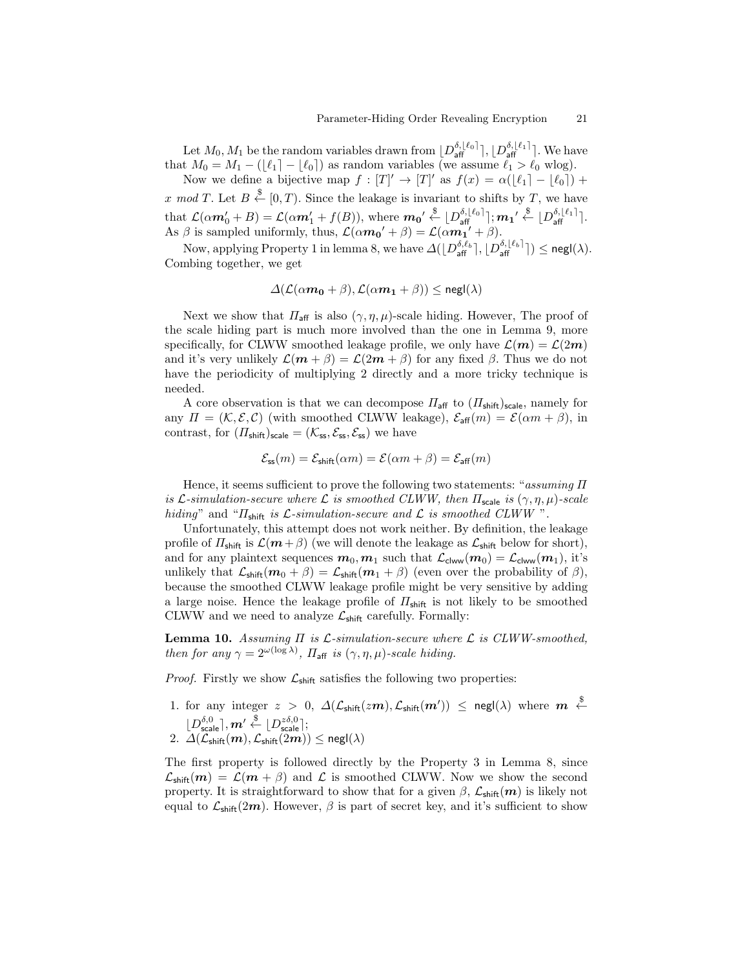Let  $M_0, M_1$  be the random variables drawn from  $\lfloor D_{\mathsf{aff}}^{\delta, \lfloor \ell_0 \rceil} \rceil, \lfloor D_{\mathsf{aff}}^{\delta, \lfloor \ell_1 \rceil} \rceil$ . We have that  $M_0 = M_1 - (\lfloor \ell_1 \rfloor - \lfloor \ell_0 \rfloor)$  as random variables (we assume  $\ell_1 > \ell_0$  wlog).

Now we define a bijective map  $f : [T] \rightarrow [T]$ ' as  $f(x) = \alpha(\lfloor \ell_1 \rfloor - \lfloor \ell_0 \rfloor) + \cdots$ x mod T. Let  $B \stackrel{\$}{\leftarrow} [0,T)$ . Since the leakage is invariant to shifts by T, we have that  $\mathcal{L}(\alpha m_0' + B) = \mathcal{L}(\alpha m_1' + f(B))$ , where  $m_0' \stackrel{\$}{\leftarrow} [D_{\text{aff}}^{\delta, \lfloor \ell_0 \rfloor}]; m_1' \stackrel{\$}{\leftarrow} [D_{\text{aff}}^{\delta, \lfloor \ell_1 \rfloor}].$ As  $\beta$  is sampled uniformly, thus,  $\mathcal{L}(\alpha m_0' + \beta) = \mathcal{L}(\alpha m_1' + \beta)$ .

Now, applying Property 1 in lemma 8, we have  $\Delta( \lfloor D_{\mathsf{aff}}^{\delta, \ell_b} \rceil, \lfloor D_{\mathsf{aff}}^{\delta, \lfloor \ell_b \rceil} \rceil) \leq \mathsf{negl}(\lambda).$ Combing together, we get

$$
\varDelta(\mathcal{L}(\alpha \boldsymbol{m_0}+\beta),\mathcal{L}(\alpha \boldsymbol{m_1}+\beta))\leq \mathsf{negl}(\lambda)
$$

Next we show that  $\Pi_{\text{aff}}$  is also  $(\gamma, \eta, \mu)$ -scale hiding. However, The proof of the scale hiding part is much more involved than the one in Lemma 9, more specifically, for CLWW smoothed leakage profile, we only have  $\mathcal{L}(m) = \mathcal{L}(2m)$ and it's very unlikely  $\mathcal{L}(m + \beta) = \mathcal{L}(2m + \beta)$  for any fixed  $\beta$ . Thus we do not have the periodicity of multiplying 2 directly and a more tricky technique is needed.

A core observation is that we can decompose  $\Pi_{\text{aff}}$  to  $(\Pi_{\text{shift}})_{\text{scale}}$ , namely for any  $\Pi = (\mathcal{K}, \mathcal{E}, \mathcal{C})$  (with smoothed CLWW leakage),  $\mathcal{E}_{\text{aff}}(m) = \mathcal{E}(\alpha m + \beta)$ , in contrast, for  $(\Pi_{\text{shift}})_{\text{scale}} = (\mathcal{K}_{\text{ss}}, \mathcal{E}_{\text{ss}}, \mathcal{E}_{\text{ss}})$  we have

$$
\mathcal{E}_{\text{ss}}(m) = \mathcal{E}_{\text{shift}}(\alpha m) = \mathcal{E}(\alpha m + \beta) = \mathcal{E}_{\text{aff}}(m)
$$

Hence, it seems sufficient to prove the following two statements: "assuming  $\Pi$ is L-simulation-secure where L is smoothed CLWW, then  $\Pi_{scale}$  is  $(\gamma, \eta, \mu)$ -scale hiding" and " $\Pi_{\text{shift}}$  is  $\mathcal{L}\text{-}simulation\text{-}secure$  and  $\mathcal{L}$  is smoothed CLWW".

Unfortunately, this attempt does not work neither. By definition, the leakage profile of  $\Pi_{\text{shift}}$  is  $\mathcal{L}(m+\beta)$  (we will denote the leakage as  $\mathcal{L}_{\text{shift}}$  below for short), and for any plaintext sequences  $m_0, m_1$  such that  $\mathcal{L}_{\text{clww}}(m_0) = \mathcal{L}_{\text{clww}}(m_1)$ , it's unlikely that  $\mathcal{L}_{\text{shift}}(m_0 + \beta) = \mathcal{L}_{\text{shift}}(m_1 + \beta)$  (even over the probability of  $\beta$ ), because the smoothed CLWW leakage profile might be very sensitive by adding a large noise. Hence the leakage profile of  $\Pi_{\text{shift}}$  is not likely to be smoothed CLWW and we need to analyze  $\mathcal{L}_{\text{shift}}$  carefully. Formally:

**Lemma 10.** Assuming  $\Pi$  is  $\mathcal{L}$ -simulation-secure where  $\mathcal{L}$  is CLWW-smoothed, then for any  $\gamma = 2^{\omega(\log \lambda)}$ ,  $\Pi_{\text{aff}}$  is  $(\gamma, \eta, \mu)$ -scale hiding.

*Proof.* Firstly we show  $\mathcal{L}_{\text{shift}}$  satisfies the following two properties:

- 1. for any integer  $z > 0$ ,  $\Delta(\mathcal{L}_{\text{shift}}(zm), \mathcal{L}_{\text{shift}}(m')) \leq \text{negl}(\lambda)$  where  $m \stackrel{\$}{\leftarrow}$  $\lfloor D_{\sf scale}^{\delta,0} \rceil, m' \stackrel{\$}{\leftarrow} \lfloor D_{\sf scale}^{z\delta,0} \rceil;$
- $2.~~\varDelta(\mathcal{L}_{\mathsf{shift}}(\bm{m}),\mathcal{L}_{\mathsf{shift}}(2\bm{m})) \leq \mathsf{negl}(\lambda)$

The first property is followed directly by the Property 3 in Lemma 8, since  $\mathcal{L}_{\text{shift}}(m) = \mathcal{L}(m + \beta)$  and  $\mathcal{L}$  is smoothed CLWW. Now we show the second property. It is straightforward to show that for a given  $\beta$ ,  $\mathcal{L}_{\text{shift}}(m)$  is likely not equal to  $\mathcal{L}_{\text{shift}}(2m)$ . However,  $\beta$  is part of secret key, and it's sufficient to show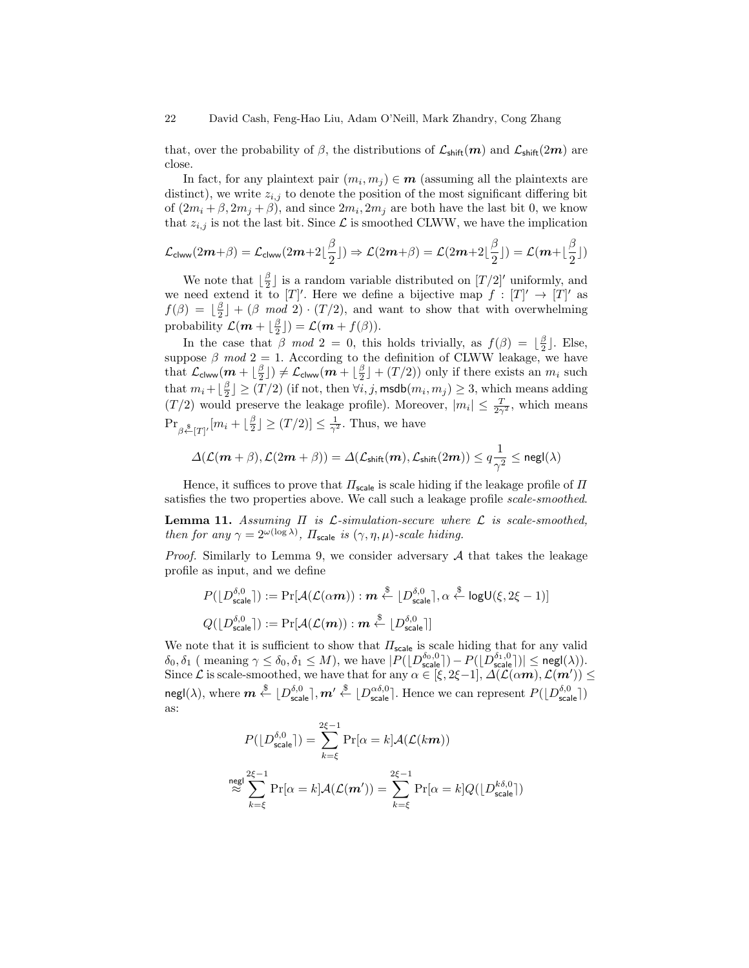#### 22 David Cash, Feng-Hao Liu, Adam O'Neill, Mark Zhandry, Cong Zhang

that, over the probability of  $\beta$ , the distributions of  $\mathcal{L}_{\text{shift}}(m)$  and  $\mathcal{L}_{\text{shift}}(2m)$  are close.

In fact, for any plaintext pair  $(m_i, m_j) \in \mathbf{m}$  (assuming all the plaintexts are distinct), we write  $z_{i,j}$  to denote the position of the most significant differing bit of  $(2m_i + \beta, 2m_j + \beta)$ , and since  $2m_i, 2m_j$  are both have the last bit 0, we know that  $z_{i,j}$  is not the last bit. Since  $\mathcal{L}$  is smoothed CLWW, we have the implication

$$
\mathcal{L}_{\text{clww}}(2m+\beta) = \mathcal{L}_{\text{clww}}(2m+2\lfloor\frac{\beta}{2}\rfloor) \Rightarrow \mathcal{L}(2m+\beta) = \mathcal{L}(2m+2\lfloor\frac{\beta}{2}\rfloor) = \mathcal{L}(m+\lfloor\frac{\beta}{2}\rfloor)
$$

We note that  $\lfloor \frac{\beta}{2} \rfloor$  is a random variable distributed on  $[T / 2]$ <sup>'</sup> uniformly, and we need extend it to  $[T]'$ . Here we define a bijective map  $f : [T]' \rightarrow [T]'$  as  $f(\beta) = \lfloor \frac{\beta}{2} \rfloor + (\beta \mod 2) \cdot (T/2)$ , and want to show that with overwhelming probability  $\mathcal{L}(\mathbf{m} + \lfloor \frac{\beta}{2} \rfloor) = \mathcal{L}(\mathbf{m} + f(\beta)).$ 

In the case that  $\beta$  mod 2 = 0, this holds trivially, as  $f(\beta) = \lfloor \frac{\beta}{2} \rfloor$ . Else, suppose  $\beta$  mod 2 = 1. According to the definition of CLWW leakage, we have that  $\mathcal{L}_{\text{clww}}(\bm{m} + \lfloor \frac{\beta}{2} \rfloor) \neq \mathcal{L}_{\text{clww}}(\bm{m} + \lfloor \frac{\beta}{2} \rfloor + (T/2))$  only if there exists an  $m_i$  such that  $m_i + \lfloor \frac{\beta}{2} \rfloor \ge (T/2)$  (if not, then  $\forall i, j$ , msdb $(m_i, m_j) \ge 3$ , which means adding  $(T/2)$  would preserve the leakage profile). Moreover,  $|m_i| \leq \frac{T}{2\gamma^2}$ , which means  $\Pr_{\beta \stackrel{\$}{\leftarrow} [T]'} [m_i + \lfloor \frac{\beta}{2} \rfloor \ge (T/2)] \le \frac{1}{\gamma^2}$ . Thus, we have

$$
\varDelta(\mathcal{L}(\boldsymbol{m}+\beta),\mathcal{L}(2\boldsymbol{m}+\beta))=\varDelta(\mathcal{L}_\text{shift}(\boldsymbol{m}),\mathcal{L}_\text{shift}(2\boldsymbol{m}))\leq q\frac{1}{\gamma^2}\leq \mathsf{negl}(\lambda)
$$

Hence, it suffices to prove that  $\Pi_{scale}$  is scale hiding if the leakage profile of  $\Pi$ satisfies the two properties above. We call such a leakage profile *scale-smoothed*.

**Lemma 11.** Assuming  $\Pi$  is  $\mathcal{L}$ -simulation-secure where  $\mathcal{L}$  is scale-smoothed, then for any  $\gamma = 2^{\omega(\log \lambda)}$ ,  $\Pi_{scale}$  is  $(\gamma, \eta, \mu)$ -scale hiding.

*Proof.* Similarly to Lemma 9, we consider adversary  $A$  that takes the leakage profile as input, and we define

$$
P(\lfloor D^{ \delta, 0 }_{\mathsf{scale}} \rceil) := \Pr[\mathcal{A}(\mathcal{L}(\alpha \mathbf{m})) : \mathbf{m} \stackrel{\$}{\leftarrow} \lfloor D^{ \delta, 0 }_{\mathsf{scale}} \rceil, \alpha \stackrel{\$}{\leftarrow} \log \mathsf{U}(\xi, 2\xi - 1) \rfloor
$$
  

$$
Q(\lfloor D^{ \delta, 0 }_{\mathsf{scale}} \rceil) := \Pr[\mathcal{A}(\mathcal{L}(\mathbf{m})) : \mathbf{m} \stackrel{\$}{\leftarrow} \lfloor D^{ \delta, 0 }_{\mathsf{scale}} \rfloor]
$$

We note that it is sufficient to show that  $\Pi_{\text{scale}}$  is scale hiding that for any valid  $\delta_0, \delta_1$  (meaning  $\gamma \le \delta_0, \delta_1 \le M$ ), we have  $|P(\lfloor D_{\text{scale}}^{\delta_0,0} \rfloor) - P(\lfloor D_{\text{scale}}^{\delta_1,0} \rfloor)| \le \mathsf{negl}(\lambda)).$ Since  $\mathcal L$  is scale-smoothed, we have that for any  $\alpha \in [\xi, 2\xi-1], \Delta(\mathcal L(\alpha m), \mathcal L(m')) \leq$  $\mathsf{negl}(\lambda)$ , where  $\boldsymbol{m} \overset{\$}{\leftarrow} \lfloor D_{\mathsf{scale}}^{\delta,0} \rfloor$ ,  $\boldsymbol{m}' \overset{\$}{\leftarrow} \lfloor D_{\mathsf{scale}}^{\alpha\delta,0} \rfloor$ . Hence we can represent  $P(\lfloor D_{\mathsf{scale}}^{\delta,0} \rfloor)$ as:

$$
P(\lfloor D_{\text{scale}}^{\delta,0} \rfloor) = \sum_{k=\xi}^{2\xi-1} \Pr[\alpha = k] \mathcal{A}(\mathcal{L}(k\mathbf{m}))
$$
  

$$
\approx \sum_{k=\xi}^{\text{negl}} \Pr[\alpha = k] \mathcal{A}(\mathcal{L}(\mathbf{m}')) = \sum_{k=\xi}^{2\xi-1} \Pr[\alpha = k] Q(\lfloor D_{\text{scale}}^{k\delta,0} \rfloor)
$$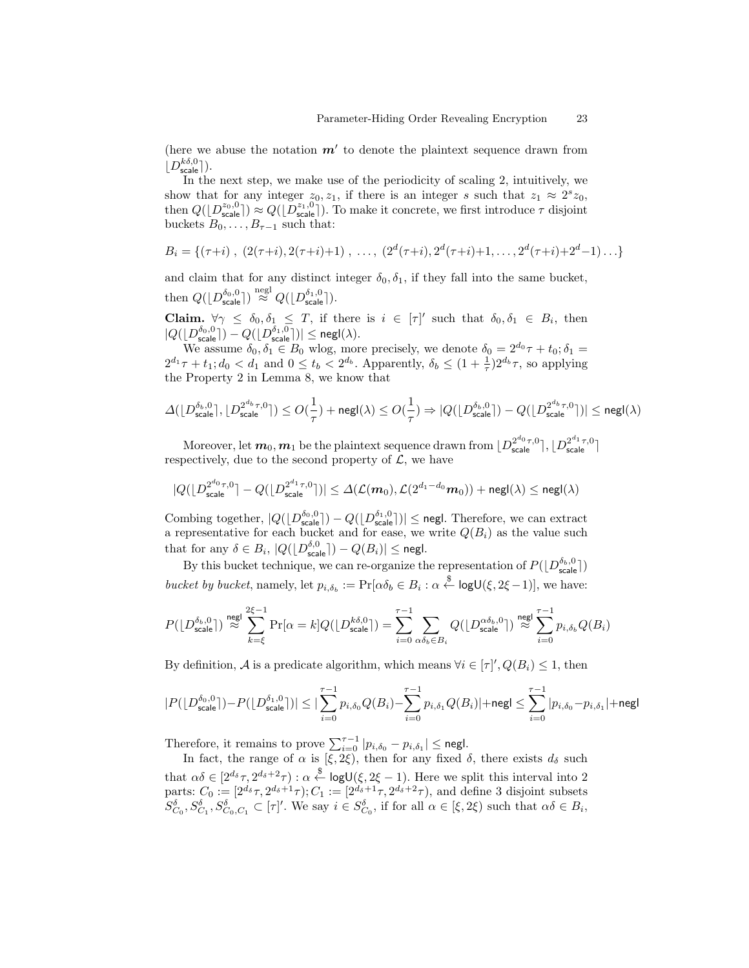(here we abuse the notation  $m'$  to denote the plaintext sequence drawn from  $\lfloor D^{k\delta,0}_\mathsf{scale} \rceil$ ).

In the next step, we make use of the periodicity of scaling 2, intuitively, we show that for any integer  $z_0, z_1$ , if there is an integer s such that  $z_1 \approx 2^s z_0$ , then  $Q(\lfloor D^{z_0,0}_{\text{scale}} \rfloor) \approx Q(\lfloor D^{z_1,0}_{\text{scale}} \rfloor)$ . To make it concrete, we first introduce  $\tau$  disjoint buckets  $B_0, \ldots, B_{\tau-1}$  such that:

$$
B_i = \{(\tau + i), (2(\tau + i), 2(\tau + i) + 1), \dots, (2^d(\tau + i), 2^d(\tau + i) + 1, \dots, 2^d(\tau + i) + 2^d - 1)\}.
$$

and claim that for any distinct integer  $\delta_0, \delta_1$ , if they fall into the same bucket, then  $Q(\lfloor D_{\text{scale}}^{\delta_0,0} \rfloor) \stackrel{\text{negl}}{\approx} Q(\lfloor D_{\text{scale}}^{\delta_1,0} \rfloor).$ 

Claim.  $\forall \gamma \leq \delta_0, \delta_1 \leq T$ , if there is  $i \in [\tau]'$  such that  $\delta_0, \delta_1 \in B_i$ , then  $|Q(\lfloor D_{\sf scale}^{\delta_0,0}\rfloor) - Q(\lfloor D_{\sf scale}^{\delta_1,0}\rceil)| \leq {\mathsf{negl}}(\lambda).$ 

We assume  $\delta_0, \delta_1 \in B_0$  wlog, more precisely, we denote  $\delta_0 = 2^{d_0}\tau + t_0; \delta_1 =$  $2^{d_1}\tau + t_1; d_0 < d_1$  and  $0 \le t_b < 2^{d_b}$ . Apparently,  $\delta_b \le (1 + \frac{1}{\tau})2^{d_b}\tau$ , so applying the Property 2 in Lemma 8, we know that

$$
\varDelta(\lfloor D_{\text{scale}}^{\delta_b,0}\lceil,\lfloor D_{\text{scale}}^{2^{d_b}\tau,0}\rceil)\leq O(\frac{1}{\tau})+\text{negl}(\lambda)\leq O(\frac{1}{\tau})\Rightarrow |Q(\lfloor D_{\text{scale}}^{\delta_b,0}\rceil)-Q(\lfloor D_{\text{scale}}^{2^{d_b}\tau,0}\rceil)|\leq \text{negl}(\lambda)
$$

Moreover, let  $m_0,m_1$  be the plaintext sequence drawn from  $\lfloor D_{\sf scale}^{2^{d_0}\tau,0}\rceil,\lfloor D_{\sf scale}^{2^{d_1}\tau,0}\rceil$ respectively, due to the second property of  $\mathcal{L}$ , we have

$$
|Q(\lfloor D^{2^{d_0}\tau,0}_{\text{scale}}\rceil-Q(\lfloor D^{2^{d_1}\tau,0}_{\text{scale}}\rceil)|\leq \Delta(\mathcal{L}(m_0),\mathcal{L}(2^{d_1-d_0}m_0))+\mathsf{negl}(\lambda)\leq \mathsf{negl}(\lambda)
$$

Combing together,  $|Q(\lfloor D_{\sf scale}^{\delta_0,0} \rfloor) - Q(\lfloor D_{\sf scale}^{\delta_1,0} \rfloor)| \leq$  negl. Therefore, we can extract a representative for each bucket and for ease, we write  $Q(B_i)$  as the value such that for any  $\delta \in B_i$ ,  $|Q(\lfloor D_{\sf scale}^{\delta,0} \rfloor) - Q(B_i)| \leq$  negl.

By this bucket technique, we can re-organize the representation of  $P(\lfloor D_{\sf scale}^{\delta_b,0} \rfloor)$ bucket by bucket, namely, let  $p_{i,\delta_b} := \Pr[\alpha \delta_b \in B_i : \alpha \stackrel{\$}{\leftarrow} \log \mathsf{U}(\xi, 2\xi - 1)],$  we have:

$$
P(\lfloor D_{\text{scale}}^{\delta_b,0} \rfloor) \stackrel{\text{negl}}{\approx} \sum_{k=\xi}^{2\xi-1} \Pr[\alpha = k] Q(\lfloor D_{\text{scale}}^{k\delta,0} \rfloor) = \sum_{i=0}^{\tau-1} \sum_{\alpha\delta_b \in B_i} Q(\lfloor D_{\text{scale}}^{\alpha\delta_b,0} \rfloor) \stackrel{\text{negl}}{\approx} \sum_{i=0}^{\tau-1} p_{i,\delta_b} Q(B_i)
$$

By definition, A is a predicate algorithm, which means  $\forall i \in [\tau]'$ ,  $Q(B_i) \leq 1$ , then

$$
|P(\lfloor D_{\text{scale}}^{\delta_0,0} \rfloor) - P(\lfloor D_{\text{scale}}^{\delta_1,0} \rfloor)| \le |\sum_{i=0}^{\tau-1} p_{i,\delta_0} Q(B_i) - \sum_{i=0}^{\tau-1} p_{i,\delta_1} Q(B_i)| + \text{negl} \le \sum_{i=0}^{\tau-1} |p_{i,\delta_0} - p_{i,\delta_1}| + \text{negl}
$$

Therefore, it remains to prove  $\sum_{i=0}^{\tau-1} |p_{i,\delta_0} - p_{i,\delta_1}| \leq$  negl.

In fact, the range of  $\alpha$  is [ξ, 2ξ), then for any fixed  $\delta$ , there exists  $d_{\delta}$  such that  $\alpha\delta \in [2^{d_{\delta}}\tau, 2^{d_{\delta}+2}\tau)$ :  $\alpha \stackrel{\$}{\leftarrow} \log\mathsf{U}(\xi, 2\xi - 1)$ . Here we split this interval into 2 parts:  $C_0 := [2^{d_{\delta}} \tau, 2^{d_{\delta}+1} \tau); C_1 := [2^{d_{\delta}+1} \tau, 2^{d_{\delta}+2} \tau)$ , and define 3 disjoint subsets  $S_{C_0}^{\delta}$ ,  $S_{C_1}^{\delta}$ ,  $S_{C_0,C_1}^{\delta} \subset [\tau]'$ . We say  $i \in S_{C_0}^{\delta}$ , if for all  $\alpha \in [\xi, 2\xi)$  such that  $\alpha\delta \in B_i$ ,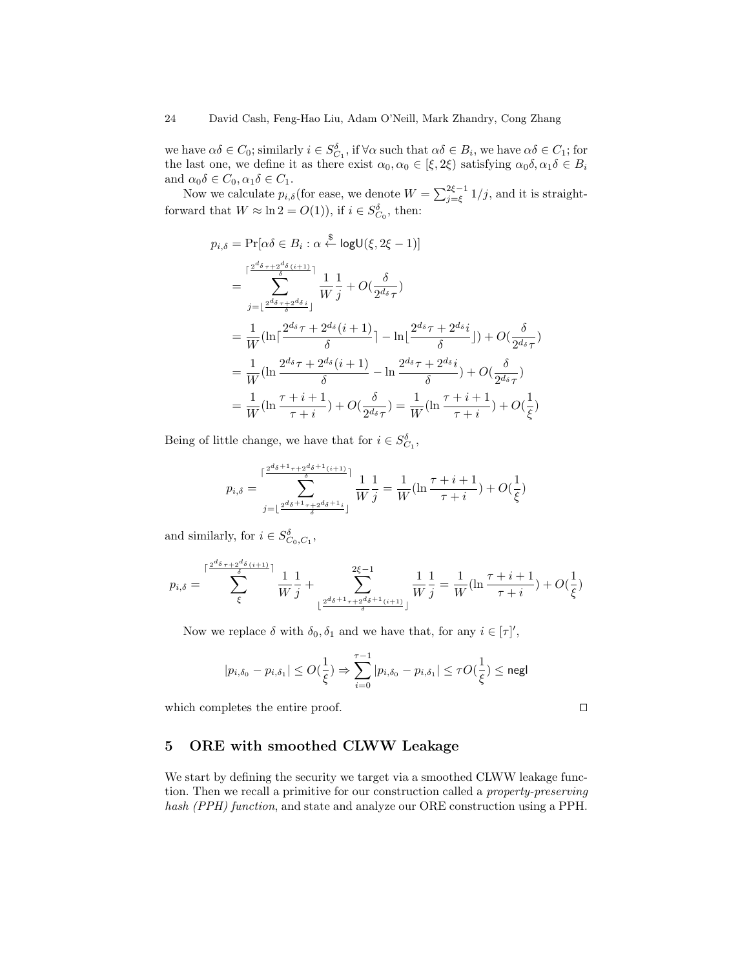we have  $\alpha\delta \in C_0$ ; similarly  $i \in S_{C_1}^{\delta}$ , if  $\forall \alpha$  such that  $\alpha\delta \in B_i$ , we have  $\alpha\delta \in C_1$ ; for the last one, we define it as there exist  $\alpha_0, \alpha_0 \in [\xi, 2\xi)$  satisfying  $\alpha_0 \delta, \alpha_1 \delta \in B_i$ and  $\alpha_0 \delta \in C_0, \alpha_1 \delta \in C_1$ .

Now we calculate  $p_{i,\delta}$  (for ease, we denote  $W = \sum_{j=\xi}^{2\xi-1} 1/j$ , and it is straightforward that  $W \approx \ln 2 = O(1)$ , if  $i \in S_{C_0}^{\delta}$ , then:

$$
p_{i,\delta} = \Pr[\alpha\delta \in B_i : \alpha \stackrel{\$}{\leftarrow} \log \mathsf{U}(\xi, 2\xi - 1)]
$$
  
\n
$$
= \sum_{j=\lfloor \frac{2^{d_{\delta}}\tau + 2^{d_{\delta}}(i+1)}{\delta} \rfloor}^{\lceil \frac{2^{d_{\delta}}\tau + 2^{d_{\delta}}(i+1)}{\delta} \rceil} \frac{1}{W} \frac{1}{j} + O(\frac{\delta}{2^{d_{\delta}}\tau})
$$
  
\n
$$
= \frac{1}{W} (\ln \lceil \frac{2^{d_{\delta}}\tau + 2^{d_{\delta}}(i+1)}{\delta} \rceil - \ln \lceil \frac{2^{d_{\delta}}\tau + 2^{d_{\delta}}(i)}{\delta} \rceil) + O(\frac{\delta}{2^{d_{\delta}}\tau})
$$
  
\n
$$
= \frac{1}{W} (\ln \frac{2^{d_{\delta}}\tau + 2^{d_{\delta}}(i+1)}{\delta} - \ln \frac{2^{d_{\delta}}\tau + 2^{d_{\delta}}(i)}{\delta}) + O(\frac{\delta}{2^{d_{\delta}}\tau})
$$
  
\n
$$
= \frac{1}{W} (\ln \frac{\tau + i + 1}{\tau + i}) + O(\frac{\delta}{2^{d_{\delta}}\tau}) = \frac{1}{W} (\ln \frac{\tau + i + 1}{\tau + i}) + O(\frac{1}{\xi})
$$

Being of little change, we have that for  $i \in S^{\delta}_{C_1}$ ,

$$
p_{i,\delta} = \sum_{j=\lfloor \frac{2^{d_{\delta}+1} + 2^{d_{\delta}+1}i + 1}{\delta} \rfloor}^{\lceil \frac{\delta}{\delta} + 1 \rceil} \frac{1}{W} \frac{1}{j} = \frac{1}{W} (\ln \frac{\tau + i + 1}{\tau + i}) + O(\frac{1}{\xi})
$$

and similarly, for  $i \in S_{C_0, C_1}^{\delta}$ ,

$$
p_{i,\delta} = \sum_{\xi}^{\lceil \frac{2^{d_{\delta}} \tau + 2^{d_{\delta}}(i+1)}{\delta} \rceil} \frac{1}{W} \frac{1}{j} + \sum_{\lfloor \frac{2^{d_{\delta}+1} \tau + 2^{d_{\delta}+1}(i+1)}{\delta} \rfloor}^{2\xi-1} \frac{1}{W} \frac{1}{j} = \frac{1}{W} (\ln \frac{\tau + i + 1}{\tau + i}) + O(\frac{1}{\xi})
$$

Now we replace  $\delta$  with  $\delta_0, \delta_1$  and we have that, for any  $i \in [\tau]'$ ,

$$
|p_{i,\delta_0} - p_{i,\delta_1}| \le O(\frac{1}{\xi}) \Rightarrow \sum_{i=0}^{\tau-1} |p_{i,\delta_0} - p_{i,\delta_1}| \le \tau O(\frac{1}{\xi}) \le \text{negl}
$$

which completes the entire proof.  $\Box$ 

## 5 ORE with smoothed CLWW Leakage

We start by defining the security we target via a smoothed CLWW leakage function. Then we recall a primitive for our construction called a property-preserving hash (PPH) function, and state and analyze our ORE construction using a PPH.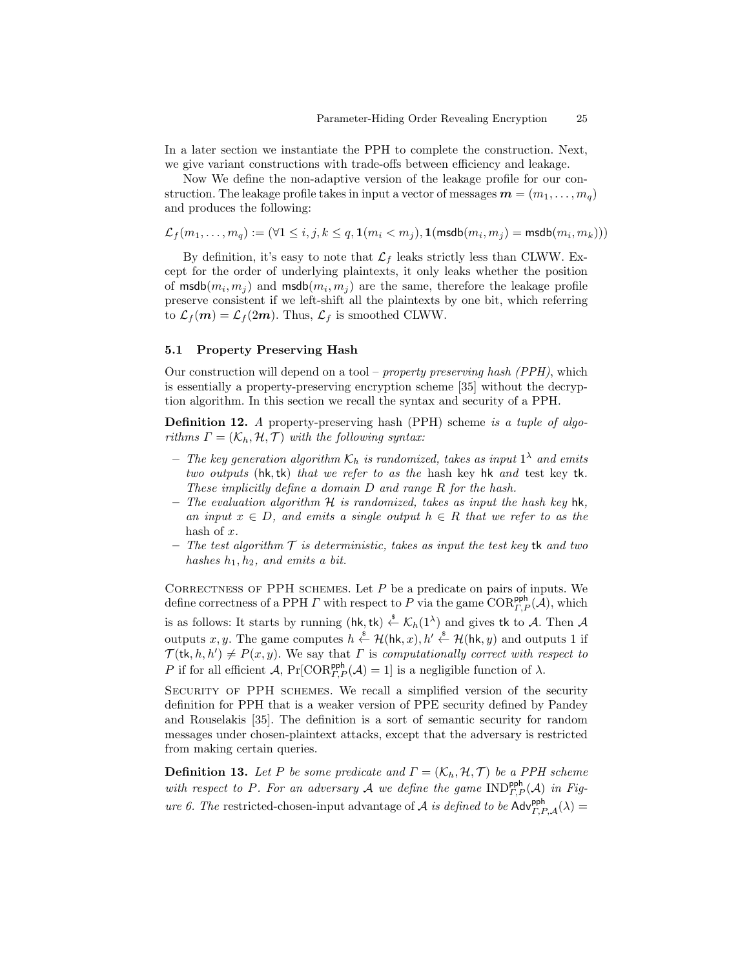In a later section we instantiate the PPH to complete the construction. Next, we give variant constructions with trade-offs between efficiency and leakage.

Now We define the non-adaptive version of the leakage profile for our construction. The leakage profile takes in input a vector of messages  $\mathbf{m} = (m_1, \ldots, m_q)$ and produces the following:

$$
\mathcal{L}_f(m_1,\ldots,m_q):=(\forall 1\leq i,j,k\leq q, \mathbf{1}(m_i
$$

By definition, it's easy to note that  $\mathcal{L}_f$  leaks strictly less than CLWW. Except for the order of underlying plaintexts, it only leaks whether the position of msdb $(m_i, m_j)$  and msdb $(m_i, m_j)$  are the same, therefore the leakage profile preserve consistent if we left-shift all the plaintexts by one bit, which referring to  $\mathcal{L}_f(\mathbf{m}) = \mathcal{L}_f(2\mathbf{m})$ . Thus,  $\mathcal{L}_f$  is smoothed CLWW.

#### 5.1 Property Preserving Hash

Our construction will depend on a tool – *property preserving hash (PPH)*, which is essentially a property-preserving encryption scheme [35] without the decryption algorithm. In this section we recall the syntax and security of a PPH.

Definition 12. A property-preserving hash (PPH) scheme is a tuple of algorithms  $\Gamma = (\mathcal{K}_h, \mathcal{H}, \mathcal{T})$  with the following syntax:

- The key generation algorithm  $\mathcal{K}_h$  is randomized, takes as input  $1^\lambda$  and emits two outputs (hk, tk) that we refer to as the hash key hk and test key tk. These implicitly define a domain D and range R for the hash.
- The evaluation algorithm  $H$  is randomized, takes as input the hash key hk, an input  $x \in D$ , and emits a single output  $h \in R$  that we refer to as the hash of  $x$ .
- The test algorithm  $\mathcal T$  is deterministic, takes as input the test key tk and two hashes  $h_1, h_2$ , and emits a bit.

CORRECTNESS OF PPH SCHEMES. Let  $P$  be a predicate on pairs of inputs. We define correctness of a PPH  $\Gamma$  with respect to  $P$  via the game  $\mathrm{COR}_{\Gamma,P}^{\mathsf{pph}}(\mathcal{A}),$  which is as follows: It starts by running (hk, tk)  $\stackrel{\$}{\leftarrow}$  K<sub>h</sub>(1<sup> $\lambda$ </sup>) and gives tk to A. Then A outputs x, y. The game computes  $h \overset{\$}{\leftarrow} \mathcal{H}(\mathsf{hk}, x), h' \overset{\$}{\leftarrow} \mathcal{H}(\mathsf{hk}, y)$  and outputs 1 if  $\mathcal{T}(\mathsf{tk}, h, h') \neq P(x, y)$ . We say that  $\Gamma$  is computationally correct with respect to P if for all efficient A,  $Pr[COR_{\Gamma,P}^{\text{pph}}(A) = 1]$  is a negligible function of  $\lambda$ .

SECURITY OF PPH SCHEMES. We recall a simplified version of the security definition for PPH that is a weaker version of PPE security defined by Pandey and Rouselakis [35]. The definition is a sort of semantic security for random messages under chosen-plaintext attacks, except that the adversary is restricted from making certain queries.

**Definition 13.** Let P be some predicate and  $\Gamma = (\mathcal{K}_h, \mathcal{H}, \mathcal{T})$  be a PPH scheme with respect to P. For an adversary A we define the game  $\text{IND}_{\Gamma,P}^{\text{pph}}(\mathcal{A})$  in Figure 6. The restricted-chosen-input advantage of A is defined to be  $\mathsf{Adv}_{r,P,A}^{\mathsf{pph}}(\lambda)$  =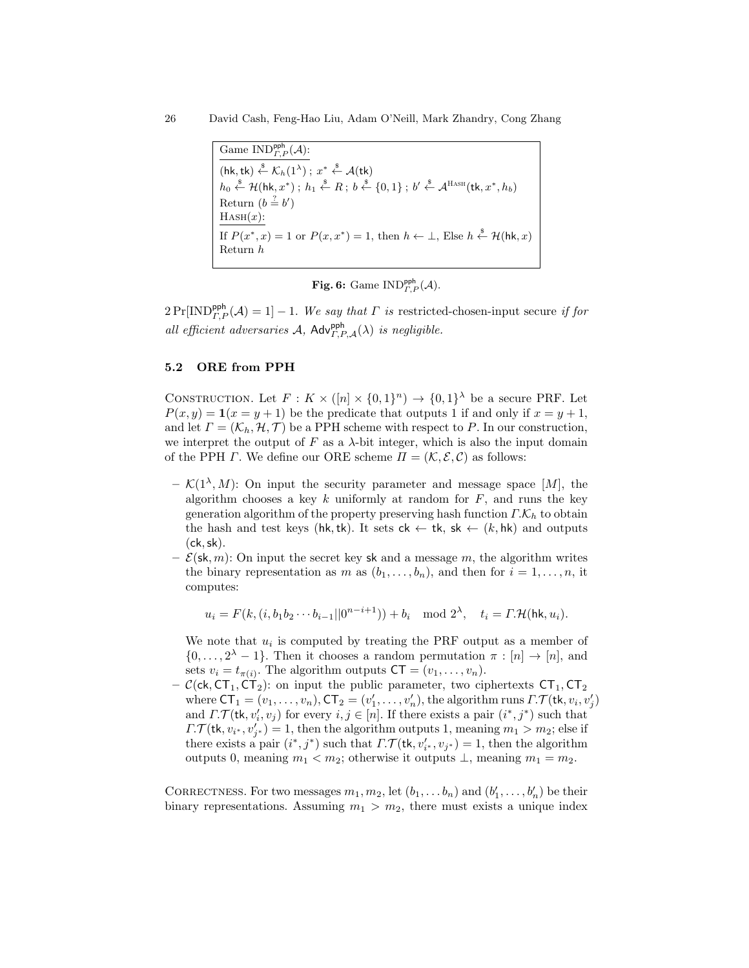26 David Cash, Feng-Hao Liu, Adam O'Neill, Mark Zhandry, Cong Zhang

Game  $\text{IND}_{\Gamma,P}^{\text{pph}}(\mathcal{A})$ :  $(hk, tk) \stackrel{\$}{\leftarrow} \mathcal{K}_h(1^{\lambda})$ ;  $x^* \stackrel{\$}{\leftarrow} \mathcal{A}(tk)$  $h_0 \stackrel{\$}{\leftarrow} \mathcal{H}(\mathsf{hk}, x^*)~;~h_1 \stackrel{\$}{\leftarrow} R~;~b \stackrel{\$}{\leftarrow} \{0,1\}~;~b' \stackrel{\$}{\leftarrow} \mathcal{A}^{\mathrm{HASH}}(\mathsf{tk}, x^*, h_b)$ Return  $(b \stackrel{?}{=} b')$  $HASH(x)$ : If  $P(x^*, x) = 1$  or  $P(x, x^*) = 1$ , then  $h \leftarrow \perp$ , Else  $h \stackrel{\$}{\leftarrow} \mathcal{H}(\mathsf{hk}, x)$ Return h

**Fig. 6:** Game  $\text{IND}_{\Gamma,P}^{\text{pph}}(\mathcal{A})$ .

 $2\Pr[\text{IND}_{\Gamma,P}^{\text{pph}}(\mathcal{A})=1]-1$ . We say that  $\Gamma$  is restricted-chosen-input secure if for all efficient adversaries A,  $\mathsf{Adv}_{\mathcal{F},P,A}^{\mathsf{pph}}(\lambda)$  is negligible.

#### 5.2 ORE from PPH

CONSTRUCTION. Let  $F: K \times ([n] \times \{0,1\}^n) \to \{0,1\}^{\lambda}$  be a secure PRF. Let  $P(x, y) = \mathbf{1}(x = y + 1)$  be the predicate that outputs 1 if and only if  $x = y + 1$ , and let  $\Gamma = (\mathcal{K}_h, \mathcal{H}, \mathcal{T})$  be a PPH scheme with respect to P. In our construction, we interpret the output of  $F$  as a  $\lambda$ -bit integer, which is also the input domain of the PPH  $\Gamma$ . We define our ORE scheme  $\Pi = (\mathcal{K}, \mathcal{E}, \mathcal{C})$  as follows:

- $\mathcal{K}(1^{\lambda}, M)$ : On input the security parameter and message space [M], the algorithm chooses a key k uniformly at random for  $F$ , and runs the key generation algorithm of the property preserving hash function  $\Gamma$ . $\mathcal{K}_h$  to obtain the hash and test keys (hk, tk). It sets  $ck \leftarrow tk$ , sk  $\leftarrow (k, hk)$  and outputs  $(ck, sk).$
- $-\mathcal{E}(\mathsf{sk}, m)$ : On input the secret key sk and a message m, the algorithm writes the binary representation as m as  $(b_1, \ldots, b_n)$ , and then for  $i = 1, \ldots, n$ , it computes:

$$
u_i = F(k, (i, b_1b_2 \cdots b_{i-1}||0^{n-i+1})) + b_i \mod 2^{\lambda}, \quad t_i = \Gamma \mathcal{H}(\mathsf{hk}, u_i).
$$

We note that  $u_i$  is computed by treating the PRF output as a member of  $\{0,\ldots,2^{\lambda}-1\}$ . Then it chooses a random permutation  $\pi:[n]\to[n]$ , and sets  $v_i = t_{\pi(i)}$ . The algorithm outputs  $CT = (v_1, \ldots, v_n)$ .

–  $C(\mathsf{ck}, \mathsf{CT}_1, \mathsf{CT}_2)$ : on input the public parameter, two ciphertexts  $\mathsf{CT}_1, \mathsf{CT}_2$ where  $\mathsf{CT}_1 = (v_1, \ldots, v_n), \mathsf{CT}_2 = (v'_1, \ldots, v'_n),$  the algorithm runs  $\Gamma. \mathcal{T}(\mathsf{tk}, v_i, v'_j)$ and  $\Gamma.\mathcal{T}(\mathsf{tk}, v'_i, v_j)$  for every  $i, j \in [n]$ . If there exists a pair  $(i^*, j^*)$  such that  $\Gamma \mathcal{T}(\mathsf{tk}, v_{i^*}, v'_{j^*}) = 1$ , then the algorithm outputs 1, meaning  $m_1 > m_2$ ; else if there exists a pair  $(i^*, j^*)$  such that  $\Gamma.\mathcal{T}(\mathsf{tk}, v'_{i^*}, v_{j^*}) = 1$ , then the algorithm outputs 0, meaning  $m_1 < m_2$ ; otherwise it outputs  $\perp$ , meaning  $m_1 = m_2$ .

CORRECTNESS. For two messages  $m_1, m_2$ , let  $(b_1, \ldots, b_n)$  and  $(b'_1, \ldots, b'_n)$  be their binary representations. Assuming  $m_1 > m_2$ , there must exists a unique index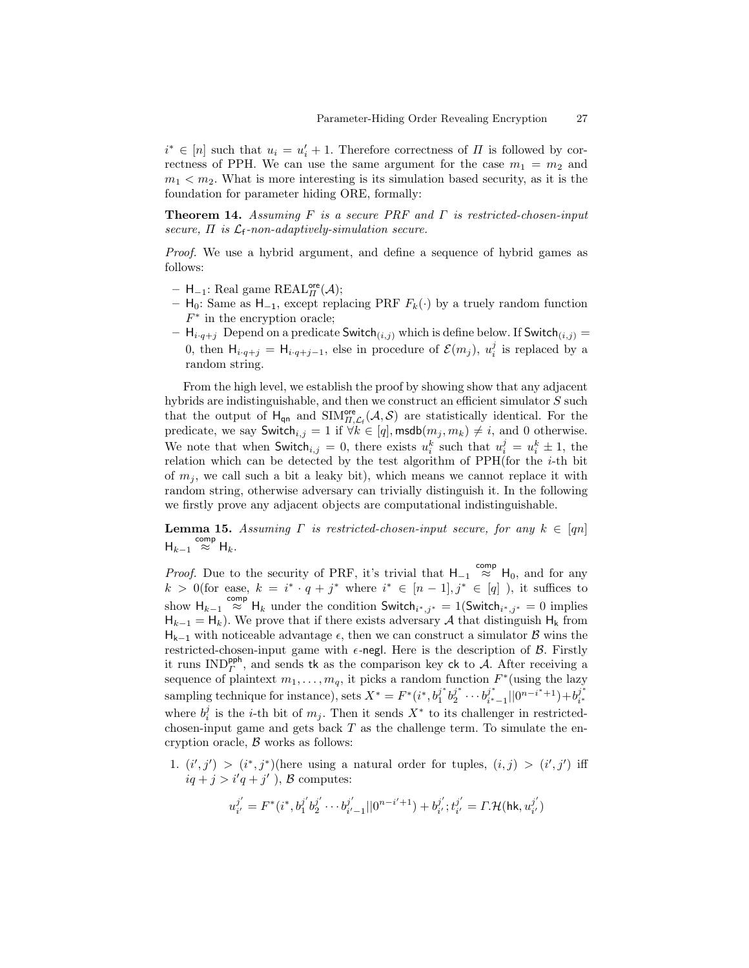$i^* \in [n]$  such that  $u_i = u'_i + 1$ . Therefore correctness of  $\Pi$  is followed by correctness of PPH. We can use the same argument for the case  $m_1 = m_2$  and  $m_1 < m_2$ . What is more interesting is its simulation based security, as it is the foundation for parameter hiding ORE, formally:

**Theorem 14.** Assuming F is a secure PRF and  $\Gamma$  is restricted-chosen-input secure,  $\Pi$  is  $\mathcal{L}_{f}$ -non-adaptively-simulation secure.

Proof. We use a hybrid argument, and define a sequence of hybrid games as follows:

- H<sub>−1</sub>: Real game REAL<sup>ore</sup>( $\mathcal{A}$ );
- H<sub>0</sub>: Same as H<sub>−1</sub>, except replacing PRF  $F_k(·)$  by a truely random function  $F^*$  in the encryption oracle;
- $H_{i\cdot q+j}$  Depend on a predicate Switch $(i,j)$  which is define below. If Switch $(i,j)$  = 0, then  $H_{i\cdot q+j} = H_{i\cdot q+j-1}$ , else in procedure of  $\mathcal{E}(m_j)$ ,  $u_i^j$  is replaced by a random string.

From the high level, we establish the proof by showing show that any adjacent hybrids are indistinguishable, and then we construct an efficient simulator S such that the output of  $H_{qn}$  and  $SIM_{\Pi,\mathcal{L}_f}^{ore}(\mathcal{A},\mathcal{S})$  are statistically identical. For the predicate, we say  $\mathsf{Switch}_{i,j} = 1$  if  $\forall k \in [q]$ ,  $\mathsf{msdb}(m_j, m_k) \neq i$ , and 0 otherwise. We note that when Switch<sub>i,j</sub> = 0, there exists  $u_i^k$  such that  $u_i^j = u_i^k \pm 1$ , the relation which can be detected by the test algorithm of  $PPH$ (for the *i*-th bit of  $m_i$ , we call such a bit a leaky bit), which means we cannot replace it with random string, otherwise adversary can trivially distinguish it. In the following we firstly prove any adjacent objects are computational indistinguishable.

**Lemma 15.** Assuming  $\Gamma$  is restricted-chosen-input secure, for any  $k \in [qn]$  $H_{k-1} \overset{\text{comp}}{\approx} H_k.$ 

*Proof.* Due to the security of PRF, it's trivial that  $H_{-1} \stackrel{\text{comp}}{\approx} H_0$ , and for any  $k > 0$ (for ease,  $k = i^* \cdot q + j^*$  where  $i^* \in [n-1], j^* \in [q]$ ), it suffices to show  $H_{k-1} \stackrel{\text{comp}}{\approx} H_k$  under the condition Switch<sub>i\*,j\*</sub> = 1(Switch<sub>i\*,j\*</sub> = 0 implies  $H_{k-1} = H_k$ ). We prove that if there exists adversary A that distinguish  $H_k$  from  $H_{k-1}$  with noticeable advantage  $\epsilon$ , then we can construct a simulator  $\beta$  wins the restricted-chosen-input game with  $\epsilon$ -negl. Here is the description of  $\beta$ . Firstly it runs  $\text{IND}_\Gamma^{\text{pph}}$ , and sends tk as the comparison key ck to  $\mathcal{A}$ . After receiving a sequence of plaintext  $m_1, \ldots, m_q$ , it picks a random function  $F^*$  (using the lazy sampling technique for instance), sets  $X^* = F^*(i^*, b_j^{j^*})$  $j^*_{1}b_2^{j^*}$  $j^*_{2} \cdots b_{i^*}^{j^*}$  $\frac{j^*}{i^*-1}$ ||0<sup>n-i\*+1</sup>)+ $b^{j^*}_{i^*}$ i ∗ where  $b_i^j$  is the *i*-th bit of  $m_j$ . Then it sends  $X^*$  to its challenger in restrictedchosen-input game and gets back  $T$  as the challenge term. To simulate the encryption oracle,  $\beta$  works as follows:

1.  $(i', j') > (i^*, j^*)$  (here using a natural order for tuples,  $(i, j) > (i', j')$  iff  $iq + j > i'q + j'$ , B computes:

$$
u^{j'}_{i'} = F^*(i^*, b^{j'}_1 b^{j'}_2 \cdots b^{j'}_{i'-1} || 0^{n-i'+1}) + b^{j'}_{i'}; t^{j'}_{i'} = \varGamma \mathcal{H}(\mathsf{hk}, u^{j'}_{i'})
$$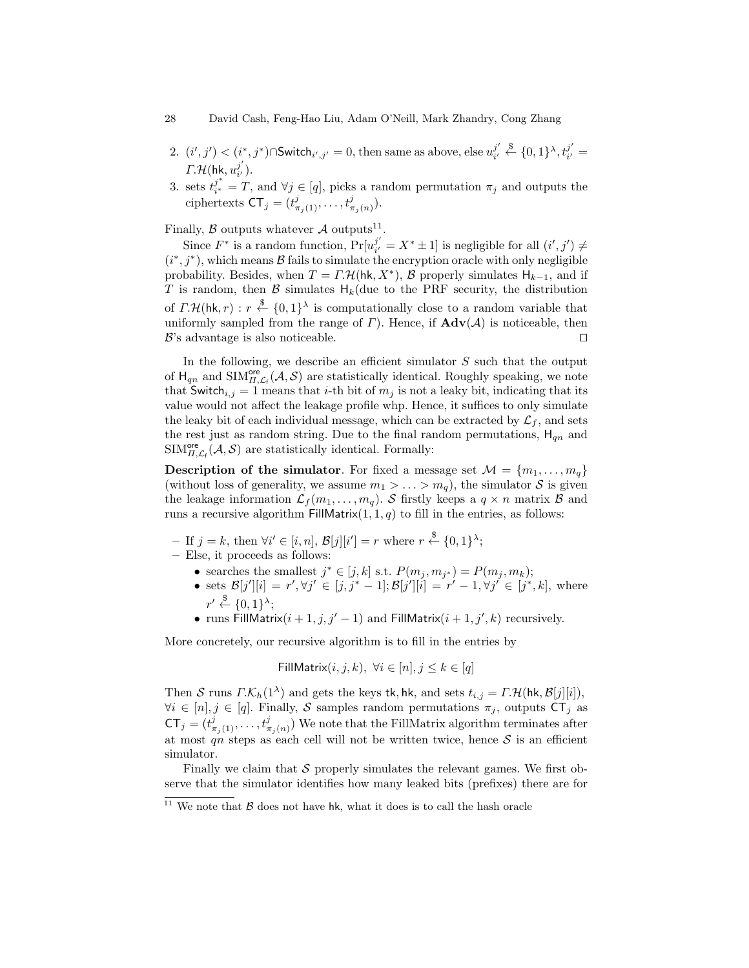#### 28 David Cash, Feng-Hao Liu, Adam O'Neill, Mark Zhandry, Cong Zhang

- 2.  $(i',j') < (i^*,j^*)$ ∩Switch $_{i',j'} = 0$ , then same as above, else  $u_{i'}^{j'}$  $\stackrel{j'}{\leftarrow} \stackrel{\$}{\leftarrow} \{0,1\}^{\lambda}, t_{i'}^{j'}$  $\frac{j}{i'}=$  $\Gamma$   $\mathcal{H}(\mathsf{hk}, u^{j^\prime}_{i^\prime})$  $\frac{j}{i'}$ .
- 3. sets  $t_{i*}^{j*}$  $\mathcal{F}_{i^*}^j = T$ , and  $\forall j \in [q]$ , picks a random permutation  $\pi_j$  and outputs the ciphertexts  $CT_j = (t^j_{\pi_j(1)}, \ldots, t^j_{\pi_j(n)}).$

Finally,  $\beta$  outputs whatever  $\mathcal A$  outputs<sup>11</sup>.

Since  $F^*$  is a random function,  $Pr[u_{i'}^{j'}]$  $j'_{i'} = X^* \pm 1$ ] is negligible for all  $(i', j') \neq$  $(i^*, j^*)$ , which means  $\beta$  fails to simulate the encryption oracle with only negligible probability. Besides, when  $T = \Gamma \mathcal{H}(\mathsf{hk}, X^*)$ ,  $\mathcal{B}$  properly simulates  $\mathsf{H}_{k-1}$ , and if T is random, then  $\mathcal B$  simulates  $H_k$ (due to the PRF security, the distribution of  $\Gamma \mathcal{H}(\mathsf{hk}, r) : r \stackrel{\$}{\leftarrow} \{0,1\}^{\lambda}$  is computationally close to a random variable that uniformly sampled from the range of  $\Gamma$ ). Hence, if  $\mathbf{Adv}(\mathcal{A})$  is noticeable, then  $\mathcal{B}$ 's advantage is also noticeable.

In the following, we describe an efficient simulator  $S$  such that the output of  $H_{qn}$  and  $SIM_{\Pi,\mathcal{L}_{f}}^{\text{ore}}(\mathcal{A},\mathcal{S})$  are statistically identical. Roughly speaking, we note that Switch<sub>i,j</sub> = 1 means that *i*-th bit of  $m_j$  is not a leaky bit, indicating that its value would not affect the leakage profile whp. Hence, it suffices to only simulate the leaky bit of each individual message, which can be extracted by  $\mathcal{L}_f$ , and sets the rest just as random string. Due to the final random permutations,  $H_{qn}$  and  $\text{SIM}_{\Pi,\mathcal{L}_{\text{f}}}^{\text{ore}}(\mathcal{A},\mathcal{S})$  are statistically identical. Formally:

**Description of the simulator**. For fixed a message set  $\mathcal{M} = \{m_1, \ldots, m_q\}$ (without loss of generality, we assume  $m_1 > \ldots > m_q$ ), the simulator S is given the leakage information  $\mathcal{L}_f(m_1,\ldots,m_q)$ . S firstly keeps a  $q \times n$  matrix B and runs a recursive algorithm FillMatrix $(1, 1, q)$  to fill in the entries, as follows:

- $-I$  If  $j = k$ , then  $\forall i' \in [i, n], \mathcal{B}[j][i'] = r$  where  $r \stackrel{\$}{\leftarrow} \{0, 1\}^{\lambda};$
- Else, it proceeds as follows:
	- searches the smallest  $j^* \in [j,k]$  s.t.  $P(m_j, m_{j^*}) = P(m_j, m_k);$
	- sets  $\mathcal{B}[j'][i] = r', \forall j' \in [j, j^* 1]; \mathcal{B}[j'][i] = r' 1, \forall j' \in [j^*, k],$  where  $r' \stackrel{\$}{\leftarrow} \{0,1\}^{\lambda};$
	- runs FillMatrix $(i + 1, j, j' 1)$  and FillMatrix $(i + 1, j', k)$  recursively.

More concretely, our recursive algorithm is to fill in the entries by

FillMatrix
$$
(i, j, k), \forall i \in [n], j \leq k \in [q]
$$

Then S runs  $\Gamma$ . $\mathcal{K}_h(1^{\lambda})$  and gets the keys tk, hk, and sets  $t_{i,j} = \Gamma$ . $\mathcal{H}$ (hk,  $\mathcal{B}[j][i]$ ),  $\forall i \in [n], j \in [q]$ . Finally, S samples random permutations  $\pi_j$ , outputs  $\mathsf{CT}_j$  as  $CT_j = (t^j_{\pi_j(1)}, \ldots, t^j_{\pi_j(n)})$  We note that the FillMatrix algorithm terminates after at most qn steps as each cell will not be written twice, hence  $S$  is an efficient simulator.

Finally we claim that  $S$  properly simulates the relevant games. We first observe that the simulator identifies how many leaked bits (prefixes) there are for

 $\frac{11}{11}$  We note that  $\beta$  does not have hk, what it does is to call the hash oracle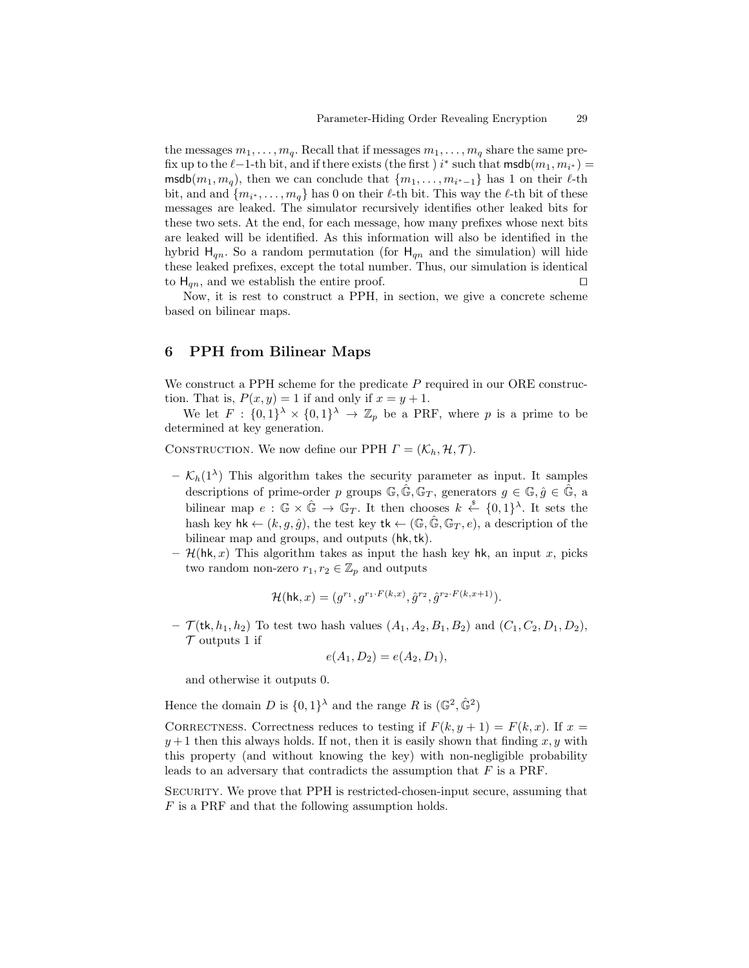the messages  $m_1, \ldots, m_q$ . Recall that if messages  $m_1, \ldots, m_q$  share the same prefix up to the  $\ell-1$ -th bit, and if there exists (the first) i<sup>\*</sup> such that  $\textsf{msdb}(m_1, m_{i^*}) =$ msdb $(m_1, m_q)$ , then we can conclude that  $\{m_1, \ldots, m_{i^*-1}\}$  has 1 on their  $\ell$ -th bit, and and  $\{m_{i^*}, \ldots, m_q\}$  has 0 on their  $\ell$ -th bit. This way the  $\ell$ -th bit of these messages are leaked. The simulator recursively identifies other leaked bits for these two sets. At the end, for each message, how many prefixes whose next bits are leaked will be identified. As this information will also be identified in the hybrid  $H_{qn}$ . So a random permutation (for  $H_{qn}$  and the simulation) will hide these leaked prefixes, except the total number. Thus, our simulation is identical to  $H_{qn}$ , and we establish the entire proof.

Now, it is rest to construct a PPH, in section, we give a concrete scheme based on bilinear maps.

## 6 PPH from Bilinear Maps

We construct a PPH scheme for the predicate  $P$  required in our ORE construction. That is,  $P(x, y) = 1$  if and only if  $x = y + 1$ .

We let  $F: \{0,1\}^{\lambda} \times \{0,1\}^{\lambda} \to \mathbb{Z}_p$  be a PRF, where p is a prime to be determined at key generation.

CONSTRUCTION. We now define our PPH  $\Gamma = (\mathcal{K}_h, \mathcal{H}, \mathcal{T}).$ 

- $K_h(1^{\lambda})$  This algorithm takes the security parameter as input. It samples descriptions of prime-order p groups  $\mathbb{G}, \hat{\mathbb{G}}, \mathbb{G}_T$ , generators  $g \in \mathbb{G}, \hat{g} \in \hat{\mathbb{G}}$ , a bilinear map  $e: \mathbb{G} \times \hat{\mathbb{G}} \to \mathbb{G}_T$ . It then chooses  $k \stackrel{\$}{\leftarrow} \{0,1\}^{\lambda}$ . It sets the hash key hk  $\leftarrow (k, g, \hat{g})$ , the test key tk  $\leftarrow (\mathbb{G}, \hat{\mathbb{G}}, \mathbb{G}_T, e)$ , a description of the bilinear map and groups, and outputs (hk, tk).
- $\mathcal{H}(\mathsf{hk}, x)$  This algorithm takes as input the hash key hk, an input x, picks two random non-zero  $r_1, r_2 \in \mathbb{Z}_p$  and outputs

$$
\mathcal{H}(\mathsf{hk}, x) = (g^{r_1}, g^{r_1 \cdot F(k, x)}, \hat{g}^{r_2}, \hat{g}^{r_2 \cdot F(k, x+1)}).
$$

 $-$  T(tk,  $h_1, h_2$ ) To test two hash values  $(A_1, A_2, B_1, B_2)$  and  $(C_1, C_2, D_1, D_2)$ ,  $\mathcal T$  outputs 1 if

$$
e(A_1, D_2) = e(A_2, D_1),
$$

and otherwise it outputs 0.

Hence the domain D is  $\{0,1\}^{\lambda}$  and the range R is  $(\mathbb{G}^2, \hat{\mathbb{G}}^2)$ 

CORRECTNESS. Correctness reduces to testing if  $F(k, y + 1) = F(k, x)$ . If  $x =$  $y+1$  then this always holds. If not, then it is easily shown that finding x, y with this property (and without knowing the key) with non-negligible probability leads to an adversary that contradicts the assumption that  $F$  is a PRF.

SECURITY. We prove that PPH is restricted-chosen-input secure, assuming that F is a PRF and that the following assumption holds.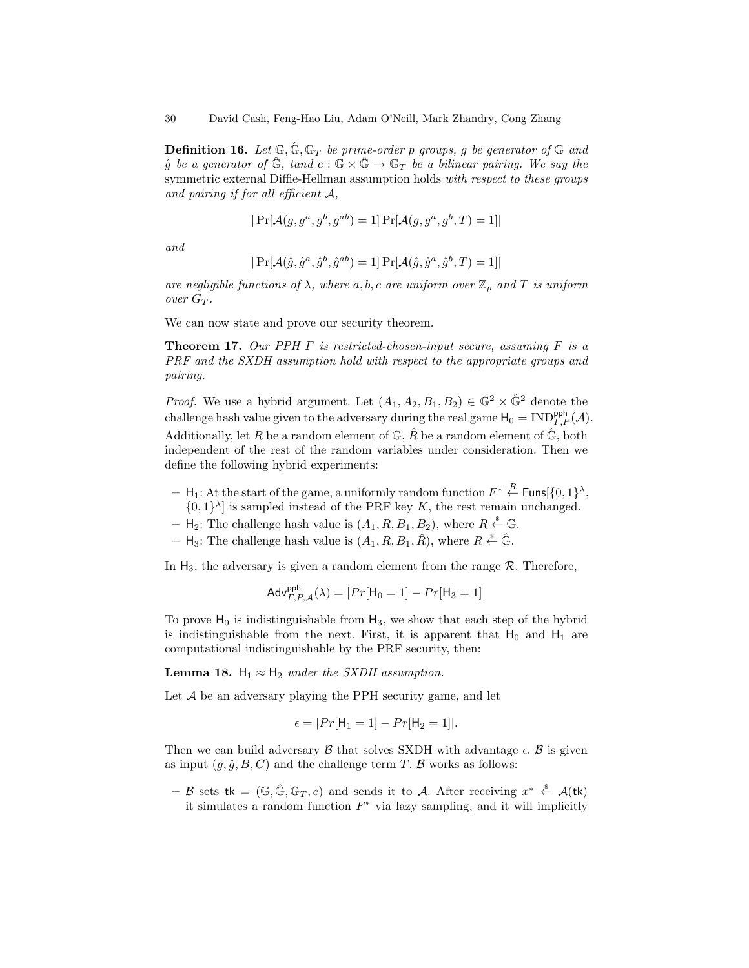**Definition 16.** Let  $\mathbb{G}, \hat{\mathbb{G}}, \mathbb{G}_T$  be prime-order p groups, g be generator of  $\mathbb{G}$  and  $\hat{g}$  be a generator of  $\hat{\mathbb{G}}$ , tand  $e : \mathbb{G} \times \hat{\mathbb{G}} \to \mathbb{G}_T$  be a bilinear pairing. We say the symmetric external Diffie-Hellman assumption holds with respect to these groups and pairing if for all efficient  $A$ ,

$$
|\Pr[\mathcal{A}(g, g^a, g^b, g^{ab}) = 1] \Pr[\mathcal{A}(g, g^a, g^b, T) = 1]|
$$

and

$$
|\Pr[\mathcal{A}(\hat{g}, \hat{g}^a, \hat{g}^b, \hat{g}^{ab}) = 1] \Pr[\mathcal{A}(\hat{g}, \hat{g}^a, \hat{g}^b, T) = 1]|
$$

are negligible functions of  $\lambda$ , where a, b, c are uniform over  $\mathbb{Z}_p$  and T is uniform over  $G_T$ .

We can now state and prove our security theorem.

**Theorem 17.** Our PPH  $\Gamma$  is restricted-chosen-input secure, assuming  $F$  is a PRF and the SXDH assumption hold with respect to the appropriate groups and pairing.

*Proof.* We use a hybrid argument. Let  $(A_1, A_2, B_1, B_2) \in \mathbb{G}^2 \times \hat{\mathbb{G}}^2$  denote the challenge hash value given to the adversary during the real game  $H_0 = \text{IND}_{\Gamma,P}^{\text{pph}}(\mathcal{A})$ . Additionally, let R be a random element of  $\mathbb{G}, \hat{R}$  be a random element of  $\hat{\mathbb{G}}$ , both independent of the rest of the random variables under consideration. Then we define the following hybrid experiments:

- $\mathsf{H}_1$ : At the start of the game, a uniformly random function  $F^* \stackrel{R}{\leftarrow} \mathsf{Funs}[\{0,1\}^\lambda,$  $\{0,1\}^{\lambda}$  is sampled instead of the PRF key K, the rest remain unchanged.
- $H_2$ : The challenge hash value is  $(A_1, R, B_1, B_2)$ , where  $R \stackrel{\text{s}}{\leftarrow} \mathbb{G}$ .
- $-$  H<sub>3</sub>: The challenge hash value is  $(A_1, R, B_1, \hat{R})$ , where  $R \stackrel{\$}{\leftarrow} \hat{\mathbb{G}}$ .

In  $H_3$ , the adversary is given a random element from the range  $\mathcal{R}$ . Therefore,

$$
\mathsf{Adv}_{\varGamma,\varGamma,\mathcal{A}}^{\mathsf{pph}}(\lambda) = |\varGamma r[\mathsf{H}_0 = 1] - \varGamma r[\mathsf{H}_3 = 1]|
$$

To prove  $H_0$  is indistinguishable from  $H_3$ , we show that each step of the hybrid is indistinguishable from the next. First, it is apparent that  $H_0$  and  $H_1$  are computational indistinguishable by the PRF security, then:

**Lemma 18.** H<sub>1</sub>  $\approx$  H<sub>2</sub> under the SXDH assumption.

Let  $A$  be an adversary playing the PPH security game, and let

$$
\epsilon = |Pr[\mathsf{H}_1 = 1] - Pr[\mathsf{H}_2 = 1]|.
$$

Then we can build adversary  $\beta$  that solves SXDH with advantage  $\epsilon$ .  $\beta$  is given as input  $(q, \hat{q}, B, C)$  and the challenge term T. B works as follows:

 $-$  B sets tk = ( $\mathbb{G}, \hat{\mathbb{G}}, \mathbb{G}_T, e$ ) and sends it to A. After receiving  $x^* \stackrel{\$}{\leftarrow} A(\mathsf{tk})$ it simulates a random function  $F^*$  via lazy sampling, and it will implicitly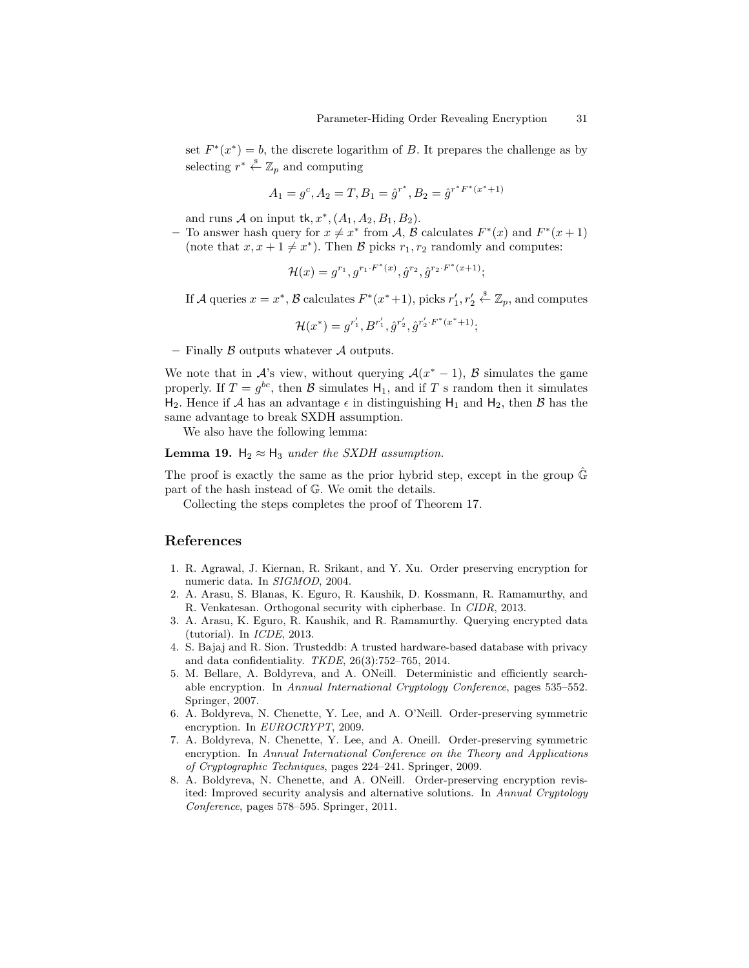set  $F^*(x^*) = b$ , the discrete logarithm of B. It prepares the challenge as by selecting  $r^* \overset{\hspace{0.1em}\mathsf{\scriptscriptstyle\$}}{\leftarrow} \mathbb{Z}_p$  and computing

$$
A_1 = g^c, A_2 = T, B_1 = \hat{g}^{r^*}, B_2 = \hat{g}^{r^*F^*(x^*+1)}
$$

and runs A on input  $tk, x^*, (A_1, A_2, B_1, B_2)$ .

- To answer hash query for  $x \neq x^*$  from A, B calculates  $F^*(x)$  and  $F^*(x+1)$ (note that  $x, x + 1 \neq x^*$ ). Then B picks  $r_1, r_2$  randomly and computes:

$$
\mathcal{H}(x) = g^{r_1}, g^{r_1 \cdot F^*(x)}, \hat{g}^{r_2}, \hat{g}^{r_2 \cdot F^*(x+1)};
$$

If A queries  $x = x^*$ , B calculates  $F^*(x^*+1)$ , picks  $r'_1, r'_2 \stackrel{\$}{\leftarrow} \mathbb{Z}_p$ , and computes

$$
\mathcal{H}(x^*) = g^{r'_1}, B^{r'_1}, \hat{g}^{r'_2}, \hat{g}^{r'_2 \cdot F^*(x^*+1)};
$$

– Finally  $\beta$  outputs whatever  $\mathcal A$  outputs.

We note that in  $\mathcal{A}$ 's view, without querying  $\mathcal{A}(x^* - 1)$ ,  $\mathcal{B}$  simulates the game properly. If  $T = g^{bc}$ , then B simulates  $H_1$ , and if T s random then it simulates H<sub>2</sub>. Hence if A has an advantage  $\epsilon$  in distinguishing H<sub>1</sub> and H<sub>2</sub>, then B has the same advantage to break SXDH assumption.

We also have the following lemma:

**Lemma 19.** H<sub>2</sub>  $\approx$  H<sub>3</sub> under the SXDH assumption.

The proof is exactly the same as the prior hybrid step, except in the group  $\hat{\mathbb{G}}$ part of the hash instead of G. We omit the details.

Collecting the steps completes the proof of Theorem 17.

## References

- 1. R. Agrawal, J. Kiernan, R. Srikant, and Y. Xu. Order preserving encryption for numeric data. In SIGMOD, 2004.
- 2. A. Arasu, S. Blanas, K. Eguro, R. Kaushik, D. Kossmann, R. Ramamurthy, and R. Venkatesan. Orthogonal security with cipherbase. In CIDR, 2013.
- 3. A. Arasu, K. Eguro, R. Kaushik, and R. Ramamurthy. Querying encrypted data (tutorial). In ICDE, 2013.
- 4. S. Bajaj and R. Sion. Trusteddb: A trusted hardware-based database with privacy and data confidentiality. TKDE, 26(3):752–765, 2014.
- 5. M. Bellare, A. Boldyreva, and A. ONeill. Deterministic and efficiently searchable encryption. In Annual International Cryptology Conference, pages 535–552. Springer, 2007.
- 6. A. Boldyreva, N. Chenette, Y. Lee, and A. O'Neill. Order-preserving symmetric encryption. In EUROCRYPT, 2009.
- 7. A. Boldyreva, N. Chenette, Y. Lee, and A. Oneill. Order-preserving symmetric encryption. In Annual International Conference on the Theory and Applications of Cryptographic Techniques, pages 224–241. Springer, 2009.
- 8. A. Boldyreva, N. Chenette, and A. ONeill. Order-preserving encryption revisited: Improved security analysis and alternative solutions. In Annual Cryptology Conference, pages 578–595. Springer, 2011.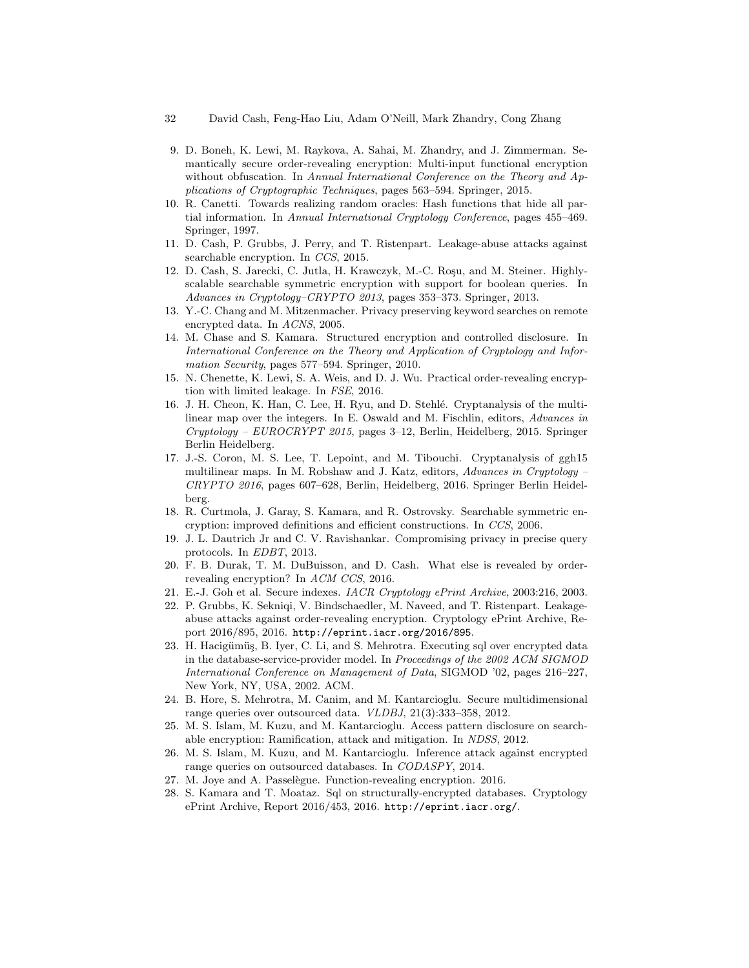- 32 David Cash, Feng-Hao Liu, Adam O'Neill, Mark Zhandry, Cong Zhang
- 9. D. Boneh, K. Lewi, M. Raykova, A. Sahai, M. Zhandry, and J. Zimmerman. Semantically secure order-revealing encryption: Multi-input functional encryption without obfuscation. In Annual International Conference on the Theory and Applications of Cryptographic Techniques, pages 563–594. Springer, 2015.
- 10. R. Canetti. Towards realizing random oracles: Hash functions that hide all partial information. In Annual International Cryptology Conference, pages 455–469. Springer, 1997.
- 11. D. Cash, P. Grubbs, J. Perry, and T. Ristenpart. Leakage-abuse attacks against searchable encryption. In CCS, 2015.
- 12. D. Cash, S. Jarecki, C. Jutla, H. Krawczyk, M.-C. Rosu, and M. Steiner. Highlyscalable searchable symmetric encryption with support for boolean queries. In Advances in Cryptology–CRYPTO 2013, pages 353–373. Springer, 2013.
- 13. Y.-C. Chang and M. Mitzenmacher. Privacy preserving keyword searches on remote encrypted data. In ACNS, 2005.
- 14. M. Chase and S. Kamara. Structured encryption and controlled disclosure. In International Conference on the Theory and Application of Cryptology and Information Security, pages 577–594. Springer, 2010.
- 15. N. Chenette, K. Lewi, S. A. Weis, and D. J. Wu. Practical order-revealing encryption with limited leakage. In FSE, 2016.
- 16. J. H. Cheon, K. Han, C. Lee, H. Ryu, and D. Stehl´e. Cryptanalysis of the multilinear map over the integers. In E. Oswald and M. Fischlin, editors, Advances in Cryptology – EUROCRYPT 2015, pages 3–12, Berlin, Heidelberg, 2015. Springer Berlin Heidelberg.
- 17. J.-S. Coron, M. S. Lee, T. Lepoint, and M. Tibouchi. Cryptanalysis of ggh15 multilinear maps. In M. Robshaw and J. Katz, editors, Advances in Cryptology -CRYPTO 2016, pages 607–628, Berlin, Heidelberg, 2016. Springer Berlin Heidelberg.
- 18. R. Curtmola, J. Garay, S. Kamara, and R. Ostrovsky. Searchable symmetric encryption: improved definitions and efficient constructions. In CCS, 2006.
- 19. J. L. Dautrich Jr and C. V. Ravishankar. Compromising privacy in precise query protocols. In EDBT, 2013.
- 20. F. B. Durak, T. M. DuBuisson, and D. Cash. What else is revealed by orderrevealing encryption? In ACM CCS, 2016.
- 21. E.-J. Goh et al. Secure indexes. IACR Cryptology ePrint Archive, 2003:216, 2003.
- 22. P. Grubbs, K. Sekniqi, V. Bindschaedler, M. Naveed, and T. Ristenpart. Leakageabuse attacks against order-revealing encryption. Cryptology ePrint Archive, Report 2016/895, 2016. http://eprint.iacr.org/2016/895.
- 23. H. Hacigümüş, B. Iyer, C. Li, and S. Mehrotra. Executing sql over encrypted data in the database-service-provider model. In Proceedings of the 2002 ACM SIGMOD International Conference on Management of Data, SIGMOD '02, pages 216–227, New York, NY, USA, 2002. ACM.
- 24. B. Hore, S. Mehrotra, M. Canim, and M. Kantarcioglu. Secure multidimensional range queries over outsourced data. VLDBJ, 21(3):333–358, 2012.
- 25. M. S. Islam, M. Kuzu, and M. Kantarcioglu. Access pattern disclosure on searchable encryption: Ramification, attack and mitigation. In NDSS, 2012.
- 26. M. S. Islam, M. Kuzu, and M. Kantarcioglu. Inference attack against encrypted range queries on outsourced databases. In CODASPY, 2014.
- 27. M. Joye and A. Passelègue. Function-revealing encryption. 2016.
- 28. S. Kamara and T. Moataz. Sql on structurally-encrypted databases. Cryptology ePrint Archive, Report 2016/453, 2016. http://eprint.iacr.org/.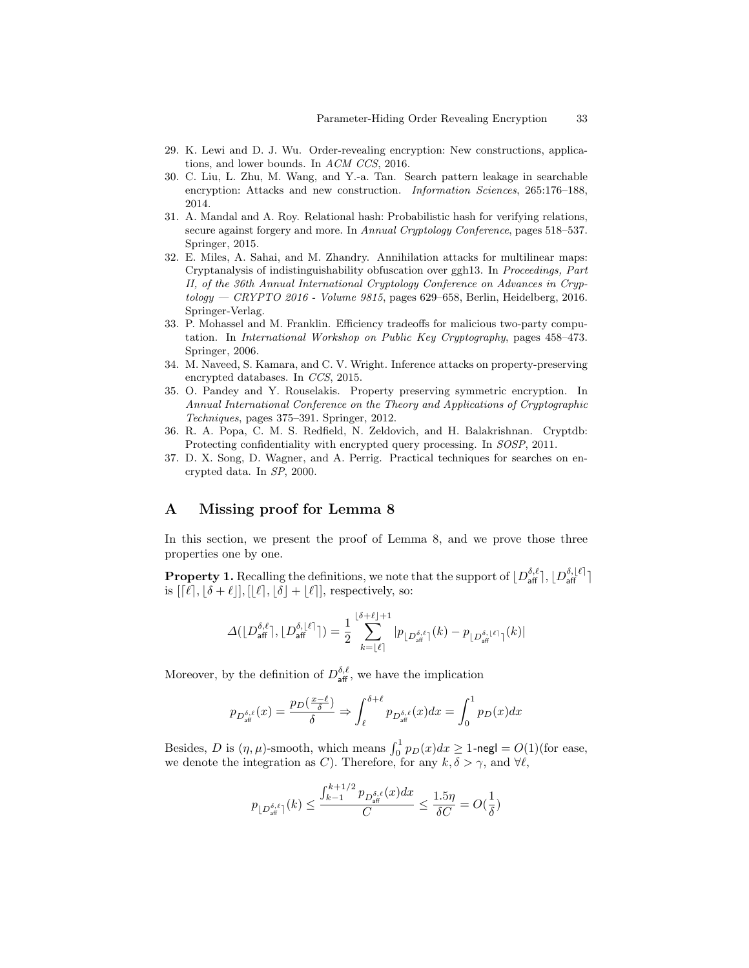- 29. K. Lewi and D. J. Wu. Order-revealing encryption: New constructions, applications, and lower bounds. In ACM CCS, 2016.
- 30. C. Liu, L. Zhu, M. Wang, and Y.-a. Tan. Search pattern leakage in searchable encryption: Attacks and new construction. Information Sciences, 265:176–188, 2014.
- 31. A. Mandal and A. Roy. Relational hash: Probabilistic hash for verifying relations, secure against forgery and more. In Annual Cryptology Conference, pages 518–537. Springer, 2015.
- 32. E. Miles, A. Sahai, and M. Zhandry. Annihilation attacks for multilinear maps: Cryptanalysis of indistinguishability obfuscation over ggh13. In Proceedings, Part II, of the 36th Annual International Cryptology Conference on Advances in Cryp $tology - C RYPTO 2016$  - Volume 9815, pages 629–658, Berlin, Heidelberg, 2016. Springer-Verlag.
- 33. P. Mohassel and M. Franklin. Efficiency tradeoffs for malicious two-party computation. In International Workshop on Public Key Cryptography, pages 458–473. Springer, 2006.
- 34. M. Naveed, S. Kamara, and C. V. Wright. Inference attacks on property-preserving encrypted databases. In CCS, 2015.
- 35. O. Pandey and Y. Rouselakis. Property preserving symmetric encryption. In Annual International Conference on the Theory and Applications of Cryptographic Techniques, pages 375–391. Springer, 2012.
- 36. R. A. Popa, C. M. S. Redfield, N. Zeldovich, and H. Balakrishnan. Cryptdb: Protecting confidentiality with encrypted query processing. In SOSP, 2011.
- 37. D. X. Song, D. Wagner, and A. Perrig. Practical techniques for searches on encrypted data. In SP, 2000.

## A Missing proof for Lemma 8

In this section, we present the proof of Lemma 8, and we prove those three properties one by one.

**Property 1.** Recalling the definitions, we note that the support of  $\lfloor D_{\mathsf{aff}}^{\delta,\ell} \rceil, \lfloor D_{\mathsf{aff}}^{\delta,\lfloor \ell \rceil} \rceil$ is  $[2\ell], |\delta + \ell|, |[\ell], |\delta| + |\ell|],$  respectively, so:

$$
\varDelta(\lfloor D_{\text{aff}}^{\delta,\ell}\rceil,\lfloor D_{\text{aff}}^{\delta,\lfloor\ell\rceil}\rceil)=\frac{1}{2}\sum_{k=\lfloor\ell\rceil}^{\lfloor\delta+\ell\rfloor+1}|p_{\lfloor D_{\text{aff}}^{\delta,\ell}\rceil}(k)-p_{\lfloor D_{\text{aff}}^{\delta,\lfloor\ell\rceil}\rceil}(k)|
$$

Moreover, by the definition of  $D_{\mathsf{aff}}^{\delta,\ell}$ , we have the implication

$$
p_{D^{ \delta, \ell}_\text{aff}}(x) = \frac{p_{D}(\frac{x-\ell}{\delta})}{\delta} \Rightarrow \int_\ell^{ \delta + \ell} p_{D^{ \delta, \ell}_\text{aff}}(x) dx = \int_0^1 p_{D}(x) dx
$$

Besides, D is  $(\eta, \mu)$ -smooth, which means  $\int_0^1 p_D(x)dx \ge 1$ -negl =  $O(1)$ (for ease, we denote the integration as C). Therefore, for any  $k, \delta > \gamma$ , and  $\forall \ell$ ,

$$
p_{\lfloor D_{\text{aff}}^{\delta,\ell} \rfloor}(k) \le \frac{\int_{k-1}^{k+1/2} p_{D_{\text{aff}}^{\delta,\ell}}(x) dx}{C} \le \frac{1.5\eta}{\delta C} = O(\frac{1}{\delta})
$$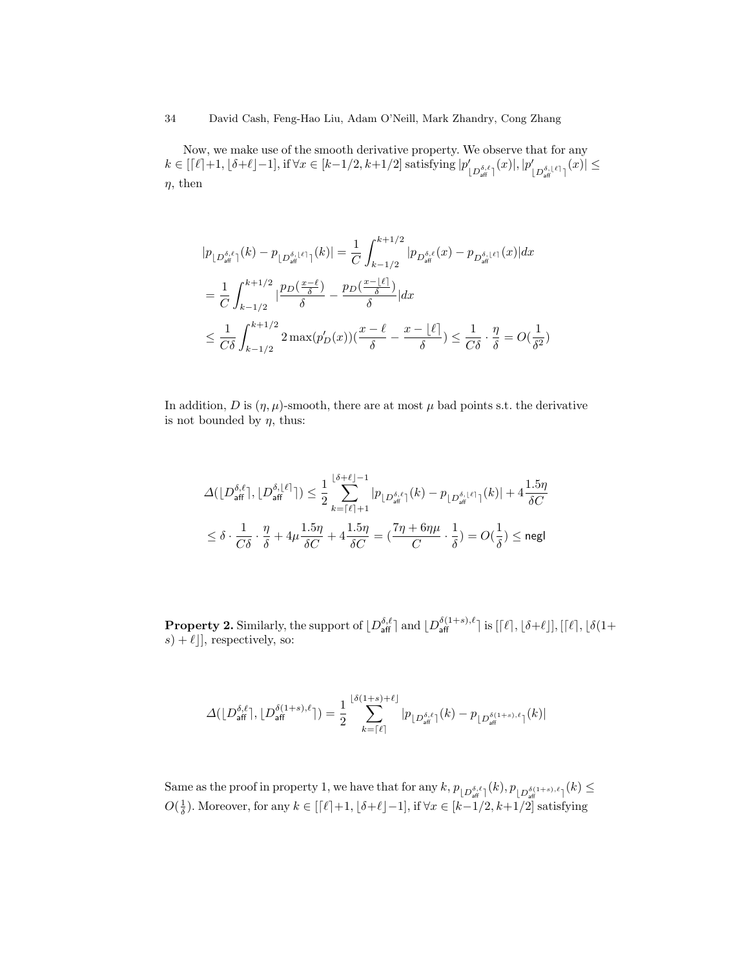#### 34 David Cash, Feng-Hao Liu, Adam O'Neill, Mark Zhandry, Cong Zhang

Now, we make use of the smooth derivative property. We observe that for any  $k \in [[\ell]+1, [\delta+\ell]-1], \text{ if } \forall x \in [k-1/2, k+1/2] \text{ satisfying } |p|$  $\int_{L D_{\rm aff}^{\delta,\ell}\rceil}(x)|,|p'|$  $\sum_{\mathsf{L}^{\delta}\in\mathbb{R}^{+}\backslash\mathbb{R}^{+}}^{|\ell_{\mathsf{L}}|}(x)|\leq 1$  $\eta$ , then

$$
\begin{split} &|p_{\lfloor D_{\text{aff}}^{\delta,\ell}\rceil}(k)-p_{\lfloor D_{\text{aff}}^{\delta,\lfloor \ell \rceil}\rceil}(k)|=\frac{1}{C}\int_{k-1/2}^{k+1/2}|p_{D_{\text{aff}}^{\delta,\ell}}(x)-p_{D_{\text{aff}}^{\delta,\lfloor \ell \rceil}}(x)|dx\\ &=\frac{1}{C}\int_{k-1/2}^{k+1/2}|\frac{p_D(\frac{x-\ell}{\delta})}{\delta}-\frac{p_D(\frac{x-\lfloor \ell \rfloor}{\delta})}{\delta}|dx\\ &\leq \frac{1}{C\delta}\int_{k-1/2}^{k+1/2}2\max(p'_D(x))(\frac{x-\ell}{\delta}-\frac{x-\lfloor \ell \rfloor}{\delta})\leq \frac{1}{C\delta}\cdot\frac{\eta}{\delta}=O(\frac{1}{\delta^2}) \end{split}
$$

In addition, D is  $(\eta, \mu)$ -smooth, there are at most  $\mu$  bad points s.t. the derivative is not bounded by  $\eta$ , thus:

$$
\begin{aligned} &\varDelta(\lfloor D_{\text{aff}}^{\delta,\ell}\rceil,\lfloor D_{\text{aff}}^{\delta,\lfloor\ell\rceil}\rceil) \leq \frac{1}{2}\sum_{k=\lceil\ell\rceil+1}^{\lfloor\delta+\ell\rfloor-1}|p_{\lfloor D_{\text{aff}}^{\delta,\ell}\rceil}(k)-p_{\lfloor D_{\text{aff}}^{\delta,\lfloor\ell\rceil}\rceil}(k)|+4\frac{1.5\eta}{\delta C}\\ &\leq \delta\cdot \frac{1}{C\delta}\cdot \frac{\eta}{\delta}+4\mu\frac{1.5\eta}{\delta C}+4\frac{1.5\eta}{\delta C}= (\frac{7\eta+6\eta\mu}{C}\cdot\frac{1}{\delta})=O(\frac{1}{\delta})\leq \text{negl} \end{aligned}
$$

**Property 2.** Similarly, the support of  $[D_{\sf aff}^{\delta,\ell}]$  and  $[D_{\sf aff}^{\delta(1+s),\ell}]$  is  $[[\ell],[\delta+\ell]], [[\ell],[\delta(1+s),\delta])$  $(s) + \ell$ ], respectively, so:

$$
\varDelta(\lfloor D_{\mathrm{aff}}^{\delta,\ell}\rceil,\lfloor D_{\mathrm{aff}}^{\delta(1+s),\ell}\rceil)=\frac{1}{2}\sum_{k=\lceil\ell\rceil}^{\lfloor\delta(1+s)+\ell\rfloor}|p_{\lfloor D_{\mathrm{aff}}^{\delta,\ell}\rceil}(k)-p_{\lfloor D_{\mathrm{aff}}^{\delta(1+s),\ell}\rceil}(k)|
$$

Same as the proof in property 1, we have that for any  $k$ ,  $p_{\lfloor D_{\text{aff}}^{\delta,\ell}\rceil}(k)$ ,  $p_{\lfloor D_{\text{aff}}^{\delta(1+s),\ell}\rceil}(k) \leq$  $O(\frac{1}{\delta})$ . Moreover, for any  $k \in [\lceil \ell \rceil + 1, \lfloor \delta + \ell \rfloor - 1]$ , if  $\forall x \in [k - 1/2, k + 1/2]$  satisfying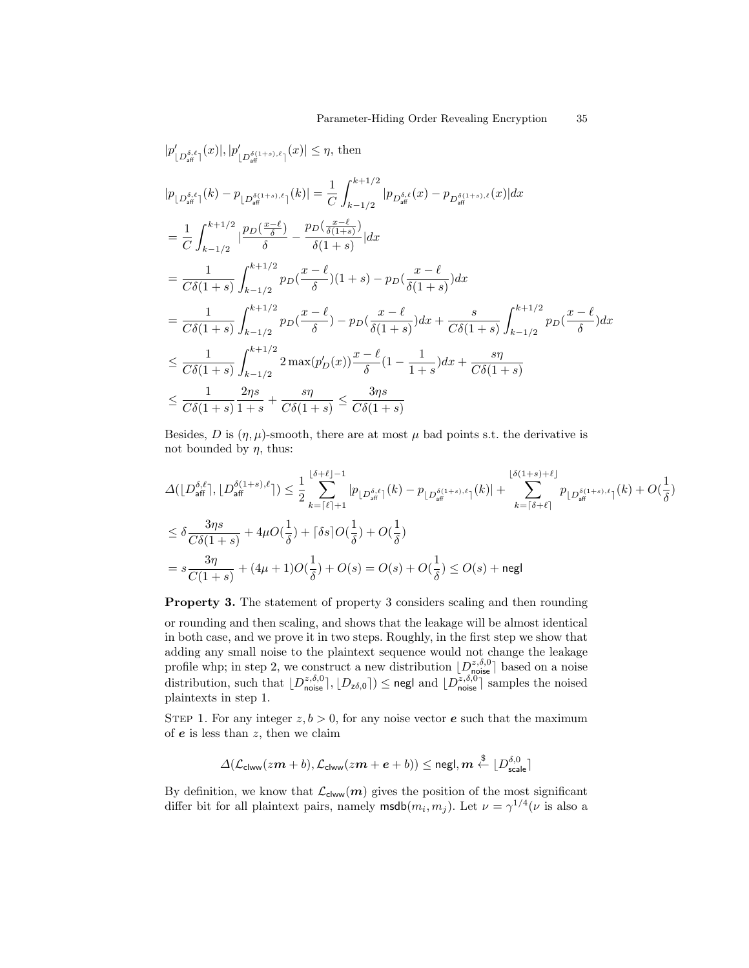$$
|p'_{\lfloor D_{\text{aff}}^{\delta,\ell}\rceil}(x)|, |p'_{\lfloor D_{\text{aff}}^{\delta(1+s),\ell}\rceil}(x)| \leq \eta, \text{ then}
$$
  
\n
$$
|p_{\lfloor D_{\text{aff}}^{\delta,\ell}\rceil}(k) - p_{\lfloor D_{\text{aff}}^{\delta(1+s),\ell}\rceil}(k)| = \frac{1}{C} \int_{k-1/2}^{k+1/2} |p_{D_{\text{aff}}^{\delta,\ell}}(x) - p_{D_{\text{aff}}^{\delta(1+s),\ell}}(x)| dx
$$
  
\n
$$
= \frac{1}{C} \int_{k-1/2}^{k+1/2} \left| \frac{p_D(\frac{x-\ell}{\delta})}{\delta} - \frac{p_D(\frac{x-\ell}{\delta(1+s)})}{\delta(1+s)} \right| dx
$$
  
\n
$$
= \frac{1}{C\delta(1+s)} \int_{k-1/2}^{k+1/2} p_D(\frac{x-\ell}{\delta})(1+s) - p_D(\frac{x-\ell}{\delta(1+s)}) dx
$$
  
\n
$$
= \frac{1}{C\delta(1+s)} \int_{k-1/2}^{k+1/2} p_D(\frac{x-\ell}{\delta}) - p_D(\frac{x-\ell}{\delta(1+s)}) dx + \frac{s}{C\delta(1+s)} \int_{k-1/2}^{k+1/2} p_D(\frac{x-\ell}{\delta}) dx
$$
  
\n
$$
\leq \frac{1}{C\delta(1+s)} \int_{k-1/2}^{k+1/2} 2 \max(p'_D(x)) \frac{x-\ell}{\delta} (1 - \frac{1}{1+s}) dx + \frac{s\eta}{C\delta(1+s)}
$$
  
\n
$$
\leq \frac{1}{C\delta(1+s)} \frac{2\eta s}{1+s} + \frac{s\eta}{C\delta(1+s)} \leq \frac{3\eta s}{C\delta(1+s)}
$$

Besides, D is  $(\eta, \mu)$ -smooth, there are at most  $\mu$  bad points s.t. the derivative is not bounded by  $\eta$ , thus:

$$
\begin{aligned} &\Delta(\lfloor D^{\delta,\ell}_{\text{aff}}\rceil,\lfloor D^{\delta(1+s),\ell}_{\text{aff}}\rceil)\leq\frac{1}{2}\sum_{k=\lceil\ell\rceil+1}^{\lfloor\delta+\ell\rfloor-1}\lvert p_{\lfloor D^{\delta,\ell}_{\text{aff}}\rceil}(k)-p_{\lfloor D^{\delta(1+s),\ell}_{\text{aff}}\rceil}(k)\rvert+\sum_{k=\lceil\delta+\ell\rceil}^{\lfloor\delta(1+s)+\ell\rfloor}p_{\lfloor D^{\delta(1+s),\ell}_{\text{aff}}}\rceil(k)+O(\frac{1}{\delta})\\ &\leq\delta\frac{3\eta s}{C\delta(1+s)}+4\mu O(\frac{1}{\delta})+\lceil\delta s\rceil O(\frac{1}{\delta})+O(\frac{1}{\delta})\\ &=s\frac{3\eta}{C(1+s)}+(4\mu+1)O(\frac{1}{\delta})+O(s)=O(s)+O(\frac{1}{\delta})\leq O(s)+\text{negl}\end{aligned}
$$

Property 3. The statement of property 3 considers scaling and then rounding or rounding and then scaling, and shows that the leakage will be almost identical in both case, and we prove it in two steps. Roughly, in the first step we show that adding any small noise to the plaintext sequence would not change the leakage profile whp; in step 2, we construct a new distribution  $[D_{\text{noise}}^{z,\delta,0}]$  based on a noise distribution, such that  $[D_{\text{noise}}^{z, \delta, 0}], [D_{z\delta,0}]) \leq$  negl and  $[D_{\text{noise}}^{z, \delta, 0}]$  samples the noised plaintexts in step 1.

STEP 1. For any integer  $z, b > 0$ , for any noise vector **e** such that the maximum of  $e$  is less than  $z$ , then we claim

$$
\varDelta(\mathcal{L}_{\text{clww}}(z\boldsymbol{m}+\boldsymbol{b}),\mathcal{L}_{\text{clww}}(z\boldsymbol{m}+\boldsymbol{e}+\boldsymbol{b}))\leq \text{negl},\boldsymbol{m}\overset{\$}{\leftarrow}\lfloor D_{\text{scale}}^{\delta,0}\rfloor
$$

By definition, we know that  $\mathcal{L}_{\text{clww}}(m)$  gives the position of the most significant differ bit for all plaintext pairs, namely  $\textsf{msdb}(m_i, m_j)$ . Let  $\nu = \gamma^{1/4}(\nu)$  is also a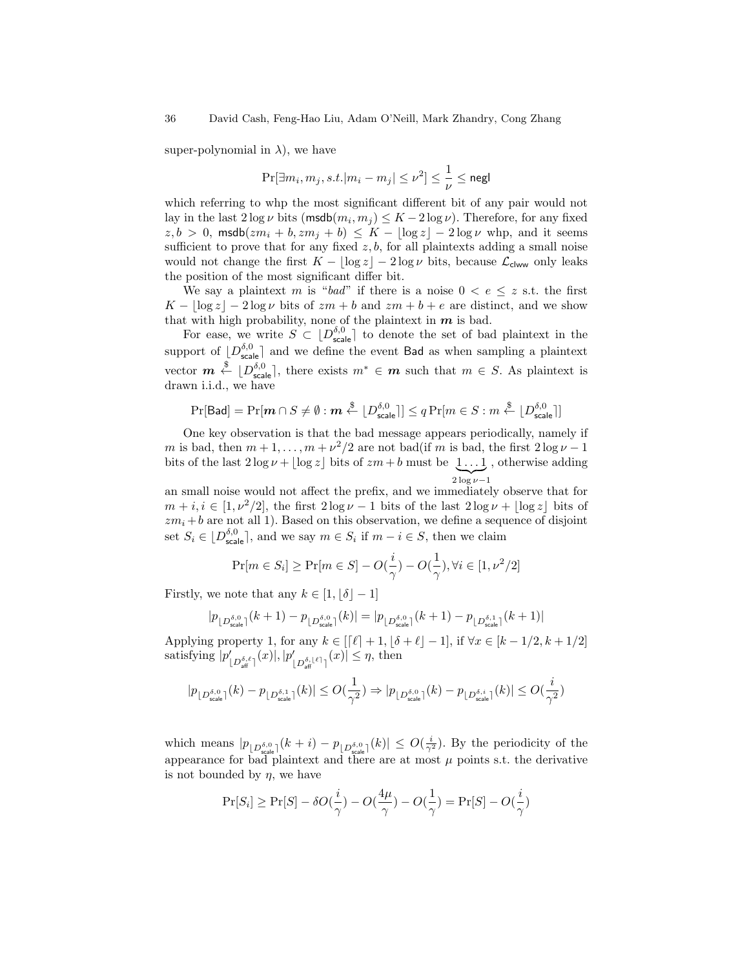super-polynomial in  $\lambda$ ), we have

$$
\Pr[\exists m_i, m_j, s.t. |m_i - m_j| \leq \nu^2] \leq \frac{1}{\nu} \leq \mathsf{negl}
$$

which referring to whp the most significant different bit of any pair would not lay in the last  $2 \log \nu$  bits  $(\text{msdb}(m_i, m_j) \leq K - 2 \log \nu)$ . Therefore, for any fixed  $z, b > 0$ , msdb $(zm_i + b, zm_j + b) \leq K - \lfloor \log z \rfloor - 2 \log \nu$  whp, and it seems sufficient to prove that for any fixed  $z, b$ , for all plaintexts adding a small noise would not change the first  $K - \lfloor \log z \rfloor - 2 \log \nu$  bits, because  $\mathcal{L}_{\text{clww}}$  only leaks the position of the most significant differ bit.

We say a plaintext m is "bad" if there is a noise  $0 < e \leq z$  s.t. the first  $K - \log z - 2 \log \nu$  bits of  $zm + b$  and  $zm + b + e$  are distinct, and we show that with high probability, none of the plaintext in  $m$  is bad.

For ease, we write  $S \subset [D_{\text{scale}}^{\delta,0}]$  to denote the set of bad plaintext in the support of  $[D_{\text{scale}}^{\delta,0}]$  and we define the event Bad as when sampling a plaintext vector  $m \stackrel{\$}{\leftarrow} [D_{\text{scale}}^{\delta,0}]$ , there exists  $m^* \in \mathbf{m}$  such that  $m \in S$ . As plaintext is drawn i.i.d., we have

$$
\Pr[\mathsf{Bad}] = \Pr[\boldsymbol{m} \cap S \neq \emptyset : \boldsymbol{m} \stackrel{\$}{\leftarrow} [D_{\mathsf{scale}}^{\delta,0}] ] \leq q \Pr[m \in S : m \stackrel{\$}{\leftarrow} [D_{\mathsf{scale}}^{\delta,0}] ]
$$

One key observation is that the bad message appears periodically, namely if m is bad, then  $m+1,\ldots,m+\nu^2/2$  are not bad(if m is bad, the first  $2\log \nu - 1$ bits of the last  $2\log \nu + |\log z|$  bits of  $zm + b$  must be  $1 \ldots 1$ , otherwise adding  $\sum_{2 \log \nu - 1}$ 

an small noise would not affect the prefix, and we immediately observe that for  $m + i, i \in [1, \nu^2/2]$ , the first  $2 \log \nu - 1$  bits of the last  $2 \log \nu + |\log z|$  bits of  $zm_i +b$  are not all 1). Based on this observation, we define a sequence of disjoint set  $S_i \in \left\lfloor D_{\text{scale}}^{\delta,0} \right\rfloor$ , and we say  $m \in S_i$  if  $m - i \in S$ , then we claim

$$
\Pr[m \in S_i] \ge \Pr[m \in S] - O(\frac{i}{\gamma}) - O(\frac{1}{\gamma}), \forall i \in [1, \nu^2/2]
$$

Firstly, we note that any  $k \in [1, |\delta| - 1]$ 

$$
|p_{\lfloor D\text{-}\mathrm{scale}}^{\delta,0}\rceil}(k+1)-p_{\lfloor D\text{-}\mathrm{scale}}^{\delta,0}\rceil}(k)|=|p_{\lfloor D\text{-}\mathrm{scale}}^{\delta,0}\rceil}(k+1)-p_{\lfloor D\text{-}\mathrm{scale}}^{\delta,1}\rceil}(k+1)|
$$

Applying property 1, for any  $k \in [[\ell] + 1, [\delta + \ell] - 1]$ , if  $\forall x \in [k - 1/2, k + 1/2]$ satisfying  $|p|$  $\int_{\lfloor D_{\mathsf{aff}}^{\delta,\ell}\rceil}(x)|,|p'|$  $\left(\underset{\mathsf{L}^{\delta,\lfloor \ell\rceil}}{\mathsf{D}^{\delta,\lfloor \ell\rceil}_{\text{aff}}}}(x)\right|\leq\eta, \,\text{then}$ 

$$
|p_{\lfloor D^{\delta,0}_{\text{scale}}\rfloor}(k) - p_{\lfloor D^{\delta,1}_{\text{scale}}\rfloor}(k)| \leq O(\frac{1}{\gamma^2}) \Rightarrow |p_{\lfloor D^{\delta,0}_{\text{scale}}\rfloor}(k) - p_{\lfloor D^{\delta,i}_{\text{scale}}\rfloor}(k)| \leq O(\frac{i}{\gamma^2})
$$

which means  $|p_{\lfloor D_{\text{scale}}^{\delta,0}\rfloor}(k+i) - p_{\lfloor D_{\text{scale}}^{\delta,0}\rfloor}(k)| \leq O(\frac{i}{\gamma^2})$ . By the periodicity of the appearance for bad plaintext and there are at most  $\mu$  points s.t. the derivative is not bounded by  $\eta$ , we have

$$
\Pr[S_i] \ge \Pr[S] - \delta O(\frac{i}{\gamma}) - O(\frac{4\mu}{\gamma}) - O(\frac{1}{\gamma}) = \Pr[S] - O(\frac{i}{\gamma})
$$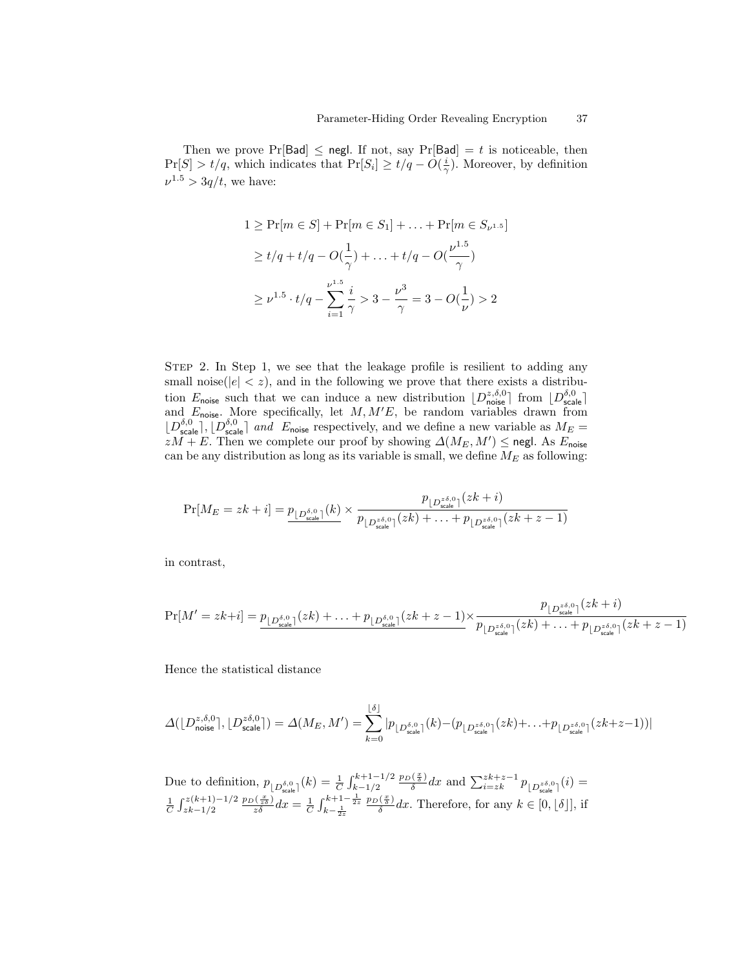Then we prove Pr[Bad]  $\leq$  negl. If not, say Pr[Bad] = t is noticeable, then  $Pr[S] > t/q$ , which indicates that  $Pr[S_i] \ge t/q - O(\frac{i}{\gamma})$ . Moreover, by definition  $\nu^{1.5} > 3q/t$ , we have:

$$
1 \ge \Pr[m \in S] + \Pr[m \in S_1] + \dots + \Pr[m \in S_{\nu^{1.5}}]
$$
  
\n
$$
\ge t/q + t/q - O(\frac{1}{\gamma}) + \dots + t/q - O(\frac{\nu^{1.5}}{\gamma})
$$
  
\n
$$
\ge \nu^{1.5} \cdot t/q - \sum_{i=1}^{\nu^{1.5}} \frac{i}{\gamma} > 3 - \frac{\nu^3}{\gamma} = 3 - O(\frac{1}{\nu}) > 2
$$

Step 2. In Step 1, we see that the leakage profile is resilient to adding any small noise( $|e| < z$ ), and in the following we prove that there exists a distribution  $E_{\text{noise}}$  such that we can induce a new distribution  $[D_{\text{noise}}^{z,\delta,0}]$  from  $[D_{\text{scale}}^{\delta,0}]$ and  $E_{\text{noise}}$ . More specifically, let  $M, M'E$ , be random variables drawn from  $[D_{\text{scale}}^{\delta,0}], [D_{\text{scale}}^{\delta,0}]$  and  $E_{\text{noise}}$  respectively, and we define a new variable as  $M_E =$  $zM + E$ . Then we complete our proof by showing  $\Delta(M_E, M') \leq$  negl. As  $E_{\text{noise}}$ can be any distribution as long as its variable is small, we define  $M_E$  as following:

$$
\Pr[M_E=zk+i]=\underbrace{p_{\lfloor D_{\text{scale}}^{\delta,0}\rfloor}(k)}_{\text{$p_{\lfloor D_{\text{scale}}^{z\delta,0}\rfloor}(zk)+\ldots +{p_{\lfloor D_{\text{scale}}^{z\delta,0}\rfloor}(zk+z-1)}_{\text{$p_{\lfloor D_{\text{scale}}^{z\delta,0}\rfloor}(zk)+\ldots +{p_{\lfloor D_{\text{scale}}^{z\delta,0}\rfloor}(zk+z-1)}_{\text{$p_{\lfloor D_{\text{scale}}^{z\delta,0}\rfloor}(k+1)}$}}}
$$

in contrast,

$$
\Pr[M'=zk+i] = \underbrace{p_{\lfloor D_{\text{scale}}^{\delta,0}\rfloor}(zk)+\ldots + p_{\lfloor D_{\text{scale}}^{\delta,0}\rfloor}(zk+z-1)}_{\text{Scale}} \times \frac{p_{\lfloor D_{\text{scale}}^{z\delta,0}\rfloor}(zk+i)}{p_{\lfloor D_{\text{scale}}^{z\delta,0}\rfloor}(zk)+\ldots + p_{\lfloor D_{\text{scale}}^{z\delta,0}\rfloor}(zk+z-1)}
$$

Hence the statistical distance

$$
\varDelta(\lfloor D^{z,\delta,0}_{\text{noise}}\rceil,\lfloor D^{z\delta,0}_{\text{scale}}\rceil)=\varDelta(M_E,M')=\sum_{k=0}^{\lfloor\delta\rfloor}|p_{\lfloor D^{ \delta,0}_{\text{scale}}\rceil}(k)-(p_{\lfloor D^{z\delta,0}_{\text{scale}}\rceil}(zk)+\ldots+p_{\lfloor D^{z\delta,0}_{\text{scale}}\rceil}(zk+z-1))|
$$

Due to definition, 
$$
p_{\lfloor D_{\text{scale}}^{5,0}\rfloor}(k) = \frac{1}{C} \int_{k-1/2}^{k+1-1/2} \frac{p_D(\frac{x}{\delta})}{\delta} dx
$$
 and  $\sum_{i=zk}^{zk+z-1} p_{\lfloor D_{\text{scale}}^{z\delta,0}\rfloor}(i) = \frac{1}{C} \int_{zk-1/2}^{z(k+1)-1/2} \frac{p_D(\frac{x}{\delta})}{z\delta} dx = \frac{1}{C} \int_{k-\frac{1}{2z}}^{k+1-\frac{1}{2z}} \frac{p_D(\frac{x}{\delta})}{\delta} dx$ . Therefore, for any  $k \in [0, \lfloor \delta \rfloor]$ , if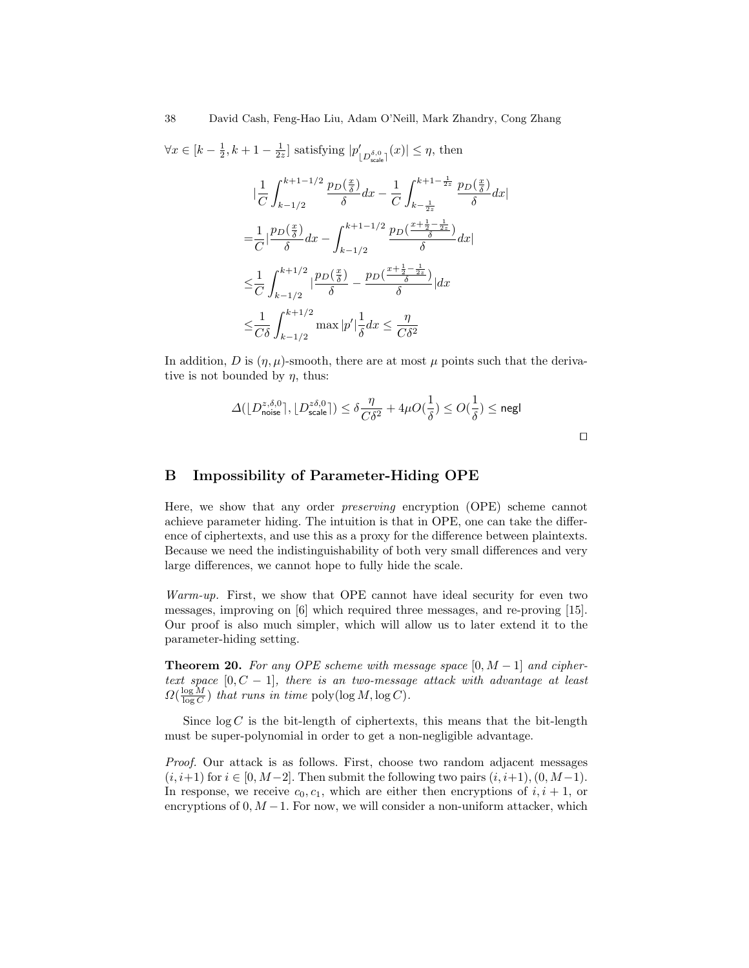$\forall x \in [k - \frac{1}{2}, k + 1 - \frac{1}{2z}]$  satisfying  $|p_1|$  $\left(\underset{\text{Local}}{D_{\text{scale}}^{\delta,0}}(x)\right) \leq \eta$ , then

$$
\begin{split}\n&|\frac{1}{C}\int_{k-1/2}^{k+1-1/2}\frac{p_D(\frac{x}{\delta})}{\delta}dx - \frac{1}{C}\int_{k-\frac{1}{2z}}^{k+1-\frac{1}{2z}}\frac{p_D(\frac{x}{\delta})}{\delta}dx| \\
&= \frac{1}{C}|\frac{p_D(\frac{x}{\delta})}{\delta}dx - \int_{k-1/2}^{k+1-1/2}\frac{p_D(\frac{x+\frac{1}{2}-\frac{1}{2z}}{\delta})}{\delta}dx| \\
&\leq &\frac{1}{C}\int_{k-1/2}^{k+1/2}|\frac{p_D(\frac{x}{\delta})}{\delta} - \frac{p_D(\frac{x+\frac{1}{2}-\frac{1}{2z}}{\delta})}{\delta}|dx \\
&\leq &\frac{1}{C\delta}\int_{k-1/2}^{k+1/2} \max |p'|\frac{1}{\delta}dx \leq &\frac{\eta}{C\delta^2}\n\end{split}
$$

In addition, D is  $(\eta, \mu)$ -smooth, there are at most  $\mu$  points such that the derivative is not bounded by  $\eta$ , thus:

$$
\varDelta(\lfloor D^{z,\delta,0}_{\text{noise}}\rceil,\lfloor D^{z\delta,0}_{\text{scale}}\rceil)\leq \delta \frac{\eta}{C\delta^2}+4\mu O(\frac{1}{\delta})\leq O(\frac{1}{\delta})\leq \mathsf{negl}
$$

 $\Box$ 

# B Impossibility of Parameter-Hiding OPE

Here, we show that any order preserving encryption (OPE) scheme cannot achieve parameter hiding. The intuition is that in OPE, one can take the difference of ciphertexts, and use this as a proxy for the difference between plaintexts. Because we need the indistinguishability of both very small differences and very large differences, we cannot hope to fully hide the scale.

Warm-up. First, we show that OPE cannot have ideal security for even two messages, improving on [6] which required three messages, and re-proving [15]. Our proof is also much simpler, which will allow us to later extend it to the parameter-hiding setting.

**Theorem 20.** For any OPE scheme with message space  $[0, M - 1]$  and ciphertext space  $[0, C - 1]$ , there is an two-message attack with advantage at least  $\Omega(\frac{\log M}{\log C})$  that runs in time poly $(\log M, \log C)$ .

Since  $\log C$  is the bit-length of ciphertexts, this means that the bit-length must be super-polynomial in order to get a non-negligible advantage.

Proof. Our attack is as follows. First, choose two random adjacent messages  $(i, i+1)$  for  $i \in [0, M-2]$ . Then submit the following two pairs  $(i, i+1)$ ,  $(0, M-1)$ . In response, we receive  $c_0, c_1$ , which are either then encryptions of  $i, i + 1$ , or encryptions of  $0, M-1$ . For now, we will consider a non-uniform attacker, which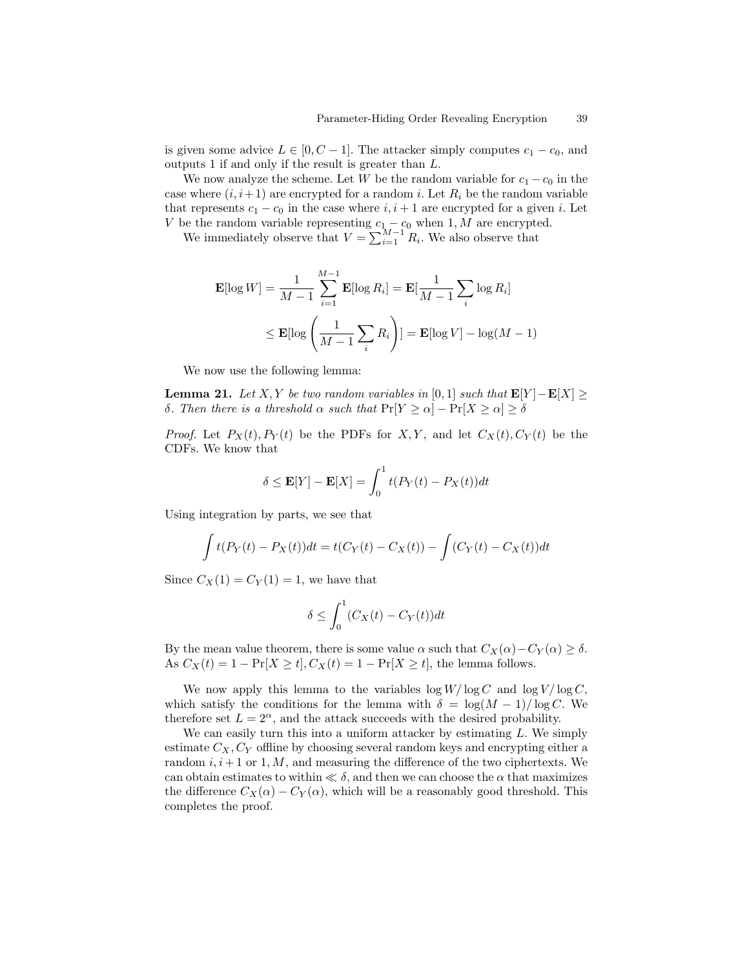is given some advice  $L \in [0, C - 1]$ . The attacker simply computes  $c_1 - c_0$ , and outputs 1 if and only if the result is greater than L.

We now analyze the scheme. Let W be the random variable for  $c_1 - c_0$  in the case where  $(i, i+1)$  are encrypted for a random i. Let  $R_i$  be the random variable that represents  $c_1 - c_0$  in the case where  $i, i + 1$  are encrypted for a given i. Let V be the random variable representing  $c_1 - c_0$  when 1, M are encrypted.

We immediately observe that  $V = \sum_{i=1}^{M-1} R_i$ . We also observe that

$$
\mathbf{E}[\log W] = \frac{1}{M-1} \sum_{i=1}^{M-1} \mathbf{E}[\log R_i] = \mathbf{E}[\frac{1}{M-1} \sum_{i} \log R_i]
$$

$$
\leq \mathbf{E}[\log \left(\frac{1}{M-1} \sum_{i} R_i\right)] = \mathbf{E}[\log V] - \log(M-1)
$$

We now use the following lemma:

**Lemma 21.** Let X, Y be two random variables in [0, 1] such that  $\mathbf{E}[Y] - \mathbf{E}[X] \geq$ δ. Then there is a threshold  $\alpha$  such that  $Pr[Y \ge \alpha] - Pr[X \ge \alpha] \ge \delta$ 

*Proof.* Let  $P_X(t), P_Y(t)$  be the PDFs for X, Y, and let  $C_X(t), C_Y(t)$  be the CDFs. We know that

$$
\delta \le \mathbf{E}[Y] - \mathbf{E}[X] = \int_0^1 t(P_Y(t) - P_X(t))dt
$$

Using integration by parts, we see that

$$
\int t(P_Y(t) - P_X(t))dt = t(C_Y(t) - C_X(t)) - \int (C_Y(t) - C_X(t))dt
$$

Since  $C_X(1) = C_Y(1) = 1$ , we have that

$$
\delta \le \int_0^1 (C_X(t) - C_Y(t))dt
$$

By the mean value theorem, there is some value  $\alpha$  such that  $C_X(\alpha)-C_Y(\alpha) \geq \delta$ . As  $C_X(t) = 1 - \Pr[X \ge t], C_X(t) = 1 - \Pr[X \ge t],$  the lemma follows.

We now apply this lemma to the variables  $\log W / \log C$  and  $\log V / \log C$ , which satisfy the conditions for the lemma with  $\delta = \log(M-1)/\log C$ . We therefore set  $L = 2^{\alpha}$ , and the attack succeeds with the desired probability.

We can easily turn this into a uniform attacker by estimating  $L$ . We simply estimate  $C_X, C_Y$  offline by choosing several random keys and encrypting either a random  $i, i+1$  or 1, M, and measuring the difference of the two ciphertexts. We can obtain estimates to within  $\ll \delta$ , and then we can choose the  $\alpha$  that maximizes the difference  $C_X(\alpha) - C_Y(\alpha)$ , which will be a reasonably good threshold. This completes the proof.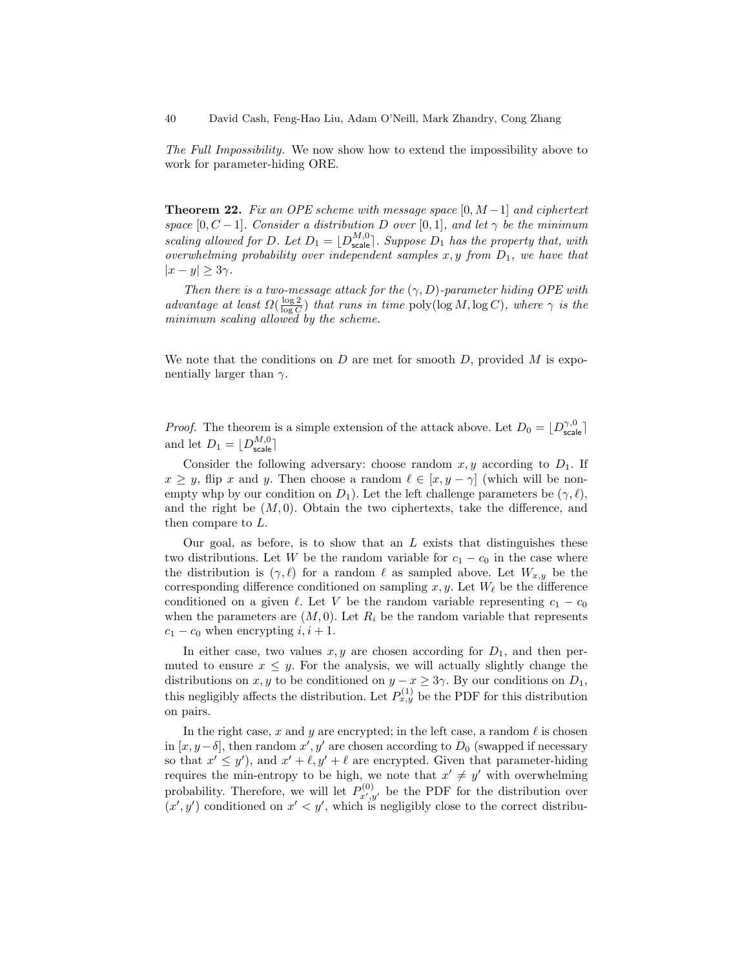The Full Impossibility. We now show how to extend the impossibility above to work for parameter-hiding ORE.

**Theorem 22.** Fix an OPE scheme with message space  $[0, M-1]$  and ciphertext space [0, C − 1]. Consider a distribution D over [0, 1], and let  $\gamma$  be the minimum scaling allowed for D. Let  $D_1 = \lfloor D_{\text{scale}}^{M,0} \rfloor$ . Suppose  $D_1$  has the property that, with overwhelming probability over independent samples  $x, y$  from  $D_1$ , we have that  $|x-y|\geq 3\gamma$ .

Then there is a two-message attack for the  $(\gamma, D)$ -parameter hiding OPE with advantage at least  $\Omega(\frac{\log 2}{\log C})$  that runs in time poly(log M, log C), where  $\gamma$  is the minimum scaling allowed by the scheme.

We note that the conditions on  $D$  are met for smooth  $D$ , provided  $M$  is exponentially larger than  $\gamma$ .

*Proof.* The theorem is a simple extension of the attack above. Let  $D_0 = [D_{scale}^{\gamma,0}]$ and let  $D_1 = \lfloor D_{\sf scale}^{M,0} \rceil$ 

Consider the following adversary: choose random  $x, y$  according to  $D_1$ . If  $x \geq y$ , flip x and y. Then choose a random  $\ell \in [x, y - \gamma]$  (which will be nonempty whp by our condition on  $D_1$ ). Let the left challenge parameters be  $(\gamma, \ell)$ , and the right be  $(M, 0)$ . Obtain the two ciphertexts, take the difference, and then compare to L.

Our goal, as before, is to show that an  $L$  exists that distinguishes these two distributions. Let W be the random variable for  $c_1 - c_0$  in the case where the distribution is  $(\gamma, \ell)$  for a random  $\ell$  as sampled above. Let  $W_{x,y}$  be the corresponding difference conditioned on sampling  $x, y$ . Let  $W_{\ell}$  be the difference conditioned on a given  $\ell$ . Let V be the random variable representing  $c_1 - c_0$ when the parameters are  $(M, 0)$ . Let  $R_i$  be the random variable that represents  $c_1 - c_0$  when encrypting  $i, i + 1$ .

In either case, two values  $x, y$  are chosen according for  $D_1$ , and then permuted to ensure  $x \leq y$ . For the analysis, we will actually slightly change the distributions on x, y to be conditioned on  $y - x \geq 3\gamma$ . By our conditions on  $D_1$ , this negligibly affects the distribution. Let  $P_{x,y}^{(1)}$  be the PDF for this distribution on pairs.

In the right case, x and y are encrypted; in the left case, a random  $\ell$  is chosen in  $[x, y-\delta]$ , then random  $x', y'$  are chosen according to  $D_0$  (swapped if necessary so that  $x' \leq y'$ , and  $x' + \ell, y' + \ell$  are encrypted. Given that parameter-hiding requires the min-entropy to be high, we note that  $x' \neq y'$  with overwhelming probability. Therefore, we will let  $P_{x',y'}^{(0)}$  be the PDF for the distribution over  $(x', y')$  conditioned on  $x' < y'$ , which is negligibly close to the correct distribu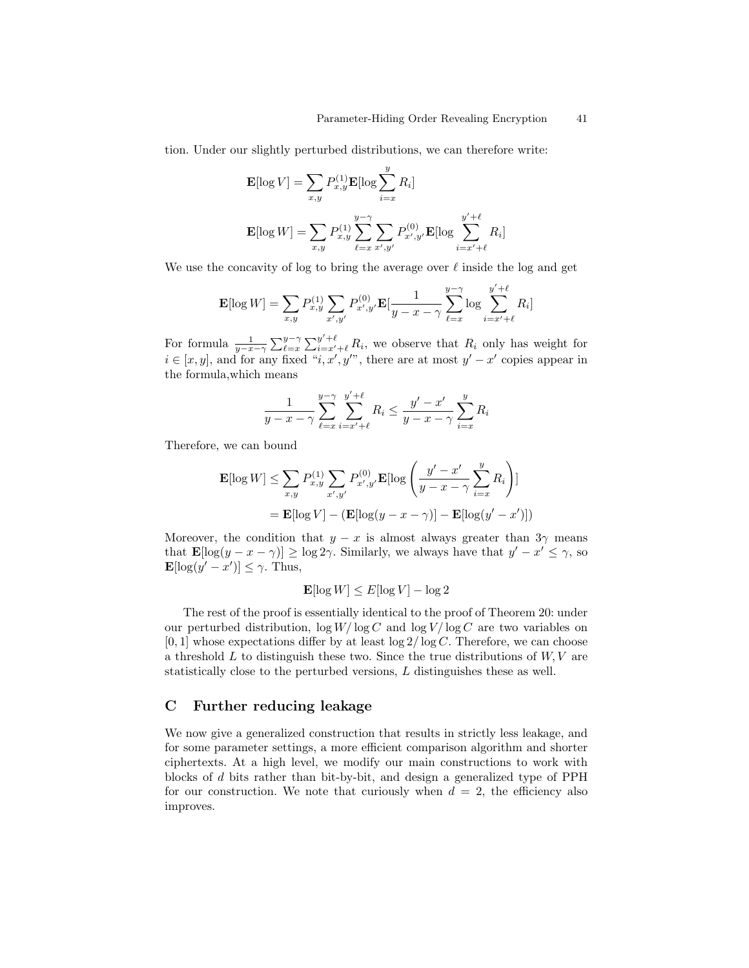tion. Under our slightly perturbed distributions, we can therefore write:

$$
\mathbf{E}[\log V] = \sum_{x,y} P_{x,y}^{(1)} \mathbf{E}[\log \sum_{i=x}^{y} R_i]
$$

$$
\mathbf{E}[\log W] = \sum_{x,y} P_{x,y}^{(1)} \sum_{\ell=x}^{y-\gamma} \sum_{x',y'} P_{x',y'}^{(0)} \mathbf{E}[\log \sum_{i=x'+\ell}^{y'+\ell} R_i]
$$

We use the concavity of log to bring the average over  $\ell$  inside the log and get

$$
\mathbf{E}[\log W] = \sum_{x,y} P_{x,y}^{(1)} \sum_{x',y'} P_{x',y'}^{(0)} \mathbf{E}[\frac{1}{y-x-\gamma} \sum_{\ell=x}^{y-\gamma} \log \sum_{i=x'+\ell}^{y'+\ell} R_i]
$$

For formula  $\frac{1}{y-x-\gamma} \sum_{\ell=x}^{y-\gamma} \sum_{i=x'+\ell}^{y'+\ell} R_i$ , we observe that  $R_i$  only has weight for  $i \in [x, y]$ , and for any fixed "i, x', y'", there are at most  $y' - x'$  copies appear in the formula,which means

$$
\frac{1}{y - x - \gamma} \sum_{\ell = x}^{y - \gamma} \sum_{i = x' + \ell}^{y' + \ell} R_i \le \frac{y' - x'}{y - x - \gamma} \sum_{i = x}^{y} R_i
$$

Therefore, we can bound

$$
\mathbf{E}[\log W] \le \sum_{x,y} P_{x,y}^{(1)} \sum_{x',y'} P_{x',y'}^{(0)} \mathbf{E}[\log \left( \frac{y' - x'}{y - x - \gamma} \sum_{i=x}^{y} R_i \right)]
$$
  
=  $\mathbf{E}[\log V] - (\mathbf{E}[\log(y - x - \gamma)] - \mathbf{E}[\log(y' - x')])$ 

Moreover, the condition that  $y - x$  is almost always greater than  $3\gamma$  means that  $\mathbf{E}[\log(y - x - \gamma)] \ge \log 2\gamma$ . Similarly, we always have that  $y' - x' \le \gamma$ , so  $\mathbf{E}[\log(y'-x')] \leq \gamma$ . Thus,

$$
\mathbf{E}[\log W] \le E[\log V] - \log 2
$$

The rest of the proof is essentially identical to the proof of Theorem 20: under our perturbed distribution,  $\log W / \log C$  and  $\log V / \log C$  are two variables on  $[0, 1]$  whose expectations differ by at least  $\log 2/\log C$ . Therefore, we can choose a threshold  $L$  to distinguish these two. Since the true distributions of  $W, V$  are statistically close to the perturbed versions, L distinguishes these as well.

## C Further reducing leakage

We now give a generalized construction that results in strictly less leakage, and for some parameter settings, a more efficient comparison algorithm and shorter ciphertexts. At a high level, we modify our main constructions to work with blocks of d bits rather than bit-by-bit, and design a generalized type of PPH for our construction. We note that curiously when  $d = 2$ , the efficiency also improves.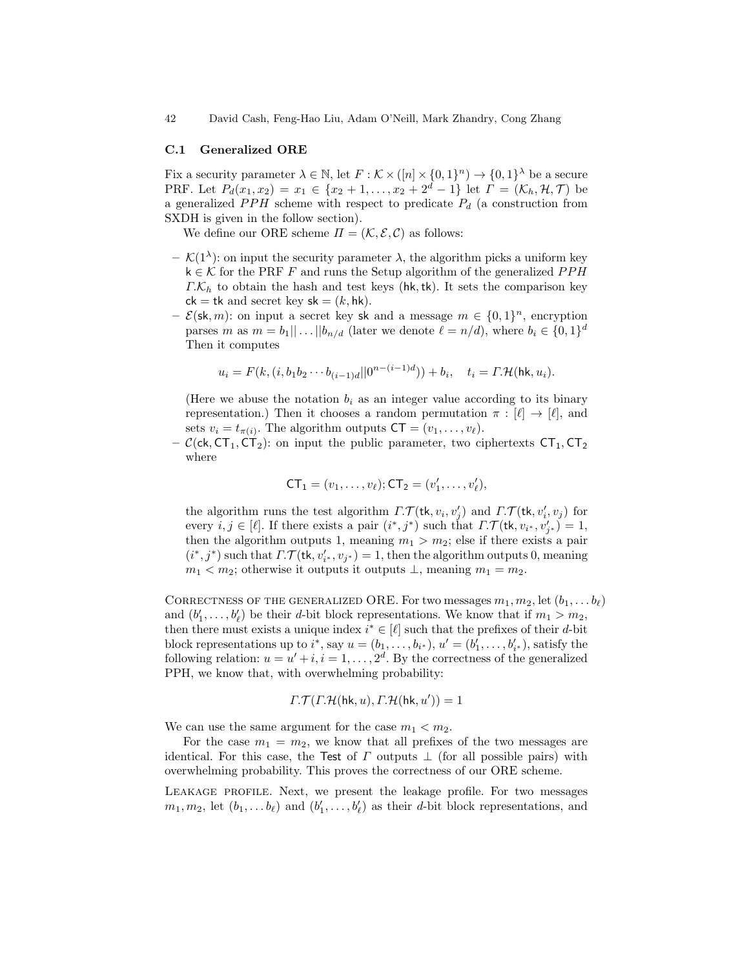42 David Cash, Feng-Hao Liu, Adam O'Neill, Mark Zhandry, Cong Zhang

#### C.1 Generalized ORE

Fix a security parameter  $\lambda \in \mathbb{N}$ , let  $F : \mathcal{K} \times ([n] \times \{0,1\}^n) \to \{0,1\}^{\lambda}$  be a secure PRF. Let  $P_d(x_1, x_2) = x_1 \in \{x_2 + 1, \ldots, x_2 + 2^d - 1\}$  let  $\Gamma = (\mathcal{K}_h, \mathcal{H}, \mathcal{T})$  be a generalized  $PPH$  scheme with respect to predicate  $P_d$  (a construction from SXDH is given in the follow section).

We define our ORE scheme  $\Pi = (\mathcal{K}, \mathcal{E}, \mathcal{C})$  as follows:

- $\mathcal{K}(1^{\lambda})$ : on input the security parameter  $\lambda$ , the algorithm picks a uniform key  $k \in \mathcal{K}$  for the PRF F and runs the Setup algorithm of the generalized PPH  $\Gamma$ . $\mathcal{K}_h$  to obtain the hash and test keys (hk, tk). It sets the comparison key  $ck = tk$  and secret key  $sk = (k, hk)$ .
- $-\mathcal{E}(\mathsf{sk}, m)$ : on input a secret key sk and a message  $m \in \{0, 1\}^n$ , encryption parses m as  $m = b_1 || \dots || b_{n/d}$  (later we denote  $\ell = n/d$ ), where  $b_i \in \{0, 1\}^d$ Then it computes

$$
u_i = F(k, (i, b_1b_2 \cdots b_{(i-1)d}||0^{n-(i-1)d})) + b_i, \quad t_i = \Gamma \mathcal{H}(\mathsf{hk}, u_i).
$$

(Here we abuse the notation  $b_i$  as an integer value according to its binary representation.) Then it chooses a random permutation  $\pi : [\ell] \to [\ell]$ , and sets  $v_i = t_{\pi(i)}$ . The algorithm outputs  $CT = (v_1, \ldots, v_\ell)$ .

–  $C(\mathsf{ck}, \mathsf{CT}_1, \mathsf{CT}_2)$ : on input the public parameter, two ciphertexts  $\mathsf{CT}_1, \mathsf{CT}_2$ where

$$
CT_1 = (v_1, \ldots, v_{\ell}); CT_2 = (v'_1, \ldots, v'_{\ell}),
$$

the algorithm runs the test algorithm  $\Gamma$ .  $\mathcal{T}(\mathsf{tk}, v_i, v'_j)$  and  $\Gamma$ .  $\mathcal{T}(\mathsf{tk}, v'_i, v_j)$  for every  $i, j \in [\ell]$ . If there exists a pair  $(i^*, j^*)$  such that  $\Gamma. \mathcal{T}(\mathsf{tk}, v_{i^*}, v'_{j^*}) = 1$ , then the algorithm outputs 1, meaning  $m_1 > m_2$ ; else if there exists a pair  $(i^*, j^*)$  such that  $\Gamma.\mathcal{T}(\mathsf{tk}, v'_{i^*}, v_{j^*}) = 1$ , then the algorithm outputs 0, meaning  $m_1 < m_2$ ; otherwise it outputs it outputs  $\perp$ , meaning  $m_1 = m_2$ .

CORRECTNESS OF THE GENERALIZED ORE. For two messages  $m_1, m_2$ , let  $(b_1, \ldots b_\ell)$ and  $(b'_1, \ldots, b'_\ell)$  be their *d*-bit block representations. We know that if  $m_1 > m_2$ , then there must exists a unique index  $i^* \in [\ell]$  such that the prefixes of their d-bit block representations up to  $i^*$ , say  $u = (b_1, \ldots, b_{i^*})$ ,  $u' = (b'_1, \ldots, b'_{i^*})$ , satisfy the following relation:  $u = u' + i$ ,  $i = 1, ..., 2<sup>d</sup>$ . By the correctness of the generalized PPH, we know that, with overwhelming probability:

$$
\Gamma.\mathcal{T}(\Gamma.\mathcal{H}(\mathsf{hk},u),\Gamma.\mathcal{H}(\mathsf{hk},u'))=1
$$

We can use the same argument for the case  $m_1 < m_2$ .

For the case  $m_1 = m_2$ , we know that all prefixes of the two messages are identical. For this case, the Test of  $\Gamma$  outputs  $\bot$  (for all possible pairs) with overwhelming probability. This proves the correctness of our ORE scheme.

Leakage profile. Next, we present the leakage profile. For two messages  $m_1, m_2$ , let  $(b_1, \ldots, b_\ell)$  and  $(b'_1, \ldots, b'_\ell)$  as their d-bit block representations, and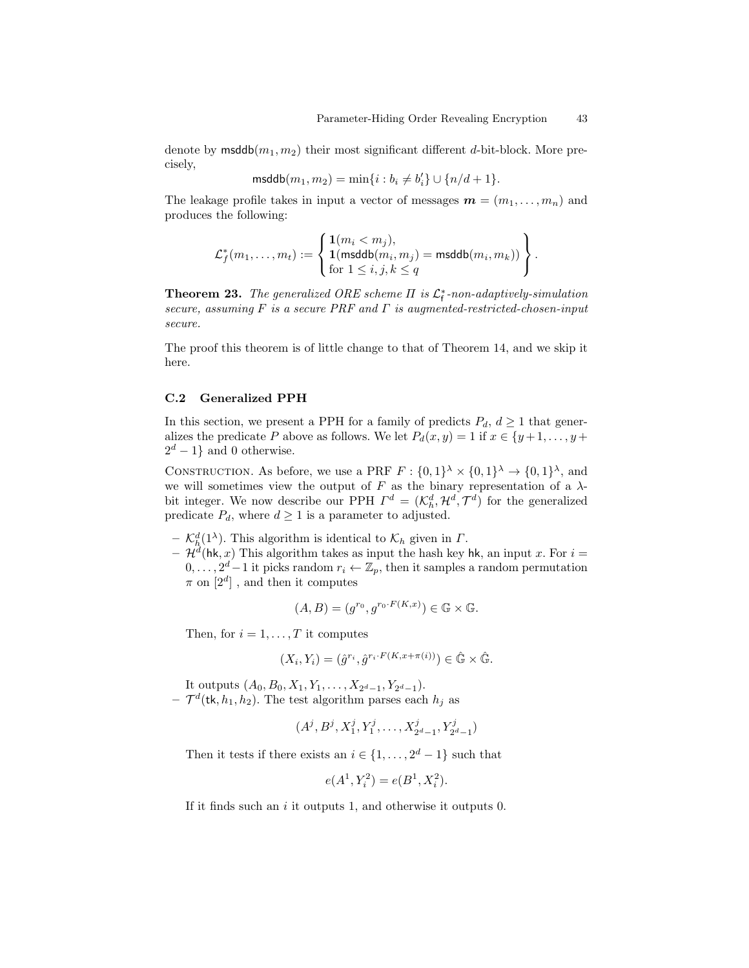denote by  $\mathsf{msddb}(m_1, m_2)$  their most significant different d-bit-block. More precisely,

$$
\mathsf{msddb}(m_1, m_2) = \min\{i : b_i \neq b'_i\} \cup \{n/d + 1\}.
$$

The leakage profile takes in input a vector of messages  $\mathbf{m} = (m_1, \ldots, m_n)$  and produces the following:

$$
\mathcal{L}_f^*(m_1,\ldots,m_t):=\left\{\begin{aligned}&\mathbf{1}(m_i
$$

**Theorem 23.** The generalized ORE scheme  $\Pi$  is  $\mathcal{L}_{f}^{*}$ -non-adaptively-simulation secure, assuming  $F$  is a secure PRF and  $\Gamma$  is augmented-restricted-chosen-input secure.

The proof this theorem is of little change to that of Theorem 14, and we skip it here.

#### C.2 Generalized PPH

In this section, we present a PPH for a family of predicts  $P_d$ ,  $d \geq 1$  that generalizes the predicate P above as follows. We let  $P_d(x, y) = 1$  if  $x \in \{y+1, \ldots, y+1\}$  $2^d - 1$ } and 0 otherwise.

CONSTRUCTION. As before, we use a PRF  $F: \{0,1\}^{\lambda} \times \{0,1\}^{\lambda} \rightarrow \{0,1\}^{\lambda}$ , and we will sometimes view the output of  $F$  as the binary representation of a  $\lambda$ bit integer. We now describe our PPH  $\Gamma^d = (\mathcal{K}_h^d, \mathcal{H}^d, \mathcal{T}^d)$  for the generalized predicate  $P_d$ , where  $d \geq 1$  is a parameter to adjusted.

- $\mathcal{K}_h^d(1^{\lambda})$ . This algorithm is identical to  $\mathcal{K}_h$  given in  $\Gamma$ .
- $-\mathcal{H}^d(\mathsf{hk}, x)$  This algorithm takes as input the hash key hk, an input x. For  $i =$  $0, \ldots, 2^d-1$  it picks random  $r_i \leftarrow \mathbb{Z}_p$ , then it samples a random permutation  $\pi$  on  $[2^d]$ , and then it computes

$$
(A, B) = (g^{r_0}, g^{r_0 \cdot F(K, x)}) \in \mathbb{G} \times \mathbb{G}.
$$

Then, for  $i = 1, \ldots, T$  it computes

$$
(X_i, Y_i) = (\hat{g}^{r_i}, \hat{g}^{r_i \cdot F(K, x + \pi(i))}) \in \hat{\mathbb{G}} \times \hat{\mathbb{G}}.
$$

It outputs  $(A_0, B_0, X_1, Y_1, \ldots, X_{2^d-1}, Y_{2^d-1}).$  $-\mathcal{T}^d$ (tk,  $h_1, h_2$ ). The test algorithm parses each  $h_j$  as

$$
(A^j, B^j, X_1^j, Y_1^j, \dots, X_{2^d-1}^j, Y_{2^d-1}^j)
$$

Then it tests if there exists an  $i \in \{1, \ldots, 2^d - 1\}$  such that

$$
e(A^1, Y_i^2) = e(B^1, X_i^2).
$$

If it finds such an  $i$  it outputs 1, and otherwise it outputs 0.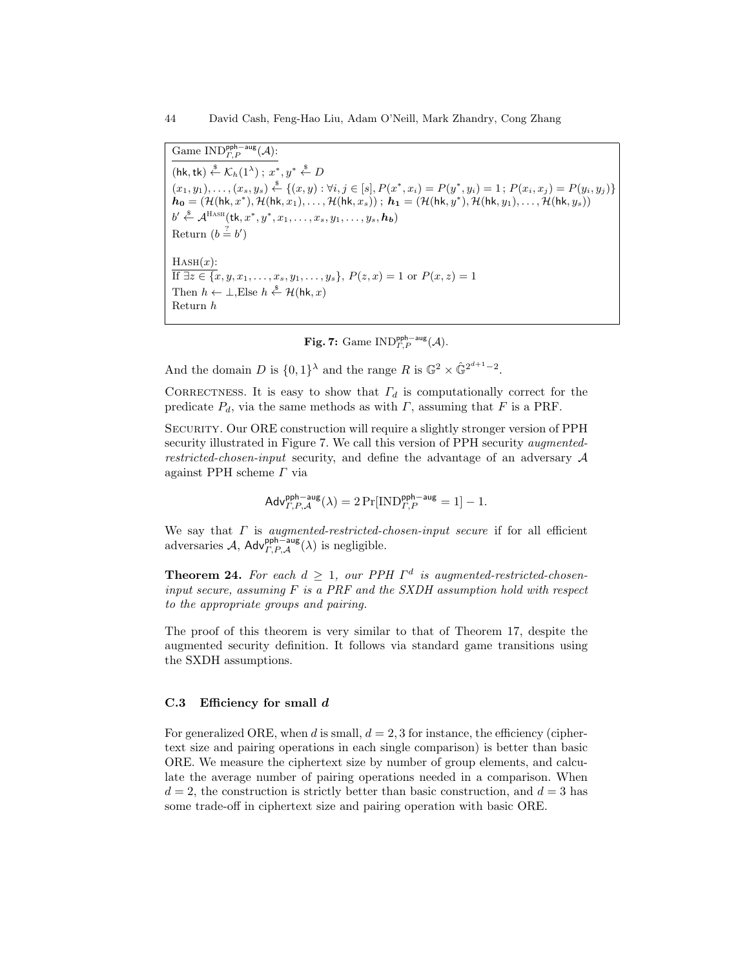Game  $\text{IND}_{\Gamma,P}^{\text{pph}-\text{aug}}(\mathcal{A})$ :  $(\mathsf{hk},\mathsf{tk}) \overset{\hspace{0.1em}\mathsf{\scriptscriptstyle\$}}{\leftarrow} \mathcal{K}_h(1^\lambda)\ ;\ x^*,y^* \overset{\hspace{0.1em}\mathsf{\scriptscriptstyle\$}}{\leftarrow} D$  $(x_1, y_1), \ldots, (x_s, y_s) \stackrel{\$}{\leftarrow} \{(x, y) : \forall i, j \in [s], P(x^*, x_i) = P(y^*, y_i) = 1; P(x_i, x_j) = P(y_i, y_j)\}$  $h_0 = (\mathcal{H}(\mathsf{hk}, x^*), \mathcal{H}(\mathsf{hk}, x_1), \dots, \mathcal{H}(\mathsf{hk}, x_s))$ ;  $h_1 = (\mathcal{H}(\mathsf{hk}, y^*), \mathcal{H}(\mathsf{hk}, y_1), \dots, \mathcal{H}(\mathsf{hk}, y_s))$  $b' \overset{\hspace{0.1em}\mathsf{\scriptscriptstyle\$}}{\leftarrow} \mathcal{A}^{\text{HASH}}(\mathsf{tk},x^*,y^*,x_1,\ldots,x_s,y_1,\ldots,y_s,\boldsymbol{h_b})$ Return  $(b \stackrel{?}{=} b')$  $HASH(x)$ : If  $\exists z \in \{x, y, x_1, \ldots, x_s, y_1, \ldots, y_s\}, P(z, x) = 1$  or  $P(x, z) = 1$ Then  $h \leftarrow \perp,$ Else  $h \stackrel{\$}{\leftarrow} \mathcal{H}(\mathsf{hk}, x)$ Return h

Fig. 7: Game  $\text{IND}_{\Gamma,P}^{\text{pph-aug}}(\mathcal{A})$ .

And the domain D is  $\{0,1\}^{\lambda}$  and the range R is  $\mathbb{G}^2 \times \hat{\mathbb{G}}^{2^{d+1}-2}$ .

CORRECTNESS. It is easy to show that  $\Gamma_d$  is computationally correct for the predicate  $P_d$ , via the same methods as with  $\Gamma$ , assuming that  $F$  is a PRF.

Security. Our ORE construction will require a slightly stronger version of PPH security illustrated in Figure 7. We call this version of PPH security *augmented*restricted-chosen-input security, and define the advantage of an adversary A against PPH scheme Γ via

$$
\mathsf{Adv}_{\varGamma,P,\mathcal{A}}^{\mathsf{pph-aug}}(\lambda) = 2\Pr[\text{IND}_{\varGamma,P}^{\mathsf{pph-aug}} = 1] - 1.
$$

We say that  $\Gamma$  is *augmented-restricted-chosen-input secure* if for all efficient adversaries A, Adv<sup>pph–aug</sup> $(\lambda)$  is negligible.

**Theorem 24.** For each  $d \geq 1$ , our PPH  $\Gamma^d$  is augmented-restricted-choseninput secure, assuming  $F$  is a PRF and the SXDH assumption hold with respect to the appropriate groups and pairing.

The proof of this theorem is very similar to that of Theorem 17, despite the augmented security definition. It follows via standard game transitions using the SXDH assumptions.

#### C.3 Efficiency for small d

For generalized ORE, when d is small,  $d = 2, 3$  for instance, the efficiency (ciphertext size and pairing operations in each single comparison) is better than basic ORE. We measure the ciphertext size by number of group elements, and calculate the average number of pairing operations needed in a comparison. When  $d = 2$ , the construction is strictly better than basic construction, and  $d = 3$  has some trade-off in ciphertext size and pairing operation with basic ORE.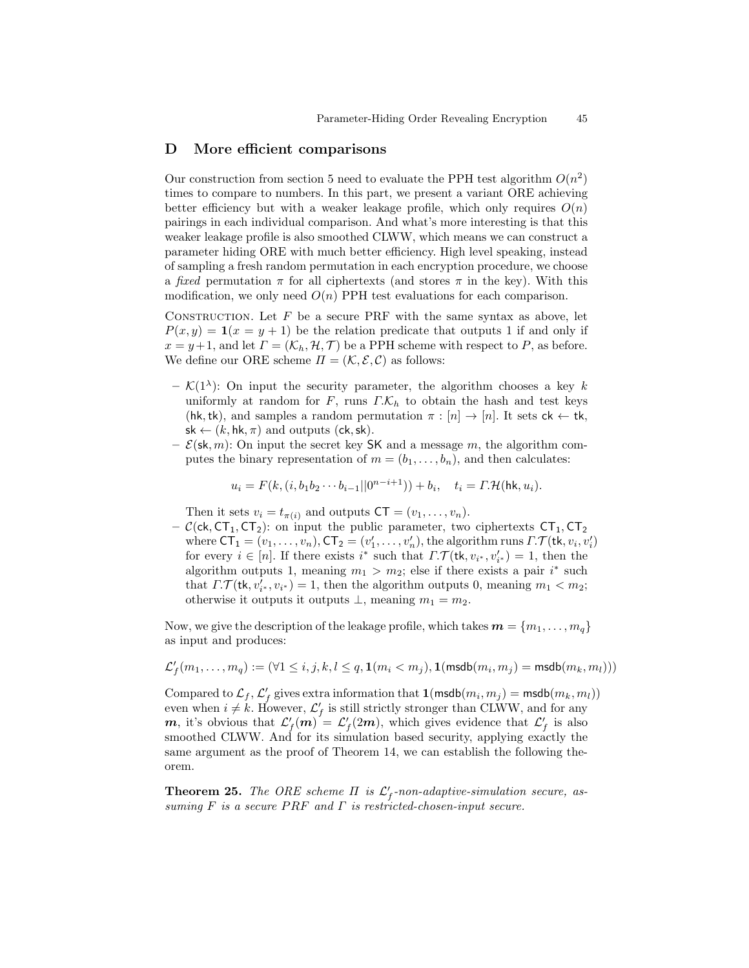## D More efficient comparisons

Our construction from section 5 need to evaluate the PPH test algorithm  $O(n^2)$ times to compare to numbers. In this part, we present a variant ORE achieving better efficiency but with a weaker leakage profile, which only requires  $O(n)$ pairings in each individual comparison. And what's more interesting is that this weaker leakage profile is also smoothed CLWW, which means we can construct a parameter hiding ORE with much better efficiency. High level speaking, instead of sampling a fresh random permutation in each encryption procedure, we choose a fixed permutation  $\pi$  for all ciphertexts (and stores  $\pi$  in the key). With this modification, we only need  $O(n)$  PPH test evaluations for each comparison.

CONSTRUCTION. Let  $F$  be a secure PRF with the same syntax as above, let  $P(x, y) = \mathbf{1}(x = y + 1)$  be the relation predicate that outputs 1 if and only if  $x = y + 1$ , and let  $\Gamma = (\mathcal{K}_h, \mathcal{H}, \mathcal{T})$  be a PPH scheme with respect to P, as before. We define our ORE scheme  $\Pi = (\mathcal{K}, \mathcal{E}, \mathcal{C})$  as follows:

- $\mathcal{K}(1^{\lambda})$ : On input the security parameter, the algorithm chooses a key k uniformly at random for F, runs  $\Gamma$ . $\mathcal{K}_h$  to obtain the hash and test keys (hk, tk), and samples a random permutation  $\pi : [n] \to [n]$ . It sets  $ck \leftarrow tk$ ,  $sk \leftarrow (k, hk, \pi)$  and outputs (ck, sk).
- $\mathcal{E}(\mathsf{sk}, m)$ : On input the secret key SK and a message m, the algorithm computes the binary representation of  $m = (b_1, \ldots, b_n)$ , and then calculates:

$$
u_i = F(k, (i, b_1 b_2 \cdots b_{i-1} || 0^{n-i+1})) + b_i, \quad t_i = \Gamma \mathcal{H}(\mathsf{hk}, u_i).
$$

Then it sets  $v_i = t_{\pi(i)}$  and outputs  $CT = (v_1, \ldots, v_n)$ .

–  $C(\mathsf{ck}, \mathsf{CT}_1, \mathsf{CT}_2)$ : on input the public parameter, two ciphertexts  $\mathsf{CT}_1, \mathsf{CT}_2$ where  $\mathsf{CT}_1 = (v_1, \ldots, v_n), \mathsf{CT}_2 = (v'_1, \ldots, v'_n),$  the algorithm runs  $\Gamma. \mathcal{T}(\mathsf{tk}, v_i, v'_i)$ for every  $i \in [n]$ . If there exists  $i^*$  such that  $\Gamma.\mathcal{T}(\mathsf{tk}, v_{i^*}, v'_{i^*}) = 1$ , then the algorithm outputs 1, meaning  $m_1 > m_2$ ; else if there exists a pair  $i^*$  such that  $\Gamma.\mathcal{T}(\mathsf{tk}, v'_{i^*}, v_{i^*}) = 1$ , then the algorithm outputs 0, meaning  $m_1 < m_2$ ; otherwise it outputs it outputs  $\bot$ , meaning  $m_1 = m_2$ .

Now, we give the description of the leakage profile, which takes  $\mathbf{m} = \{m_1, \ldots, m_q\}$ as input and produces:

$$
\mathcal{L}'_f(m_1,\ldots,m_q):=(\forall 1\leq i,j,k,l\leq q, \mathbf{1}(m_i
$$

Compared to  $\mathcal{L}_f$ ,  $\mathcal{L}'_f$  gives extra information that  $\mathbf{1}(\textsf{msdb}(m_i,m_j) = \textsf{msdb}(m_k,m_l))$ even when  $i \neq k$ . However,  $\mathcal{L}'_f$  is still strictly stronger than CLWW, and for any  $m$ , it's obvious that  $\mathcal{L}'_f(m) = \mathcal{L}'_f(2m)$ , which gives evidence that  $\mathcal{L}'_f$  is also smoothed CLWW. And for its simulation based security, applying exactly the same argument as the proof of Theorem 14, we can establish the following theorem.

**Theorem 25.** The ORE scheme  $\Pi$  is  $\mathcal{L}'_f$ -non-adaptive-simulation secure, assuming  $F$  is a secure PRF and  $\Gamma$  is restricted-chosen-input secure.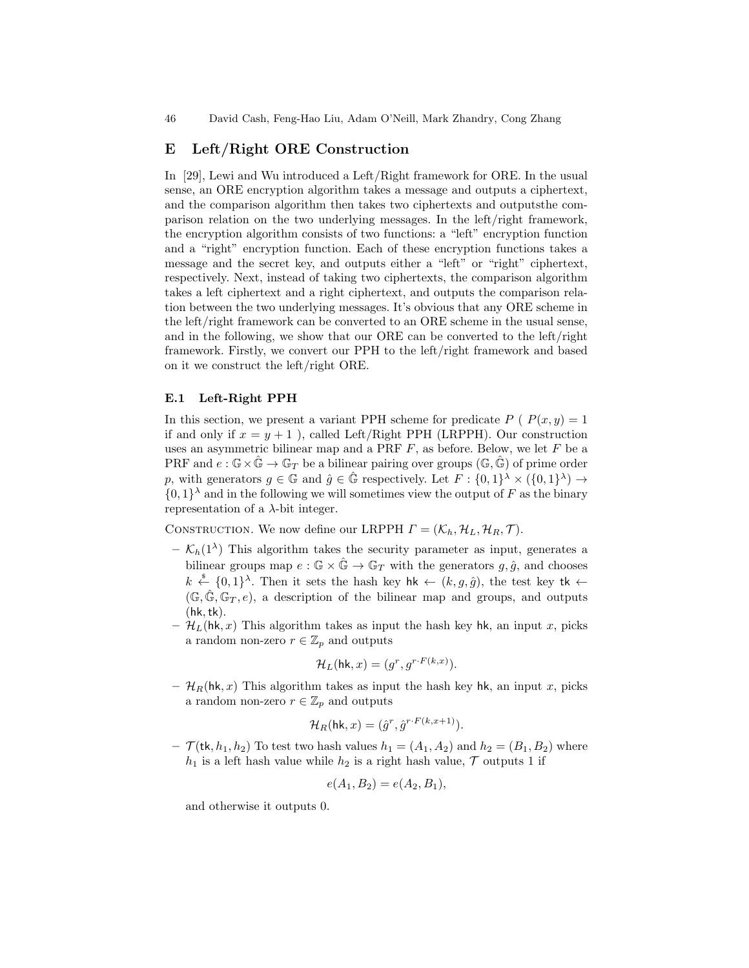46 David Cash, Feng-Hao Liu, Adam O'Neill, Mark Zhandry, Cong Zhang

## E Left/Right ORE Construction

In [29], Lewi and Wu introduced a Left/Right framework for ORE. In the usual sense, an ORE encryption algorithm takes a message and outputs a ciphertext, and the comparison algorithm then takes two ciphertexts and outputsthe comparison relation on the two underlying messages. In the left/right framework, the encryption algorithm consists of two functions: a "left" encryption function and a "right" encryption function. Each of these encryption functions takes a message and the secret key, and outputs either a "left" or "right" ciphertext, respectively. Next, instead of taking two ciphertexts, the comparison algorithm takes a left ciphertext and a right ciphertext, and outputs the comparison relation between the two underlying messages. It's obvious that any ORE scheme in the left/right framework can be converted to an ORE scheme in the usual sense, and in the following, we show that our ORE can be converted to the left/right framework. Firstly, we convert our PPH to the left/right framework and based on it we construct the left/right ORE.

#### E.1 Left-Right PPH

In this section, we present a variant PPH scheme for predicate  $P$  ( $P(x, y) = 1$ ) if and only if  $x = y + 1$ , called Left/Right PPH (LRPPH). Our construction uses an asymmetric bilinear map and a PRF  $F$ , as before. Below, we let  $F$  be a PRF and  $e : \mathbb{G} \times \hat{\mathbb{G}} \to \mathbb{G}_T$  be a bilinear pairing over groups  $(\mathbb{G}, \hat{\mathbb{G}})$  of prime order p, with generators  $g \in \mathbb{G}$  and  $\hat{g} \in \hat{\mathbb{G}}$  respectively. Let  $F : \{0,1\}^{\lambda} \times (\{0,1\}^{\lambda}) \rightarrow$  $\{0,1\}^{\lambda}$  and in the following we will sometimes view the output of F as the binary representation of a  $\lambda$ -bit integer.

CONSTRUCTION. We now define our LRPPH  $\Gamma = (\mathcal{K}_h, \mathcal{H}_L, \mathcal{H}_R, \mathcal{T}).$ 

- $K_h(1^{\lambda})$  This algorithm takes the security parameter as input, generates a bilinear groups map  $e : \mathbb{G} \times \hat{\mathbb{G}} \to \mathbb{G}_T$  with the generators  $g, \hat{g}$ , and chooses  $k \stackrel{\$}{\leftarrow} \{0,1\}^{\lambda}$ . Then it sets the hash key hk  $\leftarrow (k,g,\hat{g})$ , the test key tk  $\leftarrow$  $(\mathbb{G}, \hat{\mathbb{G}}, \mathbb{G}_T, e)$ , a description of the bilinear map and groups, and outputs  $(hk, tk)$ .
- $\mathcal{H}_L(\mathsf{hk}, x)$  This algorithm takes as input the hash key hk, an input x, picks a random non-zero  $r \in \mathbb{Z}_p$  and outputs

$$
\mathcal{H}_L(\mathsf{hk}, x) = (g^r, g^{r \cdot F(k, x)}).
$$

 $- \mathcal{H}_R(\mathsf{hk}, x)$  This algorithm takes as input the hash key hk, an input x, picks a random non-zero  $r \in \mathbb{Z}_p$  and outputs

$$
\mathcal{H}_R(\mathsf{hk}, x) = (\hat{g}^r, \hat{g}^{r \cdot F(k, x+1)}).
$$

 $\mathcal{T}$ (tk,  $h_1, h_2$ ) To test two hash values  $h_1 = (A_1, A_2)$  and  $h_2 = (B_1, B_2)$  where  $h_1$  is a left hash value while  $h_2$  is a right hash value,  $\mathcal T$  outputs 1 if

$$
e(A_1, B_2) = e(A_2, B_1),
$$

and otherwise it outputs 0.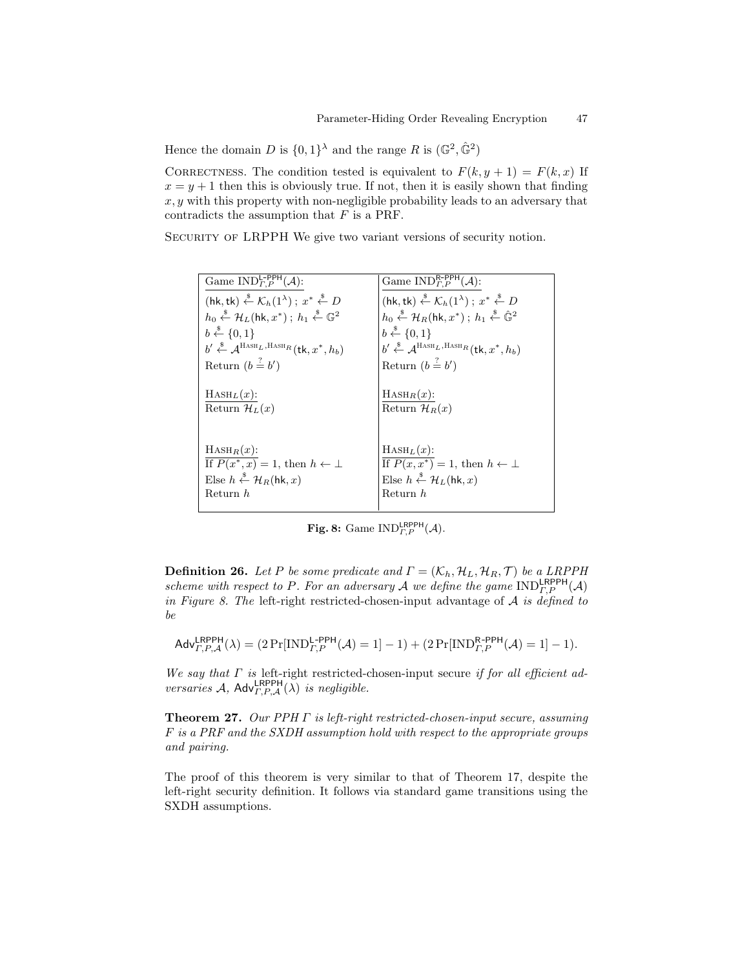Hence the domain D is  $\{0,1\}^{\lambda}$  and the range R is  $(\mathbb{G}^2, \hat{\mathbb{G}}^2)$ 

CORRECTNESS. The condition tested is equivalent to  $F(k, y + 1) = F(k, x)$  If  $x = y + 1$  then this is obviously true. If not, then it is easily shown that finding  $x, y$  with this property with non-negligible probability leads to an adversary that contradicts the assumption that  $F$  is a PRF.

SECURITY OF LRPPH We give two variant versions of security notion.

| Game $IND_{\Gamma,P}^{\mathsf{L-PPH}}(\mathcal{A})$ :                                                                                           | Game $\text{IND}_{\Gamma,P}^{\mathsf{R-PPH}}(\mathcal{A})$ :                                                                           |
|-------------------------------------------------------------------------------------------------------------------------------------------------|----------------------------------------------------------------------------------------------------------------------------------------|
| $(hk, tk) \stackrel{\$}{\leftarrow} \mathcal{K}_h(1^{\lambda})$ ; $x^* \stackrel{\$}{\leftarrow} D$                                             | $(hk, tk) \stackrel{\$}{\leftarrow} \mathcal{K}_h(1^{\lambda})$ ; $x^* \stackrel{\$}{\leftarrow} D$                                    |
| $h_0 \stackrel{\$}{\leftarrow} \mathcal{H}_L(\mathsf{hk}, x^*)$ ; $h_1 \stackrel{\$}{\leftarrow} \mathbb{G}^2$                                  | $h_0 \stackrel{\$}{\leftarrow} \mathcal{H}_R(\mathsf{hk}, x^*)$ ; $h_1 \stackrel{\$}{\leftarrow} \hat{\mathbb{G}}^2$                   |
| $b \stackrel{\$}{\leftarrow} \{0,1\}$                                                                                                           | $b \stackrel{\$}{\leftarrow} \{0,1\}$                                                                                                  |
| $b' \stackrel{\$}{\leftarrow} \mathcal{A}^{\text{HASH}}$ <sub>L</sub> , HASH <sub>R</sub> (tk, x <sup>*</sup> , h <sub>b</sub> )                | $b' \stackrel{\$}{\leftarrow} \mathcal{A}^{\text{HASH}}$ <sub>L</sub> , HASH <sub>R</sub> (tk, $x^*$ , $h_b$ )                         |
| Return $(b \stackrel{?}{=} b')$                                                                                                                 | Return $(b \stackrel{?}{=} b')$                                                                                                        |
| $HASH_L(x)$ :<br>Return $\mathcal{H}_L(x)$                                                                                                      | $HASH_R(x)$ :<br>Return $\mathcal{H}_R(x)$                                                                                             |
| $HASH_R(x)$ :<br>If $P(x^*, x) = 1$ , then $h \leftarrow \perp$<br>Else $h \stackrel{\$}{\leftarrow} \mathcal{H}_R(\mathsf{hk}, x)$<br>Return h | $HASH_L(x)$ :<br>If $P(x, x^*) = 1$ , then $h \leftarrow \perp$<br>Else $h \stackrel{\$}{\leftarrow} \mathcal{H}_L(hk, x)$<br>Return h |

**Fig. 8:** Game  $\text{IND}_{\Gamma,P}^{\text{LRPPH}}(\mathcal{A})$ .

**Definition 26.** Let P be some predicate and  $\Gamma = (\mathcal{K}_h, \mathcal{H}_L, \mathcal{H}_R, \mathcal{T})$  be a LRPPH scheme with respect to P. For an adversary A we define the game  $\text{IND}_{\Gamma,P}^{\textsf{LRPPH}}(\mathcal{A})$ in Figure 8. The left-right restricted-chosen-input advantage of  $A$  is defined to be

$$
\mathsf{Adv}_{\varGamma,P,\mathcal{A}}^{\mathsf{LRPPH}}(\lambda) = (2\Pr[\mathsf{IND}_{\varGamma,P}^{\mathsf{L-PPH}}(\mathcal{A})=1]-1) + (2\Pr[\mathsf{IND}_{\varGamma,P}^{\mathsf{R-PPH}}(\mathcal{A})=1]-1).
$$

We say that  $\Gamma$  is left-right restricted-chosen-input secure if for all efficient adversaries A,  $\mathsf{Adv}_{\mathcal{F},P,A}^{\mathsf{LRPPH}}(\lambda)$  is negligible.

Theorem 27. Our PPH Γ is left-right restricted-chosen-input secure, assuming F is a PRF and the SXDH assumption hold with respect to the appropriate groups and pairing.

The proof of this theorem is very similar to that of Theorem 17, despite the left-right security definition. It follows via standard game transitions using the SXDH assumptions.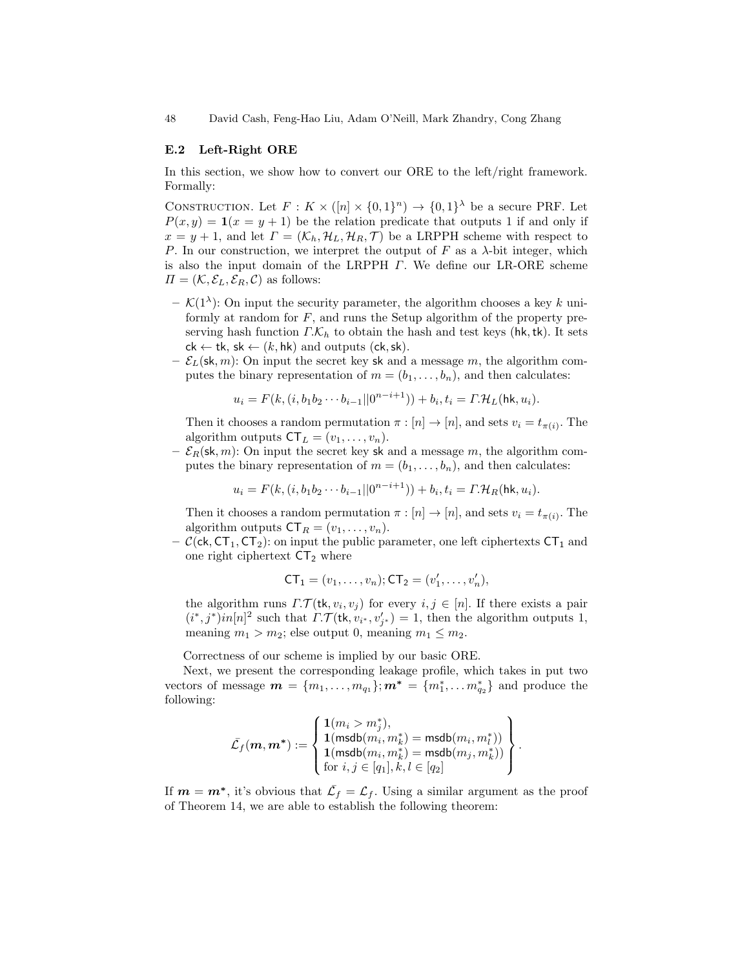48 David Cash, Feng-Hao Liu, Adam O'Neill, Mark Zhandry, Cong Zhang

#### E.2 Left-Right ORE

In this section, we show how to convert our ORE to the left/right framework. Formally:

CONSTRUCTION. Let  $F: K \times ([n] \times \{0,1\}^n) \to \{0,1\}^{\lambda}$  be a secure PRF. Let  $P(x, y) = \mathbf{1}(x = y + 1)$  be the relation predicate that outputs 1 if and only if  $x = y + 1$ , and let  $\Gamma = (\mathcal{K}_h, \mathcal{H}_L, \mathcal{H}_R, \mathcal{T})$  be a LRPPH scheme with respect to P. In our construction, we interpret the output of F as a  $\lambda$ -bit integer, which is also the input domain of the LRPPH Γ. We define our LR-ORE scheme  $\Pi = (\mathcal{K}, \mathcal{E}_L, \mathcal{E}_R, \mathcal{C})$  as follows:

- $\mathcal{K}(1^{\lambda})$ : On input the security parameter, the algorithm chooses a key k uniformly at random for  $F$ , and runs the Setup algorithm of the property preserving hash function  $\Gamma$ . $\mathcal{K}_h$  to obtain the hash and test keys (hk, tk). It sets  $ck \leftarrow tk$ , sk  $\leftarrow (k, hk)$  and outputs (ck, sk).
- $-\mathcal{E}_L(\mathsf{sk}, m)$ : On input the secret key sk and a message m, the algorithm computes the binary representation of  $m = (b_1, \ldots, b_n)$ , and then calculates:

$$
u_i = F(k, (i, b_1 b_2 \cdots b_{i-1} || 0^{n-i+1})) + b_i, t_i = \Gamma \mathcal{H}_L(\mathsf{hk}, u_i).
$$

Then it chooses a random permutation  $\pi : [n] \to [n]$ , and sets  $v_i = t_{\pi(i)}$ . The algorithm outputs  $CT_L = (v_1, \ldots, v_n)$ .

 $\mathcal{E}_R(\mathsf{sk}, m)$ : On input the secret key sk and a message m, the algorithm computes the binary representation of  $m = (b_1, \ldots, b_n)$ , and then calculates:

$$
u_i = F(k, (i, b_1 b_2 \cdots b_{i-1} || 0^{n-i+1})) + b_i, t_i = \Gamma \mathcal{H}_R(\mathsf{hk}, u_i).
$$

Then it chooses a random permutation  $\pi : [n] \to [n]$ , and sets  $v_i = t_{\pi(i)}$ . The algorithm outputs  $CT_R = (v_1, \ldots, v_n)$ .

 $-$  C(ck, CT<sub>1</sub>, CT<sub>2</sub>): on input the public parameter, one left ciphertexts CT<sub>1</sub> and one right ciphertext  $CT_2$  where

$$
CT_1 = (v_1, \ldots, v_n); CT_2 = (v'_1, \ldots, v'_n),
$$

the algorithm runs  $\Gamma \mathcal{T}(\mathsf{tk}, v_i, v_j)$  for every  $i, j \in [n]$ . If there exists a pair  $(i^*, j^*)$ in[n]<sup>2</sup> such that  $\Gamma.\mathcal{T}(\mathsf{tk}, v_{i^*}, v'_{j^*}) = 1$ , then the algorithm outputs 1, meaning  $m_1 > m_2$ ; else output 0, meaning  $m_1 \leq m_2$ .

Correctness of our scheme is implied by our basic ORE.

Next, we present the corresponding leakage profile, which takes in put two vectors of message  $\mathbf{m} = \{m_1, \ldots, m_{q_1}\}; \mathbf{m}^* = \{m_1^*, \ldots m_{q_2}^*\}$  and produce the following:

$$
\bar{\mathcal{L}}_f(\boldsymbol{m}, \boldsymbol{m^*}) := \begin{cases} \boldsymbol{1}(m_i > m_j^*), \\ \boldsymbol{1}(\textsf{msdb}(m_i, m_k^*) = \textsf{msdb}(m_i, m_l^*)) \\ \boldsymbol{1}(\textsf{msdb}(m_i, m_k^*) = \textsf{msdb}(m_j, m_k^*)) \\ \textsf{for } i, j \in [q_1], k, l \in [q_2] \end{cases}.
$$

If  $m = m^*$ , it's obvious that  $\bar{L_f} = \mathcal{L}_f$ . Using a similar argument as the proof of Theorem 14, we are able to establish the following theorem: